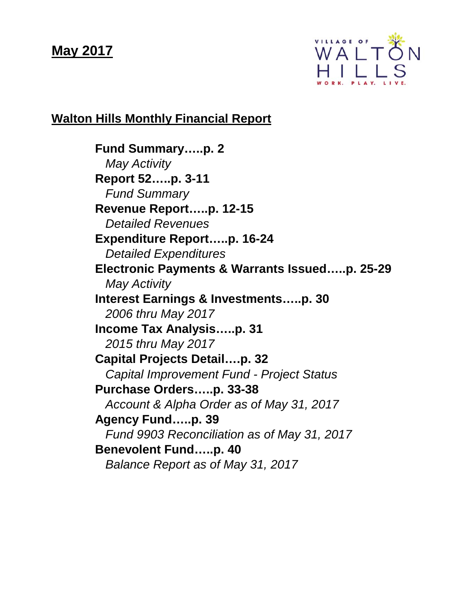# **May 2017**



# **Walton Hills Monthly Financial Report**

**Fund Summary…..p. 2** *May Activity* **Report 52…..p. 3-11** *Fund Summary* **Revenue Report…..p. 12-15** *Detailed Revenues* **Expenditure Report…..p. 16-24**  *Detailed Expenditures* **Electronic Payments & Warrants Issued…..p. 25-29** *May Activity* **Interest Earnings & Investments…..p. 30** *2006 thru May 2017* **Income Tax Analysis…..p. 31** *2015 thru May 2017* **Capital Projects Detail….p. 32** *Capital Improvement Fund - Project Status* **Purchase Orders…..p. 33-38** *Account & Alpha Order as of May 31, 2017* **Agency Fund…..p. 39** *Fund 9903 Reconciliation as of May 31, 2017* **Benevolent Fund…..p. 40** *Balance Report as of May 31, 2017*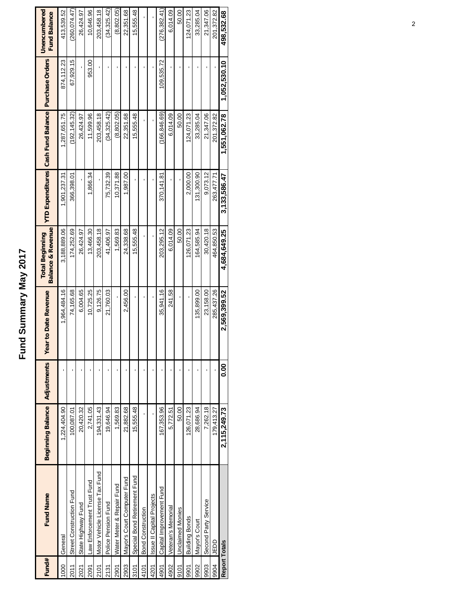# Fund Summary May 2017 **Fund Summary May 2017**

| Fund# | <b>Fund Name</b>               | <b>Beginning Balance</b> | <b>Adjustments</b> | <b>Year to Date Revenue</b> | <b>Balance &amp; Revenue</b><br><b>Total Beginning</b> |              | YTD Expenditures Cash Fund Balance   Purchase Orders |              | Unencumbered<br><b>Fund Balance</b> |
|-------|--------------------------------|--------------------------|--------------------|-----------------------------|--------------------------------------------------------|--------------|------------------------------------------------------|--------------|-------------------------------------|
| 1000  | General                        | 1,224,404.90             |                    | 1,964,484.16                | 3,188,889.06                                           | 1,901,237.31 | 1,287,651.75                                         | 874,112.23   | 413,539.52                          |
| 2011  | Street Construction Fund       | 100,087.01               |                    | 74,165.68                   | 174,252.69                                             | 366,398.01   | (192, 145.32)                                        | 67,929.15    | (260,074.47)                        |
| 2021  | State Highway Fund             | 20,420.32                |                    | 6,004.65                    | 26,424.97                                              |              | 26,424.97                                            |              | 26,424.97                           |
| 2091  | Law Enforcement Trust Fund     | 2,741.05                 |                    | 10,725.25                   | 13,466.30                                              | 866.34       | 11,599.96                                            | 953.00       | 10,646.96                           |
| 2101  | Motor Vehicle License Tax Fund | 194,331.43               |                    | 9,126.75                    | 203,458.18                                             |              | 203,458.18                                           |              | 203,458.18                          |
| 2131  | Police Pension Fund            | 19,646.94                |                    | 21,760.03                   | 41,406.97                                              | 75,732.39    | (34, 325.42)                                         |              | (34, 325.42)                        |
| 2901  | Water Meter & Repair Fund      | 1,569.83                 |                    |                             | 1,569.83                                               | 10,371.88    | (8,802.05)                                           |              | (8,802.05)                          |
| 2903  | Mayor's Court Computer Fund    | 21,882.68                |                    | 2,456.00                    | 24,338.68                                              | 1,987.00     | 22,351.68                                            |              | 22,351.68                           |
| 3101  | Special Bond Retirement Fund   | 15,555.48                |                    | ı                           | 15,555.48                                              |              | 15,555.48                                            |              | 15,555.48                           |
| 4101  | <b>Bond Construction</b>       |                          |                    |                             |                                                        |              |                                                      |              |                                     |
| 4201  | Issue II Capital Projects      |                          |                    |                             |                                                        |              |                                                      |              |                                     |
| 4901  | Capital Improvement Fund       | 167,353.96               |                    | 35,941.16                   | 203,295.12                                             | 370,141.81   | (166, 846.69)                                        | 109,535.72   | (276, 382.41)                       |
| 4902  | Veteran's Memorial             | 5,772.51                 |                    | 241.58                      | 6,014.09                                               |              | 6,014.09                                             |              | 6,014.09                            |
| 9101  | <b>Unclaimed Monies</b>        | 50.00                    |                    |                             | 50.00                                                  |              | 50.00                                                |              | 50.00                               |
| 9901  | <b>Building Bonds</b>          | 126,071.23               |                    |                             | 126,071.23                                             | 2,000.00     | 124,071.23                                           |              | 124,071.23                          |
| 9902  | Mayor's Court                  | 28,686.94                |                    | 135,899.00                  | 164,585.94                                             | 131,300.90   | 33,285.04                                            |              | 33,285.04                           |
| 9903  | Second Party Service           | 7,262.18                 |                    | 23,158.00                   | 30,420.18                                              | 9.073.12     | 21,347.06                                            |              | 21,347.06                           |
| 9904  | ddar                           | 179,413.27               |                    | 285,437.26                  | 464,850.53                                             | 263,477.71   | 201,372.82                                           |              | 201,372.82                          |
|       | <b>Report Totals</b>           | 2.115.249.73             | <b>0.00</b>        | 2,569,399.52                | 4.684.649.25                                           | 3.133.586.47 | 1.551.062.78                                         | 1.052.530.10 | 498,532.68                          |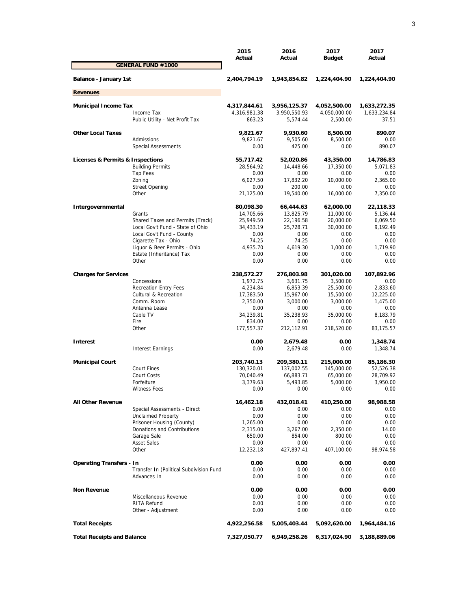|                                   |                                          | 2015<br>Actual         | 2016<br>Actual         | 2017<br><b>Budget</b>  | 2017<br>Actual        |
|-----------------------------------|------------------------------------------|------------------------|------------------------|------------------------|-----------------------|
|                                   | <b>GENERAL FUND #1000</b>                |                        |                        |                        |                       |
| Balance - January 1st             |                                          | 2,404,794.19           | 1,943,854.82           | 1,224,404.90           | 1,224,404.90          |
| <b>Revenues</b>                   |                                          |                        |                        |                        |                       |
| <b>Municipal Income Tax</b>       |                                          | 4,317,844.61           | 3,956,125.37           | 4,052,500.00           | 1,633,272.35          |
|                                   | Income Tax                               | 4,316,981.38           | 3,950,550.93           | 4,050,000.00           | 1,633,234.84          |
|                                   | Public Utility - Net Profit Tax          | 863.23                 | 5,574.44               | 2,500.00               | 37.51                 |
| <b>Other Local Taxes</b>          |                                          | 9,821.67               | 9,930.60               | 8,500.00               | 890.07                |
|                                   | Admissions<br><b>Special Assessments</b> | 9,821.67<br>0.00       | 9,505.60<br>425.00     | 8,500.00<br>0.00       | 0.00<br>890.07        |
|                                   |                                          |                        |                        |                        |                       |
| Licenses & Permits & Inspections  |                                          | 55,717.42              | 52,020.86              | 43,350.00              | 14,786.83             |
|                                   | <b>Building Permits</b>                  | 28,564.92              | 14,448.66              | 17,350.00              | 5,071.83              |
|                                   | Tap Fees                                 | 0.00                   | 0.00                   | 0.00                   | 0.00                  |
|                                   | Zoning                                   | 6,027.50               | 17,832.20              | 10,000.00              | 2,365.00              |
|                                   | <b>Street Opening</b><br>Other           | 0.00<br>21,125.00      | 200.00<br>19,540.00    | 0.00<br>16,000.00      | 0.00<br>7,350.00      |
|                                   |                                          |                        |                        |                        |                       |
| Intergovernmental                 | Grants                                   | 80,098.30<br>14,705.66 | 66,444.63<br>13,825.79 | 62,000.00<br>11,000.00 | 22,118.33<br>5,136.44 |
|                                   | Shared Taxes and Permits (Track)         | 25,949.50              | 22,196.58              | 20,000.00              | 6,069.50              |
|                                   | Local Gov't Fund - State of Ohio         | 34,433.19              | 25,728.71              | 30,000.00              | 9,192.49              |
|                                   | Local Gov't Fund - County                | 0.00                   | 0.00                   | 0.00                   | 0.00                  |
|                                   | Cigarette Tax - Ohio                     | 74.25                  | 74.25                  | 0.00                   | 0.00                  |
|                                   | Liquor & Beer Permits - Ohio             | 4,935.70               | 4,619.30               | 1,000.00               | 1.719.90              |
|                                   | Estate (Inheritance) Tax                 | 0.00                   | 0.00                   | 0.00                   | 0.00                  |
|                                   | Other                                    | 0.00                   | 0.00                   | 0.00                   | 0.00                  |
| <b>Charges for Services</b>       |                                          | 238,572.27             | 276,803.98             | 301,020.00             | 107,892.96            |
|                                   | Concessions                              | 1,972.75               | 3,631.75               | 3,500.00               | 0.00                  |
|                                   | <b>Recreation Entry Fees</b>             | 4,234.84               | 6,853.39               | 25,500.00              | 2,833.60              |
|                                   | <b>Cultural &amp; Recreation</b>         | 17,383.50              | 15,967.00              | 15,500.00              | 12,225.00             |
|                                   | Comm. Room                               | 2,350.00               | 3,000.00               | 3,000.00               | 1,475.00              |
|                                   | Antenna Lease                            | 0.00                   | 0.00                   | 0.00                   | 0.00                  |
|                                   | Cable TV                                 | 34,239.81              | 35,238.93              | 35,000.00              | 8,183.79              |
|                                   | Fire                                     | 834.00                 | 0.00                   | 0.00                   | 0.00                  |
|                                   | Other                                    | 177,557.37             | 212,112.91             | 218,520.00             | 83,175.57             |
| <b>Interest</b>                   |                                          | 0.00                   | 2,679.48               | 0.00                   | 1,348.74              |
|                                   | <b>Interest Earnings</b>                 | 0.00                   | 2,679.48               | 0.00                   | 1,348.74              |
| <b>Municipal Court</b>            |                                          | 203,740.13             | 209,380.11             | 215,000.00             | 85,186.30             |
|                                   | <b>Court Fines</b>                       | 130,320.01             | 137,002.55             | 145,000.00             | 52,526.38             |
|                                   | Court Costs                              | 70,040.49              | 66,883.71              | 65,000.00              | 28,709.92             |
|                                   | Forfeiture                               | 3,379.63               | 5,493.85               | 5,000.00               | 3,950.00              |
|                                   | <b>Witness Fees</b>                      | 0.00                   | 0.00                   | 0.00                   | 0.00                  |
| <b>All Other Revenue</b>          |                                          | 16,462.18              | 432,018.41             | 410,250.00             | 98,988.58             |
|                                   | Special Assessments - Direct             | 0.00                   | 0.00                   | 0.00                   | 0.00                  |
|                                   | <b>Unclaimed Property</b>                | 0.00                   | 0.00                   | 0.00                   | 0.00                  |
|                                   | Prisoner Housing (County)                | 1,265.00               | 0.00                   | 0.00                   | 0.00                  |
|                                   | Donations and Contributions              | 2,315.00               | 3,267.00               | 2,350.00               | 14.00                 |
|                                   | Garage Sale                              | 650.00                 | 854.00                 | 800.00                 | 0.00                  |
|                                   | <b>Asset Sales</b>                       | 0.00                   | 0.00                   | 0.00                   | 0.00                  |
|                                   | Other                                    | 12,232.18              | 427,897.41             | 407,100.00             | 98,974.58             |
| <b>Operating Transfers - In</b>   |                                          | 0.00                   | 0.00                   | 0.00                   | 0.00                  |
|                                   | Transfer In (Political Subdivision Fund  | 0.00                   | 0.00                   | 0.00                   | 0.00                  |
|                                   | Advances In                              | 0.00                   | 0.00                   | 0.00                   | 0.00                  |
| <b>Non Revenue</b>                |                                          | 0.00                   | 0.00                   | 0.00                   | 0.00                  |
|                                   | Miscellaneous Revenue                    | 0.00                   | 0.00                   | 0.00                   | 0.00                  |
|                                   | RITA Refund                              | 0.00                   | 0.00                   | 0.00                   | 0.00                  |
|                                   | Other - Adjustment                       | 0.00                   | 0.00                   | 0.00                   | 0.00                  |
| <b>Total Receipts</b>             |                                          | 4,922,256.58           | 5,005,403.44           | 5,092,620.00           | 1,964,484.16          |
| <b>Total Receipts and Balance</b> |                                          | 7,327,050.77           | 6,949,258.26           | 6,317,024.90           | 3,188,889.06          |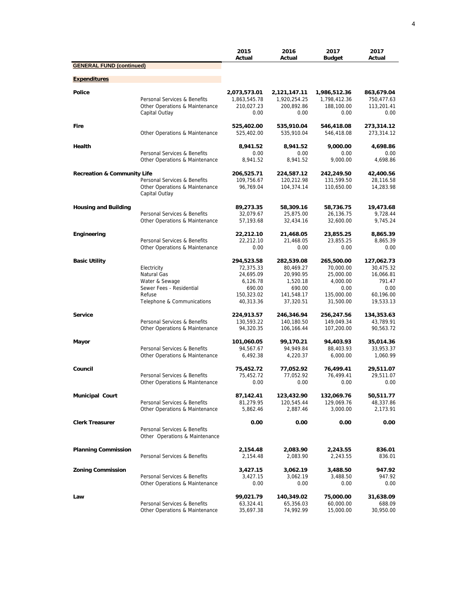|                                        |                                                                                                                  | 2015<br>Actual                                                                        | 2016<br>Actual                                                                        | 2017<br><b>Budget</b>                                                               | 2017<br>Actual                                                                   |
|----------------------------------------|------------------------------------------------------------------------------------------------------------------|---------------------------------------------------------------------------------------|---------------------------------------------------------------------------------------|-------------------------------------------------------------------------------------|----------------------------------------------------------------------------------|
| <b>GENERAL FUND (continued)</b>        |                                                                                                                  |                                                                                       |                                                                                       |                                                                                     |                                                                                  |
| <b>Expenditures</b>                    |                                                                                                                  |                                                                                       |                                                                                       |                                                                                     |                                                                                  |
| <b>Police</b>                          | Personal Services & Benefits<br>Other Operations & Maintenance<br>Capital Outlay                                 | 2,073,573.01<br>1,863,545.78<br>210,027.23<br>0.00                                    | 2,121,147.11<br>1,920,254.25<br>200,892.86<br>0.00                                    | 1,986,512.36<br>1,798,412.36<br>188,100.00<br>0.00                                  | 863,679.04<br>750,477.63<br>113,201.41<br>0.00                                   |
| Fire                                   | Other Operations & Maintenance                                                                                   | 525,402.00<br>525,402.00                                                              | 535,910.04<br>535,910.04                                                              | 546,418.08<br>546,418.08                                                            | 273,314.12<br>273,314.12                                                         |
| Health                                 | Personal Services & Benefits                                                                                     | 8,941.52<br>0.00<br>8,941.52                                                          | 8,941.52<br>0.00<br>8.941.52                                                          | 9,000.00<br>0.00<br>9,000.00                                                        | 4,698.86<br>0.00<br>4,698.86                                                     |
|                                        | Other Operations & Maintenance                                                                                   |                                                                                       |                                                                                       |                                                                                     |                                                                                  |
| <b>Recreation &amp; Community Life</b> | Personal Services & Benefits<br>Other Operations & Maintenance<br>Capital Outlay                                 | 206,525.71<br>109,756.67<br>96,769.04                                                 | 224,587.12<br>120,212.98<br>104,374.14                                                | 242,249.50<br>131,599.50<br>110,650.00                                              | 42,400.56<br>28,116.58<br>14,283.98                                              |
| <b>Housing and Building</b>            | Personal Services & Benefits<br>Other Operations & Maintenance                                                   | 89,273.35<br>32,079.67<br>57,193.68                                                   | 58,309.16<br>25,875.00<br>32,434.16                                                   | 58,736.75<br>26,136.75<br>32,600.00                                                 | 19,473.68<br>9,728.44<br>9,745.24                                                |
| Engineering                            | Personal Services & Benefits<br>Other Operations & Maintenance                                                   | 22,212.10<br>22.212.10<br>0.00                                                        | 21,468.05<br>21,468.05<br>0.00                                                        | 23,855.25<br>23,855.25<br>0.00                                                      | 8,865.39<br>8,865.39<br>0.00                                                     |
| <b>Basic Utility</b>                   | Electricity<br>Natural Gas<br>Water & Sewage<br>Sewer Fees - Residential<br>Refuse<br>Telephone & Communications | 294,523.58<br>72,375.33<br>24,695.09<br>6,126.78<br>690.00<br>150,323.02<br>40,313.36 | 282,539.08<br>80,469.27<br>20,990.95<br>1,520.18<br>690.00<br>141,548.17<br>37,320.51 | 265,500.00<br>70,000.00<br>25,000.00<br>4,000.00<br>0.00<br>135,000.00<br>31,500.00 | 127,062.73<br>30,475.32<br>16,066.81<br>791.47<br>0.00<br>60,196.00<br>19,533.13 |
| <b>Service</b>                         | Personal Services & Benefits<br>Other Operations & Maintenance                                                   | 224,913.57<br>130,593.22<br>94,320.35                                                 | 246,346.94<br>140,180.50<br>106,166.44                                                | 256,247.56<br>149,049.34<br>107,200.00                                              | 134,353.63<br>43,789.91<br>90,563.72                                             |
| Mayor                                  | Personal Services & Benefits<br>Other Operations & Maintenance                                                   | 101,060.05<br>94,567.67<br>6,492.38                                                   | 99,170.21<br>94,949.84<br>4,220.37                                                    | 94,403.93<br>88,403.93<br>6,000.00                                                  | 35,014.36<br>33,953.37<br>1,060.99                                               |
| Council                                | Personal Services & Benefits<br>Other Operations & Maintenance                                                   | 75,452.72<br>75,452.72<br>0.00                                                        | 77,052.92<br>77,052.92<br>0.00                                                        | 76,499.41<br>76,499.41<br>0.00                                                      | 29,511.07<br>29,511.07<br>0.00                                                   |
| <b>Municipal Court</b>                 | Personal Services & Benefits<br>Other Operations & Maintenance                                                   | 87,142.41<br>81,279.95<br>5,862.46                                                    | 123,432.90<br>120,545.44<br>2,887.46                                                  | 132,069.76<br>129,069.76<br>3,000.00                                                | 50,511.77<br>48,337.86<br>2,173.91                                               |
| <b>Clerk Treasurer</b>                 | Personal Services & Benefits<br>Other Operations & Maintenance                                                   | 0.00                                                                                  | 0.00                                                                                  | 0.00                                                                                | 0.00                                                                             |
| <b>Planning Commission</b>             | Personal Services & Benefits                                                                                     | 2,154.48<br>2,154.48                                                                  | 2,083.90<br>2,083.90                                                                  | 2,243.55<br>2,243.55                                                                | 836.01<br>836.01                                                                 |
| <b>Zoning Commission</b>               | Personal Services & Benefits<br>Other Operations & Maintenance                                                   | 3,427.15<br>3,427.15<br>0.00                                                          | 3,062.19<br>3,062.19<br>0.00                                                          | 3,488.50<br>3,488.50<br>0.00                                                        | 947.92<br>947.92<br>0.00                                                         |
| Law                                    | Personal Services & Benefits<br>Other Operations & Maintenance                                                   | 99,021.79<br>63,324.41<br>35,697.38                                                   | 140,349.02<br>65,356.03<br>74,992.99                                                  | 75,000.00<br>60,000.00<br>15,000.00                                                 | 31,638.09<br>688.09<br>30,950.00                                                 |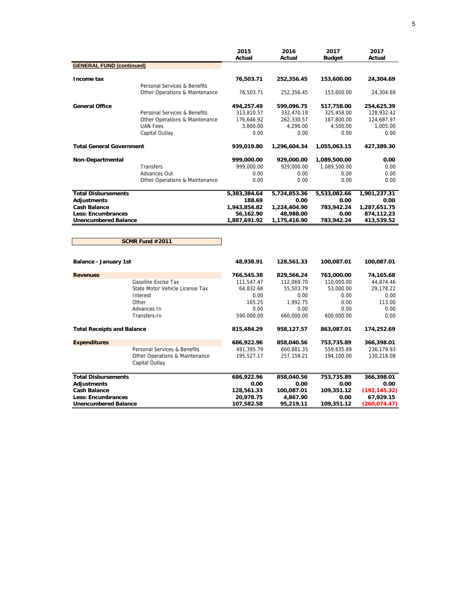|                                   |                                                  | 2015<br>Actual | 2016<br>Actual | 2017          | 2017<br>Actual |
|-----------------------------------|--------------------------------------------------|----------------|----------------|---------------|----------------|
| <b>GENERAL FUND (continued)</b>   |                                                  |                |                | <b>Budget</b> |                |
|                                   |                                                  |                |                |               |                |
| Income tax                        |                                                  | 76,503.71      | 252,356.45     | 153,600.00    | 24,304.69      |
|                                   | Personal Services & Benefits                     |                |                |               |                |
|                                   | Other Operations & Maintenance                   | 76,503.71      | 252,356.45     | 153,600.00    | 24,304.69      |
| <b>General Office</b>             |                                                  | 494,257.49     | 599,096.75     | 517,758.00    | 254,625.39     |
|                                   | Personal Services & Benefits                     | 313,810.57     | 332,470.18     | 325,458.00    | 128,932.42     |
|                                   | Other Operations & Maintenance                   | 176,646.92     | 262,330.57     | 187,800.00    | 124,687.97     |
|                                   | <b>UAN Fees</b>                                  | 3,800.00       | 4,296.00       | 4,500.00      | 1,005.00       |
|                                   | Capital Outlay                                   | 0.00           | 0.00           | 0.00          | 0.00           |
| <b>Total General Government</b>   |                                                  | 939,019.80     | 1,296,604.34   | 1,055,063.15  | 427,389.30     |
| Non-Departmental                  |                                                  | 999,000.00     | 929,000.00     | 1,089,500.00  | 0.00           |
|                                   | Transfers                                        | 999,000.00     | 929,000.00     | 1,089,500.00  | 0.00           |
|                                   | Advances Out                                     | 0.00           | 0.00           | 0.00          | 0.00           |
|                                   | Other Operations & Maintenance                   | 0.00           | 0.00           | 0.00          | 0.00           |
| <b>Total Disbursements</b>        |                                                  | 5,383,384.64   | 5,724,853.36   | 5,533,082.66  | 1,901,237.31   |
| <b>Adjustments</b>                |                                                  | 188.69         | 0.00           | 0.00          | 0.00           |
| <b>Cash Balance</b>               |                                                  | 1,943,854.82   | 1,224,404.90   | 783,942.24    | 1,287,651.75   |
| <b>Less: Encumbrances</b>         |                                                  | 56,162.90      | 48,988.00      | 0.00          | 874,112.23     |
| <b>Unencumbered Balance</b>       |                                                  | 1,887,691.92   | 1,175,416.90   | 783,942.24    | 413,539.52     |
|                                   | <b>SCMR Fund #2011</b>                           |                |                |               |                |
| Balance - January 1st             |                                                  | 48,938.91      | 128,561.33     | 100,087.01    | 100,087.01     |
|                                   |                                                  |                |                |               |                |
| <b>Revenues</b>                   |                                                  | 766,545.38     | 829,566.24     | 763,000.00    | 74,165.68      |
|                                   | Gasoline Excise Tax                              | 111,547.47     | 112,069.70     | 110,000.00    | 44,874.46      |
|                                   | State Motor Vehicle License Tax                  | 64,832.66      | 55,503.79      | 53,000.00     | 29,178.22      |
|                                   | Interest                                         | 0.00           | 0.00           | 0.00          | 0.00           |
|                                   | Other                                            | 165.25         | 1,992.75       | 0.00          | 113.00         |
|                                   | Advances In                                      | 0.00           | 0.00           | 0.00          | 0.00           |
|                                   | Transfers-In                                     | 590,000.00     | 660,000.00     | 600,000.00    | 0.00           |
| <b>Total Receipts and Balance</b> |                                                  | 815,484.29     | 958,127.57     | 863,087.01    | 174,252.69     |
| <b>Expenditures</b>               |                                                  | 686,922.96     | 858,040.56     | 753,735.89    | 366,398.01     |
|                                   | Personal Services & Benefits                     | 491,395.79     | 600,881.35     | 559,635.89    | 236,179.93     |
|                                   | Other Operations & Maintenance<br>Capital Outlay | 195,527.17     | 257,159.21     | 194,100.00    | 130,218.08     |
| <b>Total Disbursements</b>        |                                                  | 686,922.96     | 858,040.56     | 753,735.89    | 366,398.01     |
| <b>Adjustments</b>                |                                                  | 0.00           | 0.00           | 0.00          | 0.00           |
| <b>Cash Balance</b>               |                                                  | 128,561.33     | 100,087.01     | 109,351.12    | (192, 145.32)  |
| <b>Less: Encumbrances</b>         |                                                  | 20,978.75      | 4,867.90       | 0.00          | 67,929.15      |
| Unencumbered Balance              |                                                  | 107,582.58     | 95,219.11      | 109,351.12    | (260, 074.47)  |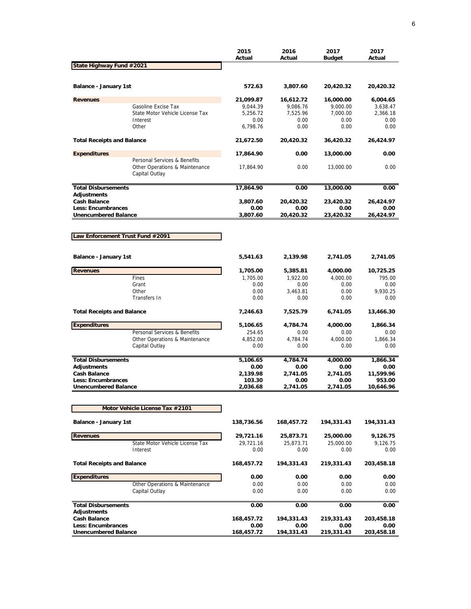|                                                          |                                                                                  | 2015<br>Actual     | 2016<br>Actual   | 2017<br><b>Budget</b> | 2017<br>Actual      |
|----------------------------------------------------------|----------------------------------------------------------------------------------|--------------------|------------------|-----------------------|---------------------|
| State Highway Fund #2021                                 |                                                                                  |                    |                  |                       |                     |
| Balance - January 1st                                    |                                                                                  | 572.63             | 3,807.60         | 20,420.32             | 20,420.32           |
| <b>Revenues</b>                                          |                                                                                  | 21,099.87          | 16,612.72        | 16,000.00             | 6,004.65            |
|                                                          | Gasoline Excise Tax                                                              | 9,044.39           | 9,086.76         | 9,000.00              | 3,638.47            |
|                                                          | State Motor Vehicle License Tax                                                  | 5,256.72           | 7,525.96         | 7,000.00              | 2,366.18            |
|                                                          | Interest<br>Other                                                                | 0.00<br>6,798.76   | 0.00<br>0.00     | 0.00<br>0.00          | 0.00<br>0.00        |
| <b>Total Receipts and Balance</b>                        |                                                                                  | 21,672.50          | 20,420.32        | 36,420.32             | 26,424.97           |
| <b>Expenditures</b>                                      |                                                                                  | 17,864.90          | 0.00             | 13,000.00             | 0.00                |
|                                                          | Personal Services & Benefits<br>Other Operations & Maintenance<br>Capital Outlay | 17,864.90          | 0.00             | 13,000.00             | 0.00                |
| <b>Total Disbursements</b>                               |                                                                                  | 17,864.90          | 0.00             | 13,000.00             | 0.00                |
| <b>Adjustments</b><br><b>Cash Balance</b>                |                                                                                  | 3,807.60           | 20,420.32        | 23,420.32             | 26,424.97           |
| Less: Encumbrances                                       |                                                                                  | 0.00               | 0.00             | 0.00                  | 0.00                |
| <b>Unencumbered Balance</b>                              |                                                                                  | 3.807.60           | 20,420.32        | 23,420.32             | 26,424.97           |
|                                                          |                                                                                  |                    |                  |                       |                     |
| Law Enforcement Trust Fund #2091                         |                                                                                  |                    |                  |                       |                     |
| Balance - January 1st                                    |                                                                                  | 5,541.63           | 2,139.98         | 2,741.05              | 2,741.05            |
| <b>Revenues</b>                                          |                                                                                  | 1,705.00           | 5,385.81         | 4,000.00              | 10,725.25           |
|                                                          | Fines                                                                            | 1,705.00           | 1,922.00         | 4,000.00              | 795.00              |
|                                                          | Grant                                                                            | 0.00               | 0.00             | 0.00                  | 0.00                |
|                                                          | Other                                                                            | 0.00               | 3,463.81         | 0.00                  | 9,930.25            |
|                                                          | Transfers In                                                                     | 0.00               | 0.00             | 0.00                  | 0.00                |
| <b>Total Receipts and Balance</b>                        |                                                                                  | 7,246.63           | 7,525.79         | 6,741.05              | 13,466.30           |
| <b>Expenditures</b>                                      |                                                                                  | 5,106.65           | 4,784.74         | 4,000.00              | 1,866.34            |
|                                                          | Personal Services & Benefits                                                     | 254.65             | 0.00             | 0.00                  | 0.00                |
|                                                          | Other Operations & Maintenance                                                   | 4,852.00           | 4,784.74         | 4,000.00              | 1,866.34            |
|                                                          | Capital Outlay                                                                   | 0.00               | 0.00             | 0.00                  | 0.00                |
| <b>Total Disbursements</b>                               |                                                                                  | 5,106.65           | 4,784.74         | 4,000.00              | 1,866.34            |
| Adjustments                                              |                                                                                  | 0.00               | 0.00             | 0.00                  | 0.00                |
| <b>Cash Balance</b>                                      |                                                                                  | 2,139.98           | 2,741.05         | 2,741.05              | 11,599.96           |
| <b>Less: Encumbrances</b><br><b>Unencumbered Balance</b> |                                                                                  | 103.30<br>2,036.68 | 0.00<br>2,741.05 | 0.00<br>2,741.05      | 953.00<br>10,646.96 |
|                                                          |                                                                                  |                    |                  |                       |                     |
|                                                          | Motor Vehicle License Tax #2101                                                  |                    |                  |                       |                     |
| Balance - January 1st                                    |                                                                                  | 138,736.56         | 168,457.72       | 194,331.43            | 194,331.43          |
| <b>Revenues</b>                                          |                                                                                  | 29,721.16          | 25,873.71        | 25,000.00             | 9,126.75            |
|                                                          | State Motor Vehicle License Tax                                                  | 29,721.16          | 25,873.71        | 25,000.00             | 9,126.75            |
|                                                          | Interest                                                                         | 0.00               | 0.00             | 0.00                  | 0.00                |
| <b>Total Receipts and Balance</b>                        |                                                                                  | 168,457.72         | 194,331.43       | 219,331.43            | 203,458.18          |
| <b>Expenditures</b>                                      |                                                                                  | 0.00               | 0.00             | 0.00                  | 0.00                |
|                                                          | <b>Other Operations &amp; Maintenance</b><br>Capital Outlay                      | 0.00<br>0.00       | 0.00<br>0.00     | 0.00<br>0.00          | 0.00<br>0.00        |
|                                                          |                                                                                  |                    |                  |                       |                     |
| <b>Total Disbursements</b><br><b>Adjustments</b>         |                                                                                  | 0.00               | 0.00             | 0.00                  | 0.00                |
| <b>Cash Balance</b>                                      |                                                                                  | 168,457.72         | 194,331.43       | 219,331.43            | 203,458.18          |
| Less: Encumbrances                                       |                                                                                  | 0.00               | 0.00             | 0.00                  | 0.00                |
| <b>Unencumbered Balance</b>                              |                                                                                  | 168,457.72         | 194,331.43       | 219,331.43            | 203,458.18          |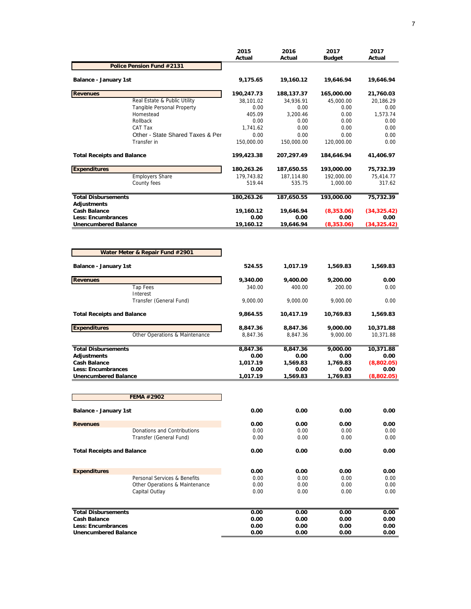|                                                          |                                     | 2015<br>Actual    | 2016<br>Actual    | 2017<br><b>Budget</b> | 2017<br>Actual       |
|----------------------------------------------------------|-------------------------------------|-------------------|-------------------|-----------------------|----------------------|
|                                                          | Police Pension Fund #2131           |                   |                   |                       |                      |
| Balance - January 1st                                    |                                     | 9,175.65          | 19,160.12         | 19,646.94             | 19,646.94            |
| <b>Revenues</b>                                          |                                     | 190,247.73        | 188,137.37        | 165,000.00            | 21,760.03            |
|                                                          | Real Estate & Public Utility        | 38,101.02         | 34.936.91         | 45,000.00             | 20,186.29            |
|                                                          | Tangible Personal Property          | 0.00              | 0.00              | 0.00                  | 0.00                 |
|                                                          | Homestead                           | 405.09            | 3,200.46          | 0.00                  | 1,573.74             |
|                                                          | Rollback<br>CAT Tax                 | 0.00<br>1,741.62  | 0.00<br>0.00      | 0.00<br>0.00          | 0.00<br>0.00         |
|                                                          | Other - State Shared Taxes & Per    | 0.00              | 0.00              | 0.00                  | 0.00                 |
|                                                          | Transfer in                         | 150,000.00        | 150,000.00        | 120,000.00            | 0.00                 |
| <b>Total Receipts and Balance</b>                        |                                     | 199,423.38        | 207,297.49        | 184,646.94            | 41,406.97            |
| <b>Expenditures</b>                                      |                                     | 180,263.26        | 187,650.55        | 193,000.00            | 75,732.39            |
|                                                          | <b>Employers Share</b>              | 179,743.82        | 187,114.80        | 192,000.00            | 75,414.77            |
|                                                          | County fees                         | 519.44            | 535.75            | 1,000.00              | 317.62               |
| <b>Total Disbursements</b><br><b>Adiustments</b>         |                                     | 180,263.26        | 187,650.55        | 193,000.00            | 75,732.39            |
| <b>Cash Balance</b>                                      |                                     | 19,160.12         | 19,646.94         | (8,353.06)            | (34, 325.42)         |
| <b>Less: Encumbrances</b><br><b>Unencumbered Balance</b> |                                     | 0.00<br>19,160.12 | 0.00<br>19,646.94 | 0.00<br>(8,353.06)    | 0.00<br>(34, 325.42) |
|                                                          | Water Meter & Repair Fund #2901     |                   |                   |                       |                      |
| Balance - January 1st                                    |                                     | 524.55            | 1,017.19          | 1,569.83              | 1,569.83             |
| <b>Revenues</b>                                          |                                     | 9,340.00          | 9,400.00          | 9,200.00              | 0.00                 |
|                                                          | <b>Tap Fees</b>                     | 340.00            | 400.00            | 200.00                | 0.00                 |
|                                                          | Interest<br>Transfer (General Fund) | 9,000.00          | 9,000.00          | 9,000.00              | 0.00                 |
| <b>Total Receipts and Balance</b>                        |                                     | 9,864.55          | 10,417.19         | 10,769.83             | 1,569.83             |
| <b>Expenditures</b>                                      |                                     | 8,847.36          | 8,847.36          | 9,000.00              | 10,371.88            |
|                                                          | Other Operations & Maintenance      | 8,847.36          | 8,847.36          | 9,000.00              | 10,371.88            |
| <b>Total Disbursements</b>                               |                                     | 8,847.36          | 8,847.36          | 9,000.00              | 10,371.88            |
| <b>Adjustments</b>                                       |                                     | 0.00              | 0.00              | 0.00                  | 0.00                 |
| <b>Cash Balance</b>                                      |                                     | 1,017.19          | 1,569.83          | 1.769.83              | (8,802.05)           |
| <b>Less: Encumbrances</b><br><b>Unencumbered Balance</b> |                                     | 0.00<br>1,017.19  | 0.00<br>1,569.83  | 0.00<br>1,769.83      | 0.00<br>(8,802.05)   |
|                                                          |                                     |                   |                   |                       |                      |
|                                                          | <b>FEMA #2902</b>                   |                   |                   |                       |                      |
| <b>Balance - January 1st</b>                             |                                     | 0.00              | 0.00              | 0.00                  | 0.00                 |
| <b>Revenues</b>                                          |                                     | 0.00              | 0.00              | 0.00                  | 0.00                 |
|                                                          | Donations and Contributions         | 0.00              | 0.00              | 0.00                  | 0.00                 |
|                                                          | Transfer (General Fund)             | 0.00              | 0.00              | 0.00                  | 0.00                 |
| <b>Total Receipts and Balance</b>                        |                                     | 0.00              | 0.00              | 0.00                  | 0.00                 |
| <b>Expenditures</b>                                      |                                     | 0.00              | 0.00              | 0.00                  | 0.00                 |
|                                                          | Personal Services & Benefits        | 0.00              | 0.00              | 0.00                  | 0.00                 |
|                                                          | Other Operations & Maintenance      | 0.00              | 0.00              | 0.00                  | 0.00                 |
|                                                          | Capital Outlay                      | 0.00              | 0.00              | 0.00                  | 0.00                 |
| <b>Total Disbursements</b>                               |                                     | 0.00              | 0.00              | 0.00                  | 0.00                 |
| <b>Cash Balance</b>                                      |                                     | 0.00              | 0.00              | 0.00                  | 0.00                 |
| Less: Encumbrances                                       |                                     | 0.00              | 0.00              | 0.00                  | 0.00                 |
| <b>Unencumbered Balance</b>                              |                                     | 0.00              | 0.00              | 0.00                  | 0.00                 |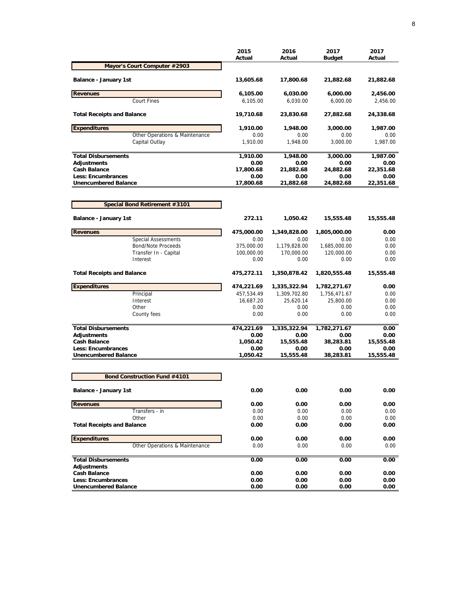| Mayor's Court Computer #2903<br>Balance - January 1st<br>13,605.68<br>17,800.68<br>21,882.68<br>21,882.68<br><b>Revenues</b><br>6,105.00<br>6,000.00<br>6,030.00<br>2,456.00<br><b>Court Fines</b><br>6,105.00<br>6,030.00<br>6,000.00<br>2,456.00<br><b>Total Receipts and Balance</b><br>19,710.68<br>23,830.68<br>27,882.68<br>24,338.68<br><b>Expenditures</b><br>1,910.00<br>3,000.00<br>1,948.00<br>1,987.00<br>Other Operations & Maintenance<br>0.00<br>0.00<br>0.00<br>0.00<br>Capital Outlay<br>1,910.00<br>1,948.00<br>3,000.00<br>1,987.00<br><b>Total Disbursements</b><br>1,910.00<br>1,948.00<br>3,000.00<br>1,987.00<br>Adjustments<br>0.00<br>0.00<br>0.00<br>0.00<br><b>Cash Balance</b><br>17,800.68<br>21,882.68<br>24,882.68<br>22,351.68<br>Less: Encumbrances<br>0.00<br>0.00<br>0.00<br>0.00<br><b>Unencumbered Balance</b><br>17,800.68<br>21,882.68<br>24,882.68<br>22,351.68<br>Special Bond Retirement #3101<br>Balance - January 1st<br>272.11<br>1,050.42<br>15,555.48<br>15,555.48<br><b>Revenues</b><br>475,000.00<br>1,349,828.00<br>1,805,000.00<br>0.00<br><b>Special Assessments</b><br>0.00<br>0.00<br>0.00<br>0.00<br><b>Bond/Note Proceeds</b><br>375,000.00<br>1,179,828.00<br>1,685,000.00<br>0.00<br>Transfer In - Capital<br>100,000.00<br>170,000.00<br>120,000.00<br>0.00<br>Interest<br>0.00<br>0.00<br>0.00<br>0.00<br><b>Total Receipts and Balance</b><br>1,350,878.42<br>1,820,555.48<br>15,555.48<br>475,272.11<br><b>Expenditures</b><br>474,221.69<br>1,335,322.94<br>1,782,271.67<br>0.00<br>Principal<br>457,534.49<br>1,309,702.80<br>1,756,471.67<br>0.00<br>Interest<br>16,687.20<br>25,620.14<br>25,800.00<br>0.00<br>Other<br>0.00<br>0.00<br>0.00<br>0.00<br>0.00<br>0.00<br>0.00<br>0.00<br>County fees<br><b>Total Disbursements</b><br>474,221.69<br>1,335,322.94<br>1,782,271.67<br>0.00<br><b>Adjustments</b><br>0.00<br>0.00<br>0.00<br>0.00<br><b>Cash Balance</b><br>1,050.42<br>38,283.81<br>15,555.48<br>15,555.48<br><b>Less: Encumbrances</b><br>0.00<br>0.00<br>0.00<br>0.00<br><b>Unencumbered Balance</b><br>1,050.42<br>38,283.81<br>15,555.48<br>15,555.48<br><b>Bond Construction Fund #4101</b><br>0.00<br>0.00<br>0.00<br>0.00<br><b>Balance - January 1st</b><br><b>Revenues</b><br>0.00<br>0.00<br>0.00<br>0.00<br>Transfers - in<br>0.00<br>0.00<br>0.00<br>0.00<br>Other<br>0.00<br>0.00<br>0.00<br>0.00<br><b>Total Receipts and Balance</b><br>0.00<br>0.00<br>0.00<br>0.00<br><b>Expenditures</b><br>0.00<br>0.00<br>0.00<br>0.00<br>Other Operations & Maintenance<br>0.00<br>0.00<br>0.00<br>0.00<br><b>Total Disbursements</b><br>0.00<br>0.00<br>0.00<br>0.00<br>Adjustments<br>0.00<br><b>Cash Balance</b><br>0.00<br>0.00<br>0.00<br>0.00<br><b>Less: Encumbrances</b><br>0.00<br>0.00<br>0.00<br><b>Unencumbered Balance</b><br>0.00<br>0.00<br>0.00<br>0.00 | 2015<br>Actual | 2016<br>Actual | 2017<br><b>Budget</b> | 2017<br>Actual |
|-------------------------------------------------------------------------------------------------------------------------------------------------------------------------------------------------------------------------------------------------------------------------------------------------------------------------------------------------------------------------------------------------------------------------------------------------------------------------------------------------------------------------------------------------------------------------------------------------------------------------------------------------------------------------------------------------------------------------------------------------------------------------------------------------------------------------------------------------------------------------------------------------------------------------------------------------------------------------------------------------------------------------------------------------------------------------------------------------------------------------------------------------------------------------------------------------------------------------------------------------------------------------------------------------------------------------------------------------------------------------------------------------------------------------------------------------------------------------------------------------------------------------------------------------------------------------------------------------------------------------------------------------------------------------------------------------------------------------------------------------------------------------------------------------------------------------------------------------------------------------------------------------------------------------------------------------------------------------------------------------------------------------------------------------------------------------------------------------------------------------------------------------------------------------------------------------------------------------------------------------------------------------------------------------------------------------------------------------------------------------------------------------------------------------------------------------------------------------------------------------------------------------------------------------------------------------------------------------------------------------------------------------------------------------------------------------------------------------------------------------------------------------------------------------------------------------------------------------------------|----------------|----------------|-----------------------|----------------|
|                                                                                                                                                                                                                                                                                                                                                                                                                                                                                                                                                                                                                                                                                                                                                                                                                                                                                                                                                                                                                                                                                                                                                                                                                                                                                                                                                                                                                                                                                                                                                                                                                                                                                                                                                                                                                                                                                                                                                                                                                                                                                                                                                                                                                                                                                                                                                                                                                                                                                                                                                                                                                                                                                                                                                                                                                                                             |                |                |                       |                |
|                                                                                                                                                                                                                                                                                                                                                                                                                                                                                                                                                                                                                                                                                                                                                                                                                                                                                                                                                                                                                                                                                                                                                                                                                                                                                                                                                                                                                                                                                                                                                                                                                                                                                                                                                                                                                                                                                                                                                                                                                                                                                                                                                                                                                                                                                                                                                                                                                                                                                                                                                                                                                                                                                                                                                                                                                                                             |                |                |                       |                |
|                                                                                                                                                                                                                                                                                                                                                                                                                                                                                                                                                                                                                                                                                                                                                                                                                                                                                                                                                                                                                                                                                                                                                                                                                                                                                                                                                                                                                                                                                                                                                                                                                                                                                                                                                                                                                                                                                                                                                                                                                                                                                                                                                                                                                                                                                                                                                                                                                                                                                                                                                                                                                                                                                                                                                                                                                                                             |                |                |                       |                |
|                                                                                                                                                                                                                                                                                                                                                                                                                                                                                                                                                                                                                                                                                                                                                                                                                                                                                                                                                                                                                                                                                                                                                                                                                                                                                                                                                                                                                                                                                                                                                                                                                                                                                                                                                                                                                                                                                                                                                                                                                                                                                                                                                                                                                                                                                                                                                                                                                                                                                                                                                                                                                                                                                                                                                                                                                                                             |                |                |                       |                |
|                                                                                                                                                                                                                                                                                                                                                                                                                                                                                                                                                                                                                                                                                                                                                                                                                                                                                                                                                                                                                                                                                                                                                                                                                                                                                                                                                                                                                                                                                                                                                                                                                                                                                                                                                                                                                                                                                                                                                                                                                                                                                                                                                                                                                                                                                                                                                                                                                                                                                                                                                                                                                                                                                                                                                                                                                                                             |                |                |                       |                |
|                                                                                                                                                                                                                                                                                                                                                                                                                                                                                                                                                                                                                                                                                                                                                                                                                                                                                                                                                                                                                                                                                                                                                                                                                                                                                                                                                                                                                                                                                                                                                                                                                                                                                                                                                                                                                                                                                                                                                                                                                                                                                                                                                                                                                                                                                                                                                                                                                                                                                                                                                                                                                                                                                                                                                                                                                                                             |                |                |                       |                |
|                                                                                                                                                                                                                                                                                                                                                                                                                                                                                                                                                                                                                                                                                                                                                                                                                                                                                                                                                                                                                                                                                                                                                                                                                                                                                                                                                                                                                                                                                                                                                                                                                                                                                                                                                                                                                                                                                                                                                                                                                                                                                                                                                                                                                                                                                                                                                                                                                                                                                                                                                                                                                                                                                                                                                                                                                                                             |                |                |                       |                |
|                                                                                                                                                                                                                                                                                                                                                                                                                                                                                                                                                                                                                                                                                                                                                                                                                                                                                                                                                                                                                                                                                                                                                                                                                                                                                                                                                                                                                                                                                                                                                                                                                                                                                                                                                                                                                                                                                                                                                                                                                                                                                                                                                                                                                                                                                                                                                                                                                                                                                                                                                                                                                                                                                                                                                                                                                                                             |                |                |                       |                |
|                                                                                                                                                                                                                                                                                                                                                                                                                                                                                                                                                                                                                                                                                                                                                                                                                                                                                                                                                                                                                                                                                                                                                                                                                                                                                                                                                                                                                                                                                                                                                                                                                                                                                                                                                                                                                                                                                                                                                                                                                                                                                                                                                                                                                                                                                                                                                                                                                                                                                                                                                                                                                                                                                                                                                                                                                                                             |                |                |                       |                |
|                                                                                                                                                                                                                                                                                                                                                                                                                                                                                                                                                                                                                                                                                                                                                                                                                                                                                                                                                                                                                                                                                                                                                                                                                                                                                                                                                                                                                                                                                                                                                                                                                                                                                                                                                                                                                                                                                                                                                                                                                                                                                                                                                                                                                                                                                                                                                                                                                                                                                                                                                                                                                                                                                                                                                                                                                                                             |                |                |                       |                |
|                                                                                                                                                                                                                                                                                                                                                                                                                                                                                                                                                                                                                                                                                                                                                                                                                                                                                                                                                                                                                                                                                                                                                                                                                                                                                                                                                                                                                                                                                                                                                                                                                                                                                                                                                                                                                                                                                                                                                                                                                                                                                                                                                                                                                                                                                                                                                                                                                                                                                                                                                                                                                                                                                                                                                                                                                                                             |                |                |                       |                |
|                                                                                                                                                                                                                                                                                                                                                                                                                                                                                                                                                                                                                                                                                                                                                                                                                                                                                                                                                                                                                                                                                                                                                                                                                                                                                                                                                                                                                                                                                                                                                                                                                                                                                                                                                                                                                                                                                                                                                                                                                                                                                                                                                                                                                                                                                                                                                                                                                                                                                                                                                                                                                                                                                                                                                                                                                                                             |                |                |                       |                |
|                                                                                                                                                                                                                                                                                                                                                                                                                                                                                                                                                                                                                                                                                                                                                                                                                                                                                                                                                                                                                                                                                                                                                                                                                                                                                                                                                                                                                                                                                                                                                                                                                                                                                                                                                                                                                                                                                                                                                                                                                                                                                                                                                                                                                                                                                                                                                                                                                                                                                                                                                                                                                                                                                                                                                                                                                                                             |                |                |                       |                |
|                                                                                                                                                                                                                                                                                                                                                                                                                                                                                                                                                                                                                                                                                                                                                                                                                                                                                                                                                                                                                                                                                                                                                                                                                                                                                                                                                                                                                                                                                                                                                                                                                                                                                                                                                                                                                                                                                                                                                                                                                                                                                                                                                                                                                                                                                                                                                                                                                                                                                                                                                                                                                                                                                                                                                                                                                                                             |                |                |                       |                |
|                                                                                                                                                                                                                                                                                                                                                                                                                                                                                                                                                                                                                                                                                                                                                                                                                                                                                                                                                                                                                                                                                                                                                                                                                                                                                                                                                                                                                                                                                                                                                                                                                                                                                                                                                                                                                                                                                                                                                                                                                                                                                                                                                                                                                                                                                                                                                                                                                                                                                                                                                                                                                                                                                                                                                                                                                                                             |                |                |                       |                |
|                                                                                                                                                                                                                                                                                                                                                                                                                                                                                                                                                                                                                                                                                                                                                                                                                                                                                                                                                                                                                                                                                                                                                                                                                                                                                                                                                                                                                                                                                                                                                                                                                                                                                                                                                                                                                                                                                                                                                                                                                                                                                                                                                                                                                                                                                                                                                                                                                                                                                                                                                                                                                                                                                                                                                                                                                                                             |                |                |                       |                |
|                                                                                                                                                                                                                                                                                                                                                                                                                                                                                                                                                                                                                                                                                                                                                                                                                                                                                                                                                                                                                                                                                                                                                                                                                                                                                                                                                                                                                                                                                                                                                                                                                                                                                                                                                                                                                                                                                                                                                                                                                                                                                                                                                                                                                                                                                                                                                                                                                                                                                                                                                                                                                                                                                                                                                                                                                                                             |                |                |                       |                |
|                                                                                                                                                                                                                                                                                                                                                                                                                                                                                                                                                                                                                                                                                                                                                                                                                                                                                                                                                                                                                                                                                                                                                                                                                                                                                                                                                                                                                                                                                                                                                                                                                                                                                                                                                                                                                                                                                                                                                                                                                                                                                                                                                                                                                                                                                                                                                                                                                                                                                                                                                                                                                                                                                                                                                                                                                                                             |                |                |                       |                |
|                                                                                                                                                                                                                                                                                                                                                                                                                                                                                                                                                                                                                                                                                                                                                                                                                                                                                                                                                                                                                                                                                                                                                                                                                                                                                                                                                                                                                                                                                                                                                                                                                                                                                                                                                                                                                                                                                                                                                                                                                                                                                                                                                                                                                                                                                                                                                                                                                                                                                                                                                                                                                                                                                                                                                                                                                                                             |                |                |                       |                |
|                                                                                                                                                                                                                                                                                                                                                                                                                                                                                                                                                                                                                                                                                                                                                                                                                                                                                                                                                                                                                                                                                                                                                                                                                                                                                                                                                                                                                                                                                                                                                                                                                                                                                                                                                                                                                                                                                                                                                                                                                                                                                                                                                                                                                                                                                                                                                                                                                                                                                                                                                                                                                                                                                                                                                                                                                                                             |                |                |                       |                |
|                                                                                                                                                                                                                                                                                                                                                                                                                                                                                                                                                                                                                                                                                                                                                                                                                                                                                                                                                                                                                                                                                                                                                                                                                                                                                                                                                                                                                                                                                                                                                                                                                                                                                                                                                                                                                                                                                                                                                                                                                                                                                                                                                                                                                                                                                                                                                                                                                                                                                                                                                                                                                                                                                                                                                                                                                                                             |                |                |                       |                |
|                                                                                                                                                                                                                                                                                                                                                                                                                                                                                                                                                                                                                                                                                                                                                                                                                                                                                                                                                                                                                                                                                                                                                                                                                                                                                                                                                                                                                                                                                                                                                                                                                                                                                                                                                                                                                                                                                                                                                                                                                                                                                                                                                                                                                                                                                                                                                                                                                                                                                                                                                                                                                                                                                                                                                                                                                                                             |                |                |                       |                |
|                                                                                                                                                                                                                                                                                                                                                                                                                                                                                                                                                                                                                                                                                                                                                                                                                                                                                                                                                                                                                                                                                                                                                                                                                                                                                                                                                                                                                                                                                                                                                                                                                                                                                                                                                                                                                                                                                                                                                                                                                                                                                                                                                                                                                                                                                                                                                                                                                                                                                                                                                                                                                                                                                                                                                                                                                                                             |                |                |                       |                |
|                                                                                                                                                                                                                                                                                                                                                                                                                                                                                                                                                                                                                                                                                                                                                                                                                                                                                                                                                                                                                                                                                                                                                                                                                                                                                                                                                                                                                                                                                                                                                                                                                                                                                                                                                                                                                                                                                                                                                                                                                                                                                                                                                                                                                                                                                                                                                                                                                                                                                                                                                                                                                                                                                                                                                                                                                                                             |                |                |                       |                |
|                                                                                                                                                                                                                                                                                                                                                                                                                                                                                                                                                                                                                                                                                                                                                                                                                                                                                                                                                                                                                                                                                                                                                                                                                                                                                                                                                                                                                                                                                                                                                                                                                                                                                                                                                                                                                                                                                                                                                                                                                                                                                                                                                                                                                                                                                                                                                                                                                                                                                                                                                                                                                                                                                                                                                                                                                                                             |                |                |                       |                |
|                                                                                                                                                                                                                                                                                                                                                                                                                                                                                                                                                                                                                                                                                                                                                                                                                                                                                                                                                                                                                                                                                                                                                                                                                                                                                                                                                                                                                                                                                                                                                                                                                                                                                                                                                                                                                                                                                                                                                                                                                                                                                                                                                                                                                                                                                                                                                                                                                                                                                                                                                                                                                                                                                                                                                                                                                                                             |                |                |                       |                |
|                                                                                                                                                                                                                                                                                                                                                                                                                                                                                                                                                                                                                                                                                                                                                                                                                                                                                                                                                                                                                                                                                                                                                                                                                                                                                                                                                                                                                                                                                                                                                                                                                                                                                                                                                                                                                                                                                                                                                                                                                                                                                                                                                                                                                                                                                                                                                                                                                                                                                                                                                                                                                                                                                                                                                                                                                                                             |                |                |                       |                |
|                                                                                                                                                                                                                                                                                                                                                                                                                                                                                                                                                                                                                                                                                                                                                                                                                                                                                                                                                                                                                                                                                                                                                                                                                                                                                                                                                                                                                                                                                                                                                                                                                                                                                                                                                                                                                                                                                                                                                                                                                                                                                                                                                                                                                                                                                                                                                                                                                                                                                                                                                                                                                                                                                                                                                                                                                                                             |                |                |                       |                |
|                                                                                                                                                                                                                                                                                                                                                                                                                                                                                                                                                                                                                                                                                                                                                                                                                                                                                                                                                                                                                                                                                                                                                                                                                                                                                                                                                                                                                                                                                                                                                                                                                                                                                                                                                                                                                                                                                                                                                                                                                                                                                                                                                                                                                                                                                                                                                                                                                                                                                                                                                                                                                                                                                                                                                                                                                                                             |                |                |                       |                |
|                                                                                                                                                                                                                                                                                                                                                                                                                                                                                                                                                                                                                                                                                                                                                                                                                                                                                                                                                                                                                                                                                                                                                                                                                                                                                                                                                                                                                                                                                                                                                                                                                                                                                                                                                                                                                                                                                                                                                                                                                                                                                                                                                                                                                                                                                                                                                                                                                                                                                                                                                                                                                                                                                                                                                                                                                                                             |                |                |                       |                |
|                                                                                                                                                                                                                                                                                                                                                                                                                                                                                                                                                                                                                                                                                                                                                                                                                                                                                                                                                                                                                                                                                                                                                                                                                                                                                                                                                                                                                                                                                                                                                                                                                                                                                                                                                                                                                                                                                                                                                                                                                                                                                                                                                                                                                                                                                                                                                                                                                                                                                                                                                                                                                                                                                                                                                                                                                                                             |                |                |                       |                |
|                                                                                                                                                                                                                                                                                                                                                                                                                                                                                                                                                                                                                                                                                                                                                                                                                                                                                                                                                                                                                                                                                                                                                                                                                                                                                                                                                                                                                                                                                                                                                                                                                                                                                                                                                                                                                                                                                                                                                                                                                                                                                                                                                                                                                                                                                                                                                                                                                                                                                                                                                                                                                                                                                                                                                                                                                                                             |                |                |                       |                |
|                                                                                                                                                                                                                                                                                                                                                                                                                                                                                                                                                                                                                                                                                                                                                                                                                                                                                                                                                                                                                                                                                                                                                                                                                                                                                                                                                                                                                                                                                                                                                                                                                                                                                                                                                                                                                                                                                                                                                                                                                                                                                                                                                                                                                                                                                                                                                                                                                                                                                                                                                                                                                                                                                                                                                                                                                                                             |                |                |                       |                |
|                                                                                                                                                                                                                                                                                                                                                                                                                                                                                                                                                                                                                                                                                                                                                                                                                                                                                                                                                                                                                                                                                                                                                                                                                                                                                                                                                                                                                                                                                                                                                                                                                                                                                                                                                                                                                                                                                                                                                                                                                                                                                                                                                                                                                                                                                                                                                                                                                                                                                                                                                                                                                                                                                                                                                                                                                                                             |                |                |                       |                |
|                                                                                                                                                                                                                                                                                                                                                                                                                                                                                                                                                                                                                                                                                                                                                                                                                                                                                                                                                                                                                                                                                                                                                                                                                                                                                                                                                                                                                                                                                                                                                                                                                                                                                                                                                                                                                                                                                                                                                                                                                                                                                                                                                                                                                                                                                                                                                                                                                                                                                                                                                                                                                                                                                                                                                                                                                                                             |                |                |                       |                |
|                                                                                                                                                                                                                                                                                                                                                                                                                                                                                                                                                                                                                                                                                                                                                                                                                                                                                                                                                                                                                                                                                                                                                                                                                                                                                                                                                                                                                                                                                                                                                                                                                                                                                                                                                                                                                                                                                                                                                                                                                                                                                                                                                                                                                                                                                                                                                                                                                                                                                                                                                                                                                                                                                                                                                                                                                                                             |                |                |                       |                |
|                                                                                                                                                                                                                                                                                                                                                                                                                                                                                                                                                                                                                                                                                                                                                                                                                                                                                                                                                                                                                                                                                                                                                                                                                                                                                                                                                                                                                                                                                                                                                                                                                                                                                                                                                                                                                                                                                                                                                                                                                                                                                                                                                                                                                                                                                                                                                                                                                                                                                                                                                                                                                                                                                                                                                                                                                                                             |                |                |                       |                |
|                                                                                                                                                                                                                                                                                                                                                                                                                                                                                                                                                                                                                                                                                                                                                                                                                                                                                                                                                                                                                                                                                                                                                                                                                                                                                                                                                                                                                                                                                                                                                                                                                                                                                                                                                                                                                                                                                                                                                                                                                                                                                                                                                                                                                                                                                                                                                                                                                                                                                                                                                                                                                                                                                                                                                                                                                                                             |                |                |                       |                |
|                                                                                                                                                                                                                                                                                                                                                                                                                                                                                                                                                                                                                                                                                                                                                                                                                                                                                                                                                                                                                                                                                                                                                                                                                                                                                                                                                                                                                                                                                                                                                                                                                                                                                                                                                                                                                                                                                                                                                                                                                                                                                                                                                                                                                                                                                                                                                                                                                                                                                                                                                                                                                                                                                                                                                                                                                                                             |                |                |                       |                |
|                                                                                                                                                                                                                                                                                                                                                                                                                                                                                                                                                                                                                                                                                                                                                                                                                                                                                                                                                                                                                                                                                                                                                                                                                                                                                                                                                                                                                                                                                                                                                                                                                                                                                                                                                                                                                                                                                                                                                                                                                                                                                                                                                                                                                                                                                                                                                                                                                                                                                                                                                                                                                                                                                                                                                                                                                                                             |                |                |                       |                |
|                                                                                                                                                                                                                                                                                                                                                                                                                                                                                                                                                                                                                                                                                                                                                                                                                                                                                                                                                                                                                                                                                                                                                                                                                                                                                                                                                                                                                                                                                                                                                                                                                                                                                                                                                                                                                                                                                                                                                                                                                                                                                                                                                                                                                                                                                                                                                                                                                                                                                                                                                                                                                                                                                                                                                                                                                                                             |                |                |                       |                |
|                                                                                                                                                                                                                                                                                                                                                                                                                                                                                                                                                                                                                                                                                                                                                                                                                                                                                                                                                                                                                                                                                                                                                                                                                                                                                                                                                                                                                                                                                                                                                                                                                                                                                                                                                                                                                                                                                                                                                                                                                                                                                                                                                                                                                                                                                                                                                                                                                                                                                                                                                                                                                                                                                                                                                                                                                                                             |                |                |                       |                |
|                                                                                                                                                                                                                                                                                                                                                                                                                                                                                                                                                                                                                                                                                                                                                                                                                                                                                                                                                                                                                                                                                                                                                                                                                                                                                                                                                                                                                                                                                                                                                                                                                                                                                                                                                                                                                                                                                                                                                                                                                                                                                                                                                                                                                                                                                                                                                                                                                                                                                                                                                                                                                                                                                                                                                                                                                                                             |                |                |                       |                |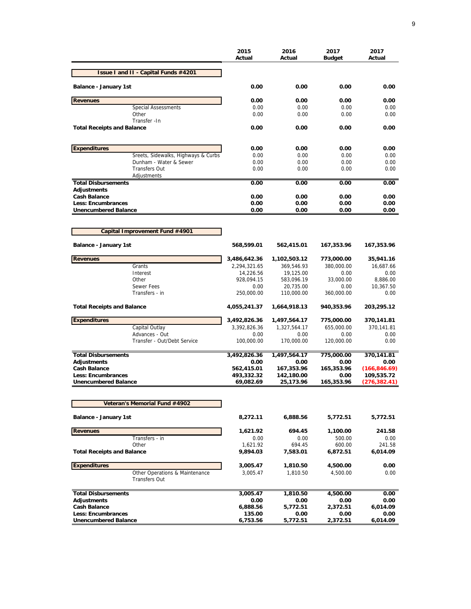|                                                        | 2015<br>Actual     | 2016<br>Actual          | 2017<br><b>Budget</b> | 2017<br>Actual        |
|--------------------------------------------------------|--------------------|-------------------------|-----------------------|-----------------------|
| <b>Issue I and II - Capital Funds #4201</b>            |                    |                         |                       |                       |
| <b>Balance - January 1st</b>                           | 0.00               | 0.00                    | 0.00                  | 0.00                  |
| <b>Revenues</b>                                        | 0.00               | 0.00                    | 0.00                  | 0.00                  |
| <b>Special Assessments</b>                             | 0.00               | 0.00                    | 0.00                  | 0.00                  |
| Other                                                  | 0.00               | 0.00                    | 0.00                  | 0.00                  |
| Transfer - In<br><b>Total Receipts and Balance</b>     | 0.00               | 0.00                    | 0.00                  | 0.00                  |
| <b>Expenditures</b>                                    | 0.00               | 0.00                    | 0.00                  | 0.00                  |
| Sreets, Sidewalks, Highways & Curbs                    | 0.00               | 0.00                    | 0.00                  | 0.00                  |
| Dunham - Water & Sewer                                 | 0.00               | 0.00                    | 0.00                  | 0.00                  |
| <b>Transfers Out</b><br>Adjustments                    | 0.00               | 0.00                    | 0.00                  | 0.00                  |
| <b>Total Disbursements</b>                             | 0.00               | 0.00                    | 0.00                  | 0.00                  |
| <b>Adjustments</b>                                     |                    |                         |                       |                       |
| <b>Cash Balance</b>                                    | 0.00               | 0.00                    | 0.00                  | 0.00                  |
| Less: Encumbrances                                     | 0.00               | 0.00                    | 0.00                  | 0.00                  |
| <b>Unencumbered Balance</b>                            | 0.00               | 0.00                    | 0.00                  | 0.00                  |
| Capital Improvement Fund #4901                         |                    |                         |                       |                       |
|                                                        |                    |                         |                       |                       |
| <b>Balance - January 1st</b>                           | 568,599.01         | 562,415.01              | 167,353.96            | 167,353.96            |
| <b>Revenues</b>                                        | 3,486,642.36       | 1,102,503.12            | 773,000.00            | 35,941.16             |
| Grants                                                 | 2,294,321.65       | 369,546.93              | 380,000.00            | 16,687.66             |
| Interest                                               | 14,226.56          | 19,125.00               | 0.00                  | 0.00                  |
| Other<br>Sewer Fees                                    | 928,094.15<br>0.00 | 583,096.19<br>20,735.00 | 33,000.00<br>0.00     | 8,886.00<br>10,367.50 |
| Transfers - in                                         | 250,000.00         | 110,000.00              | 360,000.00            | 0.00                  |
| <b>Total Receipts and Balance</b>                      | 4,055,241.37       | 1,664,918.13            | 940,353.96            | 203,295.12            |
| <b>Expenditures</b>                                    | 3,492,826.36       | 1,497,564.17            | 775,000.00            | 370,141.81            |
| Capital Outlay                                         | 3,392,826.36       | 1,327,564.17            | 655,000.00            | 370,141.81            |
| Advances - Out                                         | 0.00               | 0.00                    | 0.00                  | 0.00                  |
| Transfer - Out/Debt Service                            | 100,000.00         | 170,000.00              | 120,000.00            | 0.00                  |
| <b>Total Disbursements</b>                             | 3,492,826.36       | 1,497,564.17            | 775,000.00            | 370,141.81            |
| <b>Adjustments</b>                                     | 0.00               | 0.00                    | 0.00                  | 0.00                  |
| <b>Cash Balance</b>                                    | 562,415.01         | 167,353.96              | 165,353.96            | (166, 846.69)         |
| <b>Less: Encumbrances</b>                              | 493,332.32         | 142,180.00              | 0.00                  | 109,535.72            |
| <b>Unencumbered Balance</b>                            | 69,082.69          | 25,173.96               | 165.353.96            | (276, 382.41)         |
| Veteran's Memorial Fund #4902                          |                    |                         |                       |                       |
| Balance - January 1st                                  | 8,272.11           | 6,888.56                | 5,772.51              | 5,772.51              |
| <b>Revenues</b>                                        | 1,621.92           | 694.45                  | 1,100.00              | 241.58                |
| Transfers - in                                         | 0.00               | 0.00                    | 500.00                | 0.00                  |
| Other                                                  | 1,621.92           | 694.45                  | 600.00                | 241.58                |
| <b>Total Receipts and Balance</b>                      | 9,894.03           | 7,583.01                | 6,872.51              | 6,014.09              |
| <b>Expenditures</b>                                    | 3,005.47           | 1,810.50                | 4,500.00              | 0.00                  |
| Other Operations & Maintenance<br><b>Transfers Out</b> | 3,005.47           | 1,810.50                | 4,500.00              | 0.00                  |
| <b>Total Disbursements</b>                             | 3,005.47           | 1,810.50                | 4,500.00              | 0.00                  |
| <b>Adjustments</b>                                     | 0.00               | 0.00                    | 0.00                  | 0.00                  |
| <b>Cash Balance</b>                                    | 6,888.56           | 5,772.51                | 2,372.51              | 6,014.09              |
| <b>Less: Encumbrances</b>                              | 135.00             | 0.00                    | 0.00                  | 0.00                  |
| <b>Unencumbered Balance</b>                            | 6,753.56           | 5,772.51                | 2,372.51              | 6,014.09              |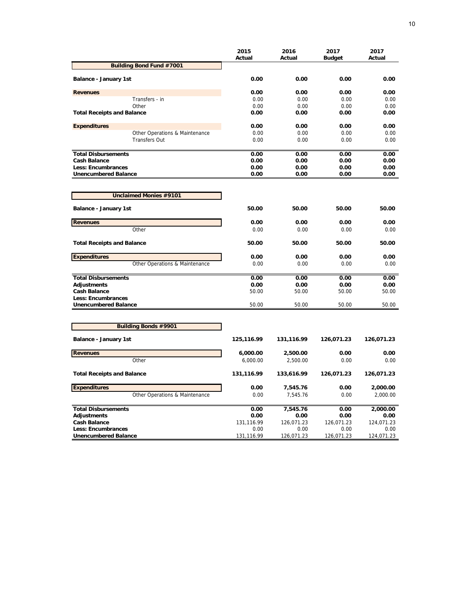| <b>Budget</b><br><b>Building Bond Fund #7001</b><br>0.00<br>0.00<br>0.00<br>Balance - January 1st<br>0.00<br>0.00<br>0.00<br><b>Revenues</b><br>Transfers - in<br>0.00<br>0.00<br>0.00<br>Other<br>0.00<br>0.00<br>0.00<br><b>Total Receipts and Balance</b><br>0.00<br>0.00<br>0.00<br>0.00<br>0.00<br>0.00<br><b>Expenditures</b><br>Other Operations & Maintenance<br>0.00<br>0.00<br>0.00<br><b>Transfers Out</b><br>0.00<br>0.00<br>0.00 | Actual |
|-----------------------------------------------------------------------------------------------------------------------------------------------------------------------------------------------------------------------------------------------------------------------------------------------------------------------------------------------------------------------------------------------------------------------------------------------|--------|
|                                                                                                                                                                                                                                                                                                                                                                                                                                               |        |
|                                                                                                                                                                                                                                                                                                                                                                                                                                               | 0.00   |
|                                                                                                                                                                                                                                                                                                                                                                                                                                               | 0.00   |
|                                                                                                                                                                                                                                                                                                                                                                                                                                               | 0.00   |
|                                                                                                                                                                                                                                                                                                                                                                                                                                               | 0.00   |
|                                                                                                                                                                                                                                                                                                                                                                                                                                               | 0.00   |
|                                                                                                                                                                                                                                                                                                                                                                                                                                               | 0.00   |
|                                                                                                                                                                                                                                                                                                                                                                                                                                               | 0.00   |
|                                                                                                                                                                                                                                                                                                                                                                                                                                               | 0.00   |
| <b>Total Disbursements</b><br>0.00<br>0.00<br>0.00                                                                                                                                                                                                                                                                                                                                                                                            | 0.00   |
| <b>Cash Balance</b><br>0.00<br>0.00<br>0.00                                                                                                                                                                                                                                                                                                                                                                                                   | 0.00   |
| Less: Encumbrances<br>0.00<br>0.00<br>0.00                                                                                                                                                                                                                                                                                                                                                                                                    | 0.00   |
| <b>Unencumbered Balance</b><br>0.00<br>0.00<br>0.00                                                                                                                                                                                                                                                                                                                                                                                           | 0.00   |
| Unclaimed Monies #9101                                                                                                                                                                                                                                                                                                                                                                                                                        |        |
| 50.00<br>50.00<br>50.00                                                                                                                                                                                                                                                                                                                                                                                                                       | 50.00  |
| Balance - January 1st                                                                                                                                                                                                                                                                                                                                                                                                                         |        |
| <b>Revenues</b><br>0.00<br>0.00<br>0.00                                                                                                                                                                                                                                                                                                                                                                                                       | 0.00   |
| Other<br>0.00<br>0.00<br>0.00                                                                                                                                                                                                                                                                                                                                                                                                                 | 0.00   |
| <b>Total Receipts and Balance</b><br>50.00<br>50.00<br>50.00                                                                                                                                                                                                                                                                                                                                                                                  | 50.00  |
| <b>Expenditures</b><br>0.00<br>0.00<br>0.00                                                                                                                                                                                                                                                                                                                                                                                                   | 0.00   |
| Other Operations & Maintenance<br>0.00<br>0.00<br>0.00                                                                                                                                                                                                                                                                                                                                                                                        | 0.00   |
| <b>Total Disbursements</b><br>0.00<br>0.00<br>0.00                                                                                                                                                                                                                                                                                                                                                                                            | 0.00   |
| Adjustments<br>0.00<br>0.00<br>0.00                                                                                                                                                                                                                                                                                                                                                                                                           | 0.00   |
| <b>Cash Balance</b><br>50.00<br>50.00<br>50.00                                                                                                                                                                                                                                                                                                                                                                                                | 50.00  |
| Less: Encumbrances                                                                                                                                                                                                                                                                                                                                                                                                                            |        |
| <b>Unencumbered Balance</b><br>50.00<br>50.00<br>50.00                                                                                                                                                                                                                                                                                                                                                                                        | 50.00  |
|                                                                                                                                                                                                                                                                                                                                                                                                                                               |        |
| <b>Building Bonds #9901</b>                                                                                                                                                                                                                                                                                                                                                                                                                   |        |
| Balance - January 1st<br>125,116.99<br>131,116.99<br>126,071.23<br>126,071.23                                                                                                                                                                                                                                                                                                                                                                 |        |
| 0.00<br><b>Revenues</b><br>6,000.00<br>2,500.00                                                                                                                                                                                                                                                                                                                                                                                               | 0.00   |
| Other<br>6,000.00<br>2,500.00<br>0.00                                                                                                                                                                                                                                                                                                                                                                                                         | 0.00   |
| <b>Total Receipts and Balance</b><br>131,116.99<br>126,071.23<br>133,616.99<br>126,071.23                                                                                                                                                                                                                                                                                                                                                     |        |
| <b>Expenditures</b><br>0.00<br>0.00<br>2,000.00<br>7,545.76                                                                                                                                                                                                                                                                                                                                                                                   |        |
| Other Operations & Maintenance<br>0.00<br>7,545.76<br>0.00<br>2,000.00                                                                                                                                                                                                                                                                                                                                                                        |        |
| 7,545.76<br>2,000.00<br><b>Total Disbursements</b><br>0.00<br>0.00                                                                                                                                                                                                                                                                                                                                                                            |        |
| Adjustments<br>0.00<br>0.00<br>0.00                                                                                                                                                                                                                                                                                                                                                                                                           | 0.00   |
| <b>Cash Balance</b><br>131,116.99<br>126,071.23<br>126,071.23<br>124,071.23                                                                                                                                                                                                                                                                                                                                                                   |        |
| Less: Encumbrances<br>0.00<br>0.00<br>0.00<br><b>Unencumbered Balance</b><br>131,116.99<br>126,071.23<br>126,071.23<br>124,071.23                                                                                                                                                                                                                                                                                                             | 0.00   |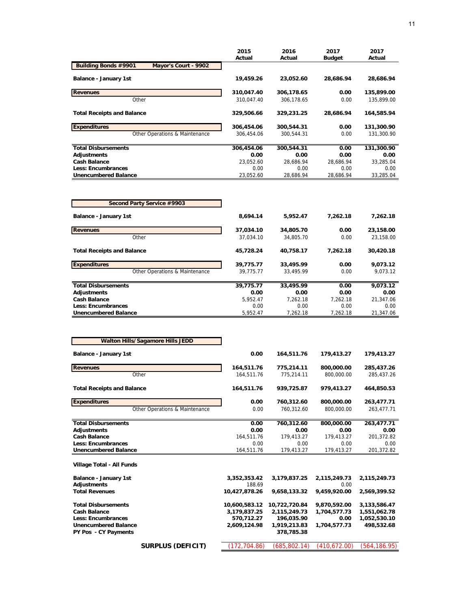|                                                     | 2015       | 2016       | 2017          | 2017       |
|-----------------------------------------------------|------------|------------|---------------|------------|
|                                                     | Actual     | Actual     | <b>Budget</b> | Actual     |
| <b>Building Bonds #9901</b><br>Mayor's Court - 9902 |            |            |               |            |
| Balance - January 1st                               | 19,459.26  | 23,052.60  | 28,686.94     | 28,686.94  |
| <b>Revenues</b>                                     | 310,047.40 | 306,178.65 | 0.00          | 135,899.00 |
| Other                                               | 310.047.40 | 306.178.65 | 0.00          | 135.899.00 |
| <b>Total Receipts and Balance</b>                   | 329,506.66 | 329,231.25 | 28.686.94     | 164,585.94 |
| <b>Expenditures</b>                                 | 306,454.06 | 300,544.31 | 0.00          | 131,300.90 |
| Other Operations & Maintenance                      | 306.454.06 | 300.544.31 | 0.00          | 131,300.90 |
| <b>Total Disbursements</b>                          | 306,454.06 | 300,544.31 | 0.00          | 131,300.90 |
| Adjustments                                         | 0.00       | 0.00       | 0.00          | 0.00       |
| <b>Cash Balance</b>                                 | 23.052.60  | 28.686.94  | 28.686.94     | 33,285.04  |
| <b>Less: Encumbrances</b>                           | 0.00       | 0.00       | 0.00          | 0.00       |
| <b>Unencumbered Balance</b>                         | 23,052.60  | 28,686.94  | 28,686.94     | 33,285.04  |

| Second Party Service #9903        |           |           |          |           |
|-----------------------------------|-----------|-----------|----------|-----------|
| <b>Balance - January 1st</b>      | 8.694.14  | 5.952.47  | 7.262.18 | 7,262.18  |
| <b>Revenues</b>                   | 37,034.10 | 34,805.70 | 0.00     | 23,158.00 |
| Other                             | 37.034.10 | 34.805.70 | 0.00     | 23,158.00 |
| <b>Total Receipts and Balance</b> | 45.728.24 | 40.758.17 | 7.262.18 | 30,420.18 |
| <b>Expenditures</b>               | 39,775.77 | 33,495.99 | 0.00     | 9,073.12  |
| Other Operations & Maintenance    | 39.775.77 | 33.495.99 | 0.00     | 9.073.12  |
| <b>Total Disbursements</b>        | 39,775.77 | 33,495.99 | 0.00     | 9.073.12  |
| Adjustments                       | 0.00      | 0.00      | 0.00     | 0.00      |
| <b>Cash Balance</b>               | 5.952.47  | 7.262.18  | 7.262.18 | 21.347.06 |
| Less: Encumbrances                | 0.00      | 0.00      | 0.00     | 0.00      |
| <b>Unencumbered Balance</b>       | 5.952.47  | 7.262.18  | 7.262.18 | 21.347.06 |

| <b>Walton Hills/Sagamore Hills JEDD</b> |               |               |              |              |
|-----------------------------------------|---------------|---------------|--------------|--------------|
| <b>Balance - January 1st</b>            | 0.00          | 164,511.76    | 179,413.27   | 179,413.27   |
| <b>Revenues</b>                         | 164,511.76    | 775,214.11    | 800,000.00   | 285,437.26   |
| Other                                   | 164,511.76    | 775,214.11    | 800,000.00   | 285,437.26   |
| <b>Total Receipts and Balance</b>       | 164,511.76    | 939,725.87    | 979,413.27   | 464,850.53   |
| <b>Expenditures</b>                     | 0.00          | 760,312.60    | 800,000.00   | 263,477.71   |
| Other Operations & Maintenance          | 0.00          | 760,312.60    | 800.000.00   | 263,477.71   |
| <b>Total Disbursements</b>              | 0.00          | 760,312.60    | 800,000.00   | 263,477.71   |
| Adjustments                             | 0.00          | 0.00          | 0.00         | 0.00         |
| <b>Cash Balance</b>                     | 164.511.76    | 179,413.27    | 179.413.27   | 201.372.82   |
| <b>Less: Encumbrances</b>               | 0.00          | 0.00          | 0.00         | 0.00         |
| <b>Unencumbered Balance</b>             | 164,511.76    | 179,413.27    | 179,413.27   | 201,372.82   |
| Village Total - All Funds               |               |               |              |              |
| Balance - January 1st                   | 3,352,353.42  | 3,179,837.25  | 2,115,249.73 | 2,115,249.73 |
| <b>Adjustments</b>                      | 188.69        |               | 0.00         |              |
| <b>Total Revenues</b>                   | 10,427,878.26 | 9,658,133.32  | 9,459,920.00 | 2,569,399.52 |
| <b>Total Disbursements</b>              | 10,600,583.12 | 10,722,720.84 | 9,870,592.00 | 3,133,586.47 |
| <b>Cash Balance</b>                     | 3,179,837.25  | 2,115,249.73  | 1,704,577.73 | 1,551,062.78 |
| Less: Encumbrances                      | 570.712.27    | 196,035.90    | 0.00         | 1,052,530.10 |
| <b>Unencumbered Balance</b>             | 2,609,124.98  | 1,919,213.83  | 1,704,577.73 | 498,532.68   |
| PY Pos - CY Payments                    |               | 378,785.38    |              |              |
| <b>SURPLUS (DEFICIT)</b>                | 172,704.86)   | (685, 802.14) | (410,672.00) | (564,186.95) |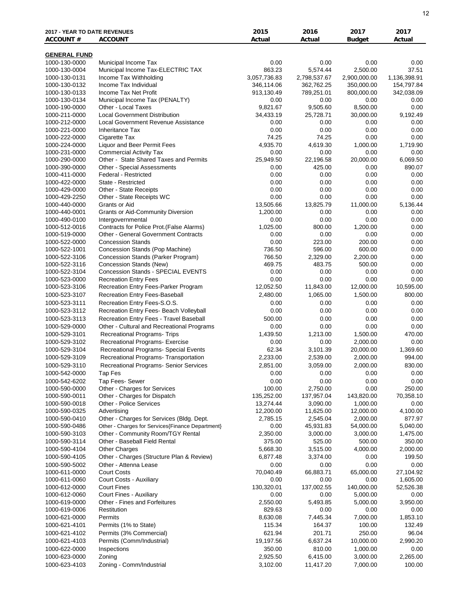| 2017 - YEAR TO DATE REVENUES<br><b>ACCOUNT#</b> | <b>ACCOUNT</b>                                                       | 2015<br>Actual           | 2016<br>Actual           | 2017<br><b>Budget</b>    | 2017<br>Actual           |
|-------------------------------------------------|----------------------------------------------------------------------|--------------------------|--------------------------|--------------------------|--------------------------|
| <b>GENERAL FUND</b>                             |                                                                      |                          |                          |                          |                          |
| 1000-130-0000                                   | Municipal Income Tax                                                 | 0.00                     | 0.00                     | 0.00                     | 0.00                     |
| 1000-130-0004                                   | Municipal Income Tax-ELECTRIC TAX                                    | 863.23                   | 5,574.44                 | 2,500.00                 | 37.51                    |
| 1000-130-0131                                   | Income Tax Withholding                                               | 3,057,736.83             | 2,798,537.67             | 2,900,000.00             | 1,136,398.91             |
| 1000-130-0132<br>1000-130-0133                  | Income Tax Individual<br>Income Tax Net Profit                       | 346,114.06<br>913,130.49 | 362,762.25<br>789,251.01 | 350,000.00<br>800,000.00 | 154,797.84<br>342,038.09 |
| 1000-130-0134                                   | Municipal Income Tax (PENALTY)                                       | 0.00                     | 0.00                     | 0.00                     | 0.00                     |
| 1000-190-0000                                   | Other - Local Taxes                                                  | 9,821.67                 | 9,505.60                 | 8,500.00                 | 0.00                     |
| 1000-211-0000                                   | <b>Local Government Distribution</b>                                 | 34,433.19                | 25,728.71                | 30,000.00                | 9,192.49                 |
| 1000-212-0000<br>1000-221-0000                  | Local Government Revenue Assistance<br><b>Inheritance Tax</b>        | 0.00<br>0.00             | 0.00<br>0.00             | 0.00<br>0.00             | 0.00<br>0.00             |
| 1000-222-0000                                   | Cigarette Tax                                                        | 74.25                    | 74.25                    | 0.00                     | 0.00                     |
| 1000-224-0000                                   | Liquor and Beer Permit Fees                                          | 4,935.70                 | 4,619.30                 | 1,000.00                 | 1,719.90                 |
| 1000-231-0000                                   | <b>Commercial Activity Tax</b>                                       | 0.00                     | 0.00                     | 0.00                     | 0.00                     |
| 1000-290-0000                                   | Other - State Shared Taxes and Permits                               | 25,949.50                | 22,196.58                | 20,000.00                | 6,069.50                 |
| 1000-390-0000<br>1000-411-0000                  | Other - Special Assessments<br>Federal - Restricted                  | 0.00<br>0.00             | 425.00<br>0.00           | 0.00<br>0.00             | 890.07<br>0.00           |
| 1000-422-0000                                   | State - Restricted                                                   | 0.00                     | 0.00                     | 0.00                     | 0.00                     |
| 1000-429-0000                                   | Other - State Receipts                                               | 0.00                     | 0.00                     | 0.00                     | 0.00                     |
| 1000-429-2250                                   | Other - State Receipts WC                                            | 0.00                     | 0.00                     | 0.00                     | 0.00                     |
| 1000-440-0000                                   | Grants or Aid                                                        | 13,505.66                | 13,825.79                | 11,000.00                | 5,136.44                 |
| 1000-440-0001                                   | <b>Grants or Aid-Community Diversion</b>                             | 1,200.00                 | 0.00                     | 0.00                     | 0.00                     |
| 1000-490-0100<br>1000-512-0016                  | Intergovernmental<br>Contracts for Police Prot.(False Alarms)        | 0.00<br>1,025.00         | 0.00<br>800.00           | 0.00<br>1,200.00         | 0.00<br>0.00             |
| 1000-519-0000                                   | <b>Other - General Government Contracts</b>                          | 0.00                     | 0.00                     | 0.00                     | 0.00                     |
| 1000-522-0000                                   | <b>Concession Stands</b>                                             | 0.00                     | 223.00                   | 200.00                   | 0.00                     |
| 1000-522-1001                                   | Concession Stands (Pop Machine)                                      | 736.50                   | 596.00                   | 600.00                   | 0.00                     |
| 1000-522-3106                                   | Concession Stands (Parker Program)                                   | 766.50                   | 2,329.00                 | 2,200.00                 | 0.00                     |
| 1000-522-3116<br>1000-522-3104                  | Concession Stands (New)<br><b>Concession Stands - SPECIAL EVENTS</b> | 469.75<br>0.00           | 483.75<br>0.00           | 500.00<br>0.00           | 0.00<br>0.00             |
| 1000-523-0000                                   | <b>Recreation Entry Fees</b>                                         | 0.00                     | 0.00                     | 0.00                     | 0.00                     |
| 1000-523-3106                                   | Recreation Entry Fees-Parker Program                                 | 12,052.50                | 11,843.00                | 12,000.00                | 10,595.00                |
| 1000-523-3107                                   | Recreation Entry Fees-Baseball                                       | 2,480.00                 | 1,065.00                 | 1,500.00                 | 800.00                   |
| 1000-523-3111                                   | Recreation Entry Fees-S.O.S.                                         | 0.00                     | 0.00                     | 0.00                     | 0.00                     |
| 1000-523-3112                                   | Recreation Entry Fees- Beach Volleyball                              | 0.00                     | 0.00                     | 0.00                     | 0.00                     |
| 1000-523-3113                                   | Recreation Entry Fees - Travel Baseball                              | 500.00                   | 0.00                     | 0.00                     | 0.00                     |
| 1000-529-0000<br>1000-529-3101                  | Other - Cultural and Recreational Programs                           | 0.00                     | 0.00                     | 0.00                     | 0.00                     |
| 1000-529-3102                                   | Recreational Programs- Trips<br>Recreational Programs- Exercise      | 1,439.50<br>0.00         | 1,213.00<br>0.00         | 1,500.00<br>2,000.00     | 470.00<br>0.00           |
| 1000-529-3104                                   | Recreational Programs- Special Events                                | 62.34                    | 3,101.39                 | 20,000.00                | 1,369.60                 |
| 1000-529-3109                                   | Recreational Programs- Transportation                                | 2,233.00                 | 2,539.00                 | 2,000.00                 | 994.00                   |
| 1000-529-3110                                   | Recreational Programs- Senior Services                               | 2,851.00                 | 3,059.00                 | 2,000.00                 | 830.00                   |
| 1000-542-0000                                   | <b>Tap Fes</b>                                                       | 0.00                     | 0.00                     | 0.00                     | 0.00                     |
| 1000-542-6202                                   | Tap Fees- Sewer                                                      | 0.00                     | 0.00                     | 0.00                     | 0.00                     |
| 1000-590-0000                                   | Other - Charges for Services                                         | 100.00                   | 2,750.00<br>137,957.04   | 0.00                     | 250.00                   |
| 1000-590-0011<br>1000-590-0018                  | Other - Charges for Dispatch<br>Other - Police Services              | 135,252.00<br>13,274.44  | 3,090.00                 | 143,820.00<br>1,000.00   | 70,358.10<br>0.00        |
| 1000-590-0325                                   | Advertising                                                          | 12,200.00                | 11,625.00                | 12,000.00                | 4,100.00                 |
| 1000-590-0410                                   | Other - Charges for Services (Bldg. Dept.                            | 2,785.15                 | 2,545.04                 | 2,000.00                 | 877.97                   |
| 1000-590-0486                                   | Other - Charges for Services{Finance Department}                     | 0.00                     | 45,931.83                | 54,000.00                | 5,040.00                 |
| 1000-590-3103                                   | Other - Community Room/TGY Rental                                    | 2,350.00                 | 3,000.00                 | 3,000.00                 | 1,475.00                 |
| 1000-590-3114                                   | Other - Baseball Field Rental<br><b>Other Charges</b>                | 375.00<br>5,668.30       | 525.00<br>3,515.00       | 500.00                   | 350.00<br>2,000.00       |
| 1000-590-4104<br>1000-590-4105                  | Other - Charges (Structure Plan & Review)                            | 6,877.48                 | 3,374.00                 | 4,000.00<br>0.00         | 199.50                   |
| 1000-590-5002                                   | Other - Attenna Lease                                                | 0.00                     | 0.00                     | 0.00                     | 0.00                     |
| 1000-611-0000                                   | <b>Court Costs</b>                                                   | 70,040.49                | 66,883.71                | 65,000.00                | 27,104.92                |
| 1000-611-0060                                   | Court Costs - Auxiliary                                              | 0.00                     | 0.00                     | 0.00                     | 1,605.00                 |
| 1000-612-0000                                   | <b>Court Fines</b>                                                   | 130,320.01               | 137,002.55               | 140,000.00               | 52,526.38                |
| 1000-612-0060                                   | Court Fines - Auxiliary                                              | 0.00                     | 0.00                     | 5,000.00                 | 0.00                     |
| 1000-619-0000<br>1000-619-0006                  | Other - Fines and Forfeitures<br>Restitution                         | 2,550.00<br>829.63       | 5,493.85<br>0.00         | 5,000.00<br>0.00         | 3,950.00<br>0.00         |
| 1000-621-0000                                   | Permits                                                              | 8,630.08                 | 7,445.34                 | 7,000.00                 | 1,853.10                 |
| 1000-621-4101                                   | Permits (1% to State)                                                | 115.34                   | 164.37                   | 100.00                   | 132.49                   |
| 1000-621-4102                                   | Permits (3% Commercial)                                              | 621.94                   | 201.71                   | 250.00                   | 96.04                    |
| 1000-621-4103                                   | Permits (Comm/Industrial)                                            | 19,197.56                | 6,637.24                 | 10,000.00                | 2,990.20                 |
| 1000-622-0000                                   | Inspections                                                          | 350.00                   | 810.00                   | 1,000.00                 | 0.00                     |
| 1000-623-0000                                   | Zoning                                                               | 2,925.50                 | 6,415.00                 | 3,000.00                 | 2,265.00                 |
| 1000-623-4103                                   | Zoning - Comm/Industrial                                             | 3,102.00                 | 11,417.20                | 7,000.00                 | 100.00                   |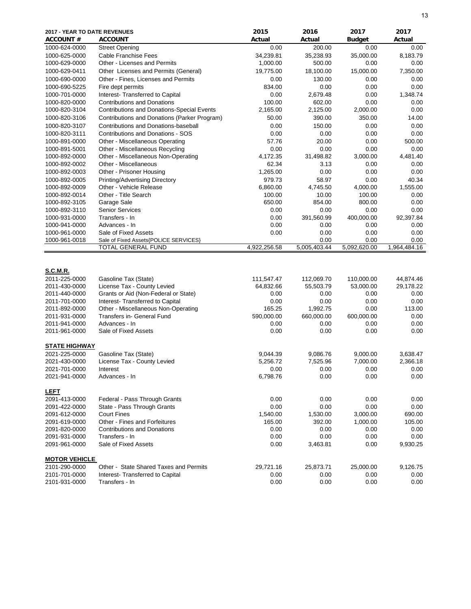| 2017 - YEAR TO DATE REVENUES<br><b>ACCOUNT#</b>                                     | <b>ACCOUNT</b>                                                                                                                  | 2015<br>Actual                          | 2016<br>Actual                          | 2017<br><b>Budget</b>                   | 2017<br>Actual                         |
|-------------------------------------------------------------------------------------|---------------------------------------------------------------------------------------------------------------------------------|-----------------------------------------|-----------------------------------------|-----------------------------------------|----------------------------------------|
| 1000-624-0000                                                                       | <b>Street Opening</b>                                                                                                           | 0.00                                    | 200.00                                  | 0.00                                    | 0.00                                   |
| 1000-625-0000                                                                       | <b>Cable Franchise Fees</b>                                                                                                     | 34,239.81                               | 35,238.93                               | 35,000.00                               | 8,183.79                               |
| 1000-629-0000                                                                       | Other - Licenses and Permits                                                                                                    | 1,000.00                                | 500.00                                  | 0.00                                    | 0.00                                   |
| 1000-629-0411                                                                       | Other Licenses and Permits (General)                                                                                            | 19,775.00                               | 18,100.00                               | 15,000.00                               | 7,350.00                               |
| 1000-690-0000                                                                       | Other - Fines, Licenses and Permits                                                                                             | 0.00                                    | 130.00                                  | 0.00                                    | 0.00                                   |
| 1000-690-5225                                                                       | Fire dept permits                                                                                                               | 834.00                                  | 0.00                                    | 0.00                                    | 0.00                                   |
| 1000-701-0000                                                                       | Interest- Transferred to Capital                                                                                                | 0.00                                    | 2,679.48                                | 0.00                                    | 1,348.74                               |
| 1000-820-0000                                                                       | <b>Contributions and Donations</b>                                                                                              | 100.00                                  | 602.00                                  | 0.00                                    | 0.00                                   |
| 1000-820-3104                                                                       | <b>Contributions and Donations-Special Events</b>                                                                               | 2,165.00                                | 2,125.00                                | 2,000.00                                | 0.00                                   |
| 1000-820-3106                                                                       | Contributions and Donations (Parker Program)                                                                                    | 50.00                                   | 390.00                                  | 350.00                                  | 14.00                                  |
| 1000-820-3107                                                                       | Contributions and Donations-baseball                                                                                            | 0.00                                    | 150.00                                  | 0.00                                    | 0.00                                   |
| 1000-820-3111                                                                       | <b>Contributions and Donations - SOS</b>                                                                                        | 0.00                                    | 0.00                                    | 0.00                                    | 0.00                                   |
| 1000-891-0000                                                                       | Other - Miscellaneous Operating                                                                                                 | 57.76                                   | 20.00                                   | 0.00                                    | 500.00                                 |
| 1000-891-5001                                                                       | Other - Miscellaneous Recycling                                                                                                 | 0.00                                    | 0.00                                    | 0.00                                    | 0.00                                   |
| 1000-892-0000                                                                       | Other - Miscellaneous Non-Operating                                                                                             | 4,172.35                                | 31,498.82                               | 3,000.00                                | 4,481.40                               |
| 1000-892-0002                                                                       | Other - Miscellaneous                                                                                                           | 62.34                                   | 3.13                                    | 0.00                                    | 0.00                                   |
| 1000-892-0003                                                                       | Other - Prisoner Housing                                                                                                        | 1,265.00                                | 0.00                                    | 0.00                                    | 0.00                                   |
| 1000-892-0005                                                                       | Printing/Advertising Directory                                                                                                  | 979.73                                  | 58.97                                   | 0.00                                    | 40.34                                  |
| 1000-892-0009                                                                       | Other - Vehicle Release                                                                                                         | 6,860.00                                | 4,745.50                                | 4,000.00                                | 1,555.00                               |
| 1000-892-0014                                                                       | Other - Title Search                                                                                                            | 100.00                                  | 10.00                                   | 100.00                                  | 0.00                                   |
| 1000-892-3105                                                                       | Garage Sale                                                                                                                     | 650.00                                  | 854.00                                  | 800.00                                  | 0.00                                   |
| 1000-892-3110                                                                       | <b>Senior Services</b>                                                                                                          | 0.00                                    | 0.00                                    | 0.00                                    | 0.00                                   |
| 1000-931-0000                                                                       | Transfers - In                                                                                                                  | 0.00                                    | 391,560.99                              | 400,000.00                              | 92,397.84                              |
| 1000-941-0000                                                                       | Advances - In                                                                                                                   | 0.00                                    | 0.00                                    | 0.00                                    | 0.00                                   |
| 1000-961-0000                                                                       | Sale of Fixed Assets                                                                                                            | 0.00                                    | 0.00                                    | 0.00                                    | 0.00                                   |
| 1000-961-0018                                                                       | Sale of Fixed Assets{POLICE SERVICES}                                                                                           |                                         | 0.00                                    | 0.00                                    | 0.00                                   |
|                                                                                     | TOTAL GENERAL FUND                                                                                                              | 4,922,256.58                            | 5,005,403.44                            | 5,092,620.00                            | 1,964,484.16                           |
| <b>S.C.M.R.</b><br>2011-225-0000<br>2011-430-0000<br>2011-440-0000<br>2011-701-0000 | Gasoline Tax (State)<br>License Tax - County Levied<br>Grants or Aid (Non-Federal or State)<br>Interest- Transferred to Capital | 111,547.47<br>64,832.66<br>0.00<br>0.00 | 112,069.70<br>55,503.79<br>0.00<br>0.00 | 110,000.00<br>53,000.00<br>0.00<br>0.00 | 44,874.46<br>29,178.22<br>0.00<br>0.00 |
| 2011-892-0000                                                                       | Other - Miscellaneous Non-Operating                                                                                             | 165.25                                  | 1,992.75                                | 0.00                                    | 113.00                                 |
| 2011-931-0000                                                                       | Transfers in- General Fund                                                                                                      | 590,000.00                              | 660,000.00                              | 600,000.00                              | 0.00                                   |
| 2011-941-0000                                                                       | Advances - In                                                                                                                   | 0.00                                    | 0.00                                    | 0.00                                    | 0.00                                   |
| 2011-961-0000                                                                       | Sale of Fixed Assets                                                                                                            | 0.00                                    | 0.00                                    | 0.00                                    | 0.00                                   |
| <b>STATE HIGHWAY</b>                                                                |                                                                                                                                 |                                         |                                         |                                         |                                        |
| 2021-225-0000                                                                       | Gasoline Tax (State)                                                                                                            | 9,044.39                                | 9,086.76                                | 9,000.00                                | 3,638.47                               |
| 2021-430-0000                                                                       | License Tax - County Levied                                                                                                     | 5,256.72                                | 7,525.96                                | 7,000.00                                | 2,366.18                               |
| 2021-701-0000                                                                       | Interest                                                                                                                        | 0.00                                    | 0.00                                    | 0.00                                    | 0.00                                   |
| 2021-941-0000                                                                       | Advances - In                                                                                                                   | 6,798.76                                | 0.00                                    | 0.00                                    | 0.00                                   |
| <b>LEFT</b>                                                                         |                                                                                                                                 |                                         |                                         |                                         |                                        |
| 2091-413-0000                                                                       | Federal - Pass Through Grants                                                                                                   | 0.00                                    | 0.00                                    | 0.00                                    | 0.00                                   |
| 2091-422-0000                                                                       | State - Pass Through Grants                                                                                                     | 0.00                                    | 0.00                                    | 0.00                                    | 0.00                                   |
| 2091-612-0000                                                                       | <b>Court Fines</b>                                                                                                              | 1,540.00                                | 1,530.00                                | 3,000.00                                | 690.00                                 |
| 2091-619-0000                                                                       | Other - Fines and Forfeitures                                                                                                   | 165.00                                  | 392.00                                  | 1,000.00                                | 105.00                                 |
| 2091-820-0000                                                                       | <b>Contributions and Donations</b>                                                                                              | 0.00                                    | 0.00                                    | 0.00                                    | 0.00                                   |
| 2091-931-0000                                                                       | Transfers - In                                                                                                                  | 0.00                                    | 0.00                                    | 0.00                                    | 0.00                                   |
| 2091-961-0000                                                                       | Sale of Fixed Assets                                                                                                            | 0.00                                    | 3,463.81                                | 0.00                                    | 9,930.25                               |
|                                                                                     |                                                                                                                                 |                                         |                                         |                                         |                                        |
| <b>MOTOR VEHICLE</b>                                                                |                                                                                                                                 |                                         |                                         |                                         |                                        |
| 2101-290-0000                                                                       | Other - State Shared Taxes and Permits                                                                                          | 29,721.16                               | 25,873.71                               | 25,000.00                               | 9,126.75                               |
| 2101-701-0000<br>2101-931-0000                                                      | Interest- Transferred to Capital<br>Transfers - In                                                                              | 0.00<br>0.00                            | 0.00<br>0.00                            | 0.00<br>0.00                            | 0.00<br>0.00                           |
|                                                                                     |                                                                                                                                 |                                         |                                         |                                         |                                        |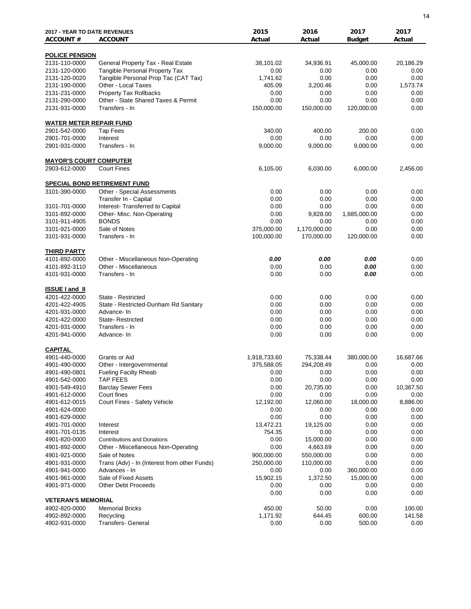| <b>2017 - YEAR TO DATE REVENUES</b><br><b>ACCOUNT#</b> | <b>ACCOUNT</b>                                  | 2015<br>Actual             | 2016<br>Actual          | 2017<br><b>Budget</b> | 2017<br>Actual |
|--------------------------------------------------------|-------------------------------------------------|----------------------------|-------------------------|-----------------------|----------------|
| <b>POLICE PENSION</b>                                  |                                                 |                            |                         |                       |                |
| 2131-110-0000                                          | General Property Tax - Real Estate              | 38,101.02                  | 34,936.91               | 45,000.00             | 20,186.29      |
| 2131-120-0000                                          | <b>Tangible Personal Property Tax</b>           | 0.00                       | 0.00                    | 0.00                  | 0.00           |
| 2131-120-0020                                          | Tangible Personal Prop Tac (CAT Tax)            | 1,741.62                   | 0.00                    | 0.00                  | 0.00           |
| 2131-190-0000                                          | Other - Local Taxes                             | 405.09                     | 3,200.46                | 0.00                  | 1,573.74       |
| 2131-231-0000                                          | <b>Property Tax Rollbacks</b>                   | 0.00                       | 0.00                    | 0.00                  | 0.00           |
| 2131-290-0000                                          | Other - State Shared Taxes & Permit             | 0.00                       | 0.00                    | 0.00                  | 0.00           |
| 2131-931-0000                                          | Transfers - In                                  | 150,000.00                 | 150,000.00              | 120,000.00            | 0.00           |
| <b>WATER METER REPAIR FUND</b>                         |                                                 |                            |                         |                       |                |
| 2901-542-0000                                          | <b>Tap Fees</b>                                 | 340.00                     | 400.00                  | 200.00                | 0.00           |
| 2901-701-0000                                          | Interest                                        | 0.00                       | 0.00                    | 0.00                  | 0.00           |
| 2901-931-0000                                          | Transfers - In                                  | 9,000.00                   | 9,000.00                | 9,000.00              | 0.00           |
| <b>MAYOR'S COURT COMPUTER</b>                          |                                                 |                            |                         |                       |                |
| 2903-612-0000                                          | <b>Court Fines</b>                              | 6,105.00                   | 6,030.00                | 6,000.00              | 2,456.00       |
|                                                        | SPECIAL BOND RETIREMENT FUND                    |                            |                         |                       |                |
| 3101-390-0000                                          | Other - Special Assessments                     | 0.00                       | 0.00                    | 0.00                  | 0.00           |
|                                                        | Transfer In - Capital                           | 0.00                       | 0.00                    | 0.00                  | 0.00           |
| 3101-701-0000                                          | Interest- Transferred to Capital                | 0.00                       | 0.00                    | 0.00                  | 0.00           |
| 3101-892-0000                                          | Other- Misc. Non-Operating                      | 0.00                       | 9,828.00                | 1,685,000.00          | 0.00           |
| 3101-911-4905                                          | <b>BONDS</b>                                    | 0.00                       | 0.00                    | 0.00                  | 0.00           |
| 3101-921-0000                                          | Sale of Notes                                   | 375,000.00                 | 1,170,000.00            | 0.00                  | 0.00           |
| 3101-931-0000                                          | Transfers - In                                  | 100,000.00                 | 170,000.00              | 120,000.00            | 0.00           |
| <b>THIRD PARTY</b>                                     |                                                 |                            |                         |                       |                |
| 4101-892-0000                                          | Other - Miscellaneous Non-Operating             | 0.00                       | 0.00                    | 0.00                  | 0.00           |
| 4101-892-3110                                          | Other - Miscellaneous                           | 0.00                       | 0.00                    | 0.00                  | 0.00           |
| 4101-931-0000                                          | Transfers - In                                  | 0.00                       | 0.00                    | 0.00                  | 0.00           |
| <b>ISSUE I and II</b>                                  |                                                 |                            |                         |                       |                |
| 4201-422-0000                                          | State - Restricted                              | 0.00                       | 0.00                    | 0.00                  | 0.00           |
| 4201-422-4905                                          | State - Restricted-Dunham Rd Sanitary           | 0.00                       | 0.00                    | 0.00                  | 0.00           |
| 4201-931-0000                                          | Advance- In                                     | 0.00                       | 0.00                    | 0.00                  | 0.00           |
| 4201-422-0000                                          | <b>State-Restricted</b><br>Transfers - In       | 0.00                       | 0.00                    | 0.00                  | 0.00           |
| 4201-931-0000                                          |                                                 | 0.00                       | 0.00                    | 0.00                  | 0.00           |
| 4201-941-0000                                          | Advance- In                                     | 0.00                       | 0.00                    | 0.00                  | 0.00           |
| <b>CAPITAL</b><br>4901-440-0000                        | Grants or Aid                                   |                            |                         | 380,000.00            | 16,687.66      |
| 4901-490-0000                                          | Other - Intergovernmental                       | 1,918,733.60<br>375,588.05 | 75,338.44<br>294,208.49 | 0.00                  | 0.00           |
| 4901-490-0801                                          |                                                 |                            |                         | 0.00                  | 0.00           |
| 4901-542-0000                                          | <b>Fueling Facilty Rheab</b><br><b>TAP FEES</b> | 0.00<br>0.00               | 0.00<br>0.00            | 0.00                  | 0.00           |
| 4901-549-4910                                          | <b>Barclay Sewer Fees</b>                       | 0.00                       | 20,735.00               | 0.00                  | 10,367.50      |
| 4901-612-0000                                          | Court fines                                     | 0.00                       | 0.00                    | 0.00                  | 0.00           |
| 4901-612-0015                                          | Court Fines - Safety Vehicle                    | 12,192.00                  | 12,060.00               | 18,000.00             | 8,886.00       |
| 4901-624-0000                                          |                                                 | 0.00                       | 0.00                    | 0.00                  | 0.00           |
| 4901-629-0000                                          |                                                 | 0.00                       | 0.00                    | 0.00                  | 0.00           |
| 4901-701-0000                                          | Interest                                        | 13,472.21                  | 19,125.00               | 0.00                  | 0.00           |
| 4901-701-0135                                          | Interest                                        | 754.35                     | 0.00                    | 0.00                  | 0.00           |
| 4901-820-0000                                          | <b>Contributions and Donations</b>              | 0.00                       | 15,000.00               | 0.00                  | 0.00           |
| 4901-892-0000                                          | Other - Miscellaneous Non-Operating             | 0.00                       | 4,663.69                | 0.00                  | 0.00           |
| 4901-921-0000                                          | Sale of Notes                                   | 900,000.00                 | 550,000.00              | 0.00                  | 0.00           |
| 4901-931-0000                                          | Trans (Adv) - In (Interest from other Funds)    | 250,000.00                 | 110,000.00              | 0.00                  | 0.00           |
| 4901-941-0000                                          | Advances - In                                   | 0.00                       | 0.00                    | 360,000.00            | 0.00           |
| 4901-961-0000                                          | Sale of Fixed Assets                            | 15,902.15                  | 1,372.50                | 15,000.00             | 0.00           |
| 4901-971-0000                                          | <b>Other Debt Proceeds</b>                      | 0.00                       | 0.00                    | 0.00                  | 0.00           |
|                                                        |                                                 | 0.00                       | 0.00                    | 0.00                  | 0.00           |
| <b>VETERAN'S MEMORIAL</b>                              |                                                 |                            |                         |                       |                |
| 4902-820-0000                                          | <b>Memorial Bricks</b>                          | 450.00                     | 50.00                   | 0.00                  | 100.00         |
| 4902-892-0000                                          | Recycling                                       | 1,171.92                   | 644.45                  | 600.00                | 141.58         |
| 4902-931-0000                                          | <b>Transfers- General</b>                       | 0.00                       | 0.00                    | 500.00                | 0.00           |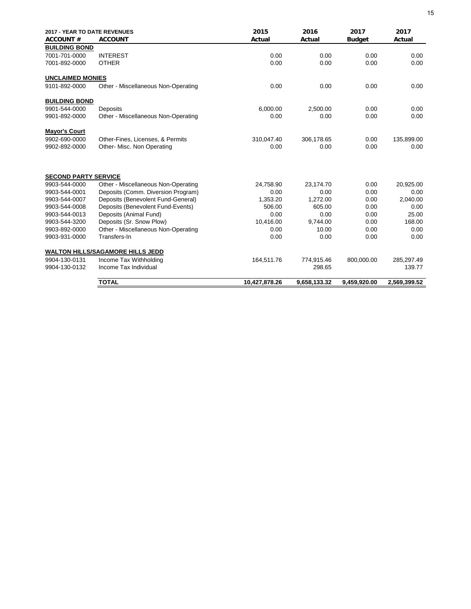| 2017 - YEAR TO DATE REVENUES |                                         | 2015          | 2016         | 2017          | 2017         |
|------------------------------|-----------------------------------------|---------------|--------------|---------------|--------------|
| <b>ACCOUNT#</b>              | <b>ACCOUNT</b>                          | Actual        | Actual       | <b>Budget</b> | Actual       |
| <b>BUILDING BOND</b>         |                                         |               |              |               |              |
| 7001-701-0000                | <b>INTEREST</b>                         | 0.00          | 0.00         | 0.00          | 0.00         |
| 7001-892-0000                | <b>OTHER</b>                            | 0.00          | 0.00         | 0.00          | 0.00         |
| <b>UNCLAIMED MONIES</b>      |                                         |               |              |               |              |
| 9101-892-0000                | Other - Miscellaneous Non-Operating     | 0.00          | 0.00         | 0.00          | 0.00         |
| <b>BUILDING BOND</b>         |                                         |               |              |               |              |
| 9901-544-0000                | Deposits                                | 6,000.00      | 2,500.00     | 0.00          | 0.00         |
| 9901-892-0000                | Other - Miscellaneous Non-Operating     | 0.00          | 0.00         | 0.00          | 0.00         |
| <b>Mayor's Court</b>         |                                         |               |              |               |              |
| 9902-690-0000                | Other-Fines, Licenses, & Permits        | 310,047.40    | 306,178.65   | 0.00          | 135,899.00   |
| 9902-892-0000                | Other- Misc. Non Operating              | 0.00          | 0.00         | 0.00          | 0.00         |
| <b>SECOND PARTY SERVICE</b>  |                                         |               |              |               |              |
| 9903-544-0000                | Other - Miscellaneous Non-Operating     | 24,758.90     | 23,174.70    | 0.00          | 20,925.00    |
| 9903-544-0001                | Deposits (Comm. Diversion Program)      | 0.00          | 0.00         | 0.00          | 0.00         |
| 9903-544-0007                | Deposits (Benevolent Fund-General)      | 1,353.20      | 1,272.00     | 0.00          | 2,040.00     |
| 9903-544-0008                | Deposits (Benevolent Fund-Events)       | 506.00        | 605.00       | 0.00          | 0.00         |
| 9903-544-0013                | Deposits (Animal Fund)                  | 0.00          | 0.00         | 0.00          | 25.00        |
| 9903-544-3200                | Deposits (Sr. Snow Plow)                | 10,416.00     | 9,744.00     | 0.00          | 168.00       |
| 9903-892-0000                | Other - Miscellaneous Non-Operating     | 0.00          | 10.00        | 0.00          | 0.00         |
| 9903-931-0000                | Transfers-In                            | 0.00          | 0.00         | 0.00          | 0.00         |
|                              | <b>WALTON HILLS/SAGAMORE HILLS JEDD</b> |               |              |               |              |
| 9904-130-0131                | Income Tax Withholding                  | 164,511.76    | 774,915.46   | 800,000.00    | 285,297.49   |
| 9904-130-0132                | Income Tax Individual                   |               | 298.65       |               | 139.77       |
|                              | <b>TOTAL</b>                            | 10,427,878.26 | 9,658,133.32 | 9.459.920.00  | 2,569,399.52 |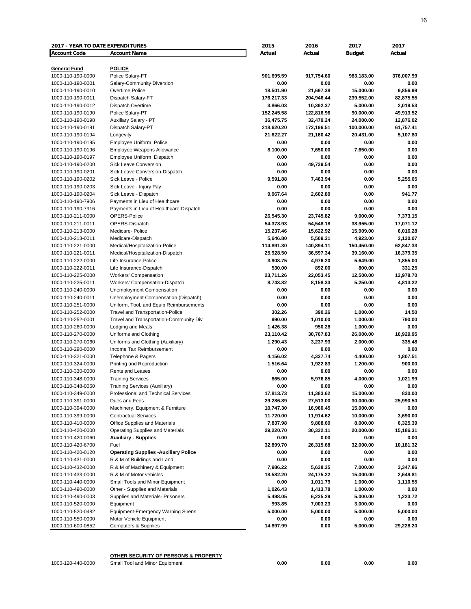| <b>2017 - YEAR TO DATE EXPENDITURES</b> |                                              | 2015       | 2016              | 2017              | 2017       |
|-----------------------------------------|----------------------------------------------|------------|-------------------|-------------------|------------|
| <b>Account Code</b>                     | <b>Account Name</b>                          | Actual     | Actual            | <b>Budget</b>     | Actual     |
|                                         |                                              |            |                   |                   |            |
| <b>General Fund</b>                     | <b>POLICE</b>                                |            |                   |                   |            |
| 1000-110-190-0000                       | Police Salary-FT                             | 901,695.59 | 917,754.60        | 983,183.00        | 376,007.99 |
| 1000-110-190-0001                       | Salary-Community Diversion                   | 0.00       | 0.00              | 0.00              | 0.00       |
| 1000-110-190-0010                       | Overtime Police                              | 18,501.90  | 21,697.38         | 15,000.00         | 9,856.99   |
| 1000-110-190-0011                       | Dispatch Salary-FT                           | 176,217.33 | 204,946.44        | 239,552.00        | 82,875.55  |
| 1000-110-190-0012                       | Dispatch Overtime                            | 3,866.03   | 10,392.37         | 5,000.00          | 2,019.53   |
| 1000-110-190-0190                       | Police Salary-PT                             | 152,245.58 | 122,816.96        | 90,000.00         | 49,913.52  |
| 1000-110-190-0198                       | Auxillary Salary - PT                        | 36,475.75  | 32,479.24         | 24,000.00         | 12,876.02  |
| 1000-110-190-0191                       | Dispatch Salary-PT                           | 218,620.20 | 172,196.51        | 100,000.00        | 61,757.41  |
| 1000-110-190-0194                       | Longevity                                    | 21,622.27  | 21,160.42         | 20,431.00         | 5,107.80   |
| 1000-110-190-0195                       | Employee Uniform Police                      | 0.00       | 0.00              | 0.00              | 0.00       |
| 1000-110-190-0196                       | <b>Employee Weapons Allowance</b>            |            |                   |                   | 0.00       |
|                                         |                                              | 8,100.00   | 7,650.00          | 7,650.00          |            |
| 1000-110-190-0197                       | Employee Uniform Dispatch                    | 0.00       | 0.00              | 0.00              | 0.00       |
| 1000-110-190-0200                       | Sick Leave Conversion                        | 0.00       | 49,739.54         | 0.00              | 0.00       |
| 1000-110-190-0201                       | Sick Leave Conversion-Dispatch               | 0.00       | 0.00              | 0.00              | 0.00       |
| 1000-110-190-0202                       | Sick Leave - Police                          | 9,591.88   | 7,463.94          | 0.00              | 5,255.65   |
| 1000-110-190-0203                       | Sick Leave - Injury Pay                      | 0.00       | 0.00              | 0.00              | 0.00       |
| 1000-110-190-0204                       | Sick Leave - Dispatch                        | 9,967.64   | 2,602.89          | 0.00              | 941.77     |
| 1000-110-190-7906                       | Payments in Lieu of Healthcare               | 0.00       | 0.00              | 0.00              | 0.00       |
| 1000-110-190-7916                       | Payments in Lieu of Healthcare-Dispatch      | 0.00       | 0.00              | 0.00              | 0.00       |
| 1000-110-211-0000                       | OPERS-Police                                 | 26,545.30  | 23,745.82         | 9,000.00          | 7,373.15   |
| 1000-110-211-0011                       | OPERS-Dispatch                               | 54,378.93  | 54,548.18         | 38,955.00         | 17,071.12  |
| 1000-110-213-0000                       | Medicare- Police                             | 15,237.46  | 15,622.92         | 15,909.00         | 6,016.28   |
| 1000-110-213-0011                       | Medicare-Dispatch                            | 5,646.80   | 5,509.31          | 4,923.00          | 2,130.07   |
| 1000-110-221-0000                       | Medical/Hospitalization-Police               | 114,891.30 | 140,894.11        | 150,450.00        | 62,847.33  |
| 1000-110-221-0011                       | Medical/Hospitalization-Dispatch             | 25,928.50  | 36,597.34         | 39,160.00         | 16,379.35  |
| 1000-110-222-0000                       | Life Insurance-Police                        | 3,908.75   | 4,976.20          | 5,649.00          | 1,855.00   |
| 1000-110-222-0011                       | Life Insurance-Dispatch                      | 530.00     | 892.00            | 800.00            | 331.25     |
| 1000-110-225-0000                       | Workers' Compensation                        | 23,711.26  | 22,053.45         | 12,500.00         | 12,978.70  |
| 1000-110-225-0011                       | Workers' Compensation-Dispatch               | 8,743.82   | 8,158.33          | 5,250.00          | 4,813.22   |
| 1000-110-240-0000                       | Unemployment Compensation                    | 0.00       | 0.00              | 0.00              | 0.00       |
| 1000-110-240-0011                       | Unemployment Compensation (Dispatch)         | 0.00       | 0.00              | 0.00              | 0.00       |
| 1000-110-251-0000                       | Uniform, Tool, and Equip Reimbursements      | 0.00       | 0.00              | 0.00              | 0.00       |
| 1000-110-252-0000                       | Travel and Transportation-Police             | 302.26     | 390.26            | 1,000.00          | 14.50      |
| 1000-110-252-0001                       | Travel and Transportation-Community Div      | 990.00     | 1,010.00          | 1,000.00          | 790.00     |
| 1000-110-260-0000                       | Lodging and Meals                            | 1,426.38   | 950.28            | 1,000.00          | 0.00       |
| 1000-110-270-0000                       | Uniforms and Clothing                        | 23,110.42  | 30,767.83         | 26,000.00         | 10,929.95  |
| 1000-110-270-0060                       | Uniforms and Clothing (Auxiliary)            | 1,290.43   | 3,237.93          | 2,000.00          | 335.48     |
| 1000-110-290-0000                       | Income Tax Reimbursement                     | 0.00       | 0.00              | 0.00              | 0.00       |
| 1000-110-321-0000                       | Telephone & Pagers                           | 4,156.02   | 4,337.74          | 4,400.00          | 1,807.51   |
| 1000-110-324-0000                       | Printing and Reproduction                    | 1,516.64   | 1,922.83          | 1,200.00          | 900.00     |
| 1000-110-330-0000                       | Rents and Leases                             | 0.00       | 0.00              | 0.00              | 0.00       |
| 1000-110-348-0000                       | <b>Training Services</b>                     | 865.00     | 5,976.85          | 4.000.00          | 1,021.99   |
| 1000-110-348-0060                       | Training Services (Auxiliary)                | 0.00       | 0.00              | 0.00              | 0.00       |
| 1000-110-349-0000                       | Professional and Technical Services          | 17,813.73  | 11,383.62         | 15,000.00         | 830.00     |
| 1000-110-391-0000                       | Dues and Fees                                | 29,286.89  | 27,513.00         | 30,000.00         | 25,990.50  |
| 1000-110-394-0000                       | Machinery, Equipment & Furniture             | 10,747.30  | 16,960.45         | 15,000.00         | 0.00       |
| 1000-110-399-0000                       | <b>Contractual Services</b>                  | 11,720.00  | 11,914.62         | 10,000.00         | 3,690.00   |
| 1000-110-410-0000                       | Office Supplies and Materials                | 7,837.98   | 9,808.69          | 8,000.00          | 6,325.39   |
| 1000-110-420-0000                       | <b>Operating Supplies and Materials</b>      | 29,220.70  | 30,332.11         | 20,000.00         | 15,186.31  |
| 1000-110-420-0060                       | <b>Auxiliary - Supplies</b>                  | 0.00       | 0.00              | 0.00              | 0.00       |
| 1000-110-420-6700                       |                                              |            |                   |                   |            |
| 1000-110-420-0120                       | Fuel                                         | 32,899.70  | 26,315.68<br>0.00 | 32,000.00<br>0.00 | 10,181.32  |
|                                         | <b>Operating Supplies - Auxiliary Police</b> | 0.00       |                   |                   | 0.00       |
| 1000-110-431-0000                       | R & M of Buildings and Land                  | 0.00       | 0.00              | 0.00              | 0.00       |
| 1000-110-432-0000                       | R & M of Machinery & Equipment               | 7,986.22   | 5,638.35          | 7,000.00          | 3,347.86   |
| 1000-110-433-0000                       | R & M of Motor vehicles                      | 18,582.20  | 24,175.22         | 15,000.00         | 2,649.81   |
| 1000-110-440-0000                       | Small Tools and Minor Equipment              | 0.00       | 1,011.79          | 1,000.00          | 1,110.55   |
| 1000-110-490-0000                       | Other - Supplies and Materials               | 1,026.43   | 1,413.78          | 1,000.00          | 0.00       |
| 1000-110-490-0003                       | Supplies and Materials- Prisoners            | 5,498.05   | 6,235.29          | 5,000.00          | 1,223.72   |
| 1000-110-520-0000                       | Equipment                                    | 993.85     | 7,003.23          | 3,000.00          | 0.00       |
| 1000-110-520-0482                       | <b>Equipment-Emergency Warning Sirens</b>    | 5,000.00   | 5,000.00          | 5,000.00          | 5,000.00   |
| 1000-110-550-0000                       | Motor Vehicle Equipment                      | 0.00       | 0.00              | 0.00              | 0.00       |
| 1000-110-600-0852                       | <b>Computers &amp; Supplies</b>              | 14,897.99  | 0.00              | 5,000.00          | 29,228.20  |

1000-120-440-0000 Small Tool and Minor Equipment **0.00 0.00 0.00 0.00**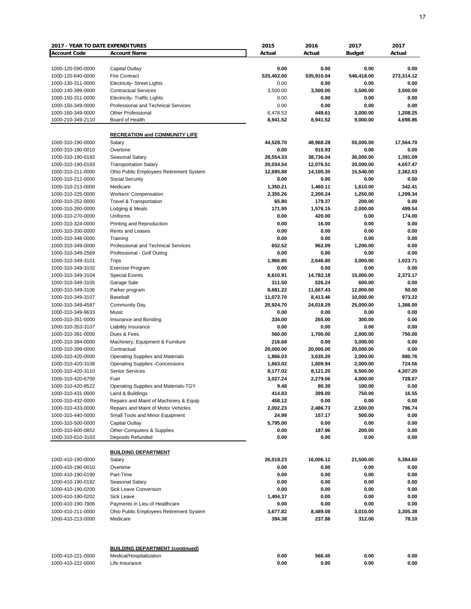| <b>2017 - YEAR TO DATE EXPENDITURES</b> |                                                     | 2015             | 2016         | 2017          | 2017         |
|-----------------------------------------|-----------------------------------------------------|------------------|--------------|---------------|--------------|
| <b>Account Code</b>                     | <b>Account Name</b>                                 | Actual           | Actual       | <b>Budget</b> | Actual       |
|                                         |                                                     |                  |              |               |              |
| 1000-120-590-0000                       | Capital Outlay                                      | 0.00             | 0.00         | 0.00          | 0.00         |
| 1000-120-640-0000                       | <b>Fire Contract</b>                                | 525,402.00       | 535,910.04   | 546,418.00    | 273,314.12   |
| 1000-130-311-0000                       | <b>Electricity- Street Lights</b>                   | 0.00             | 0.00         | 0.00          | 0.00         |
| 1000-140-399-0000                       | <b>Contractual Services</b>                         | 3,500.00         | 3,500.00     | 3,500.00      | 3,500.00     |
| 1000-150-311-0000                       | <b>Electricity- Traffic Lights</b>                  | 0.00             | 0.00         | 0.00          | 0.00         |
| 1000-150-349-0000                       | Professional and Technical Services                 | 0.00             | 0.00         | 0.00          | 0.00         |
| 1000-160-349-0000                       | <b>Other Professional</b>                           | 6,478.53         | 449.61       | 3,000.00      | 1,208.25     |
| 1000-210-349-2110                       | Board of Health                                     | 8,941.52         | 8,941.52     | 9,000.00      | 4,698.86     |
|                                         |                                                     |                  |              |               |              |
|                                         | <b>RECREATION and COMMUNITY LIFE</b>                |                  |              |               |              |
| 1000-310-190-0000                       | Salary                                              | 44,528.70        | 48,968.28    | 55,000.00     | 17,564.70    |
| 1000-310-190-0010                       | Overtime                                            | 0.00             | 915.93       | 0.00          | 0.00         |
| 1000-310-190-0192                       | Seasonal Salary                                     | 28,554.33        | 38,736.04    | 36,000.00     | 1,391.09     |
| 1000-310-190-0193                       | <b>Transportation Salary</b>                        | 20,034.54        | 12,076.51    | 20,000.00     | 4,657.47     |
| 1000-310-211-0000                       | Ohio Public Employees Retirement System             | 12,695.88        | 14,100.35    | 15,540.00     | 2,362.03     |
| 1000-310-212-0000                       | Social Security                                     | 0.00             | 0.00         | 0.00          | 0.00         |
| 1000-310-213-0000                       | Medicare                                            | 1,350.21         | 1,460.11     | 1,610.00      | 342.41       |
| 1000-310-225-0000                       | Workers' Compensation                               | 2,355.26         | 2,200.24     | 1,250.00      | 1,299.34     |
| 1000-310-252-0000                       | Travel & Transportation                             | 65.80            | 179.37       | 200.00        | 0.00         |
| 1000-310-260-0000                       | Lodging & Meals                                     | 171.95           | 1,576.15     | 2,000.00      | 499.54       |
| 1000-310-270-0000                       | Uniforms                                            | 0.00             | 420.00       | 0.00          | 174.00       |
| 1000-310-324-0000                       | Printing and Reproduction                           | 0.00             | 16.00        | 0.00          | 0.00         |
| 1000-310-330-0000                       | Rents and Leases                                    | 0.00             | 0.00         | 0.00          | 0.00         |
| 1000-310-348-0000                       | Training                                            | 0.00             | 0.00         | 0.00          | 0.00         |
| 1000-310-349-0000                       | Professional and Technical Services                 | 652.52           | 962.09       | 1,200.00      | 0.00         |
| 1000-310-349-2569                       | Professional - Golf Outing                          | 0.00             | 0.00         | 0.00          | 0.00         |
| 1000-310-349-3101                       | Trips                                               | 1,966.85         | 2,646.80     | 3,000.00      | 1,023.71     |
| 1000-310-349-3102                       | Exercise Program                                    | 0.00             | 0.00         | 0.00          | 0.00         |
| 1000-310-349-3104                       | <b>Special Events</b>                               | 8,610.91         | 14,782.18    | 15,000.00     | 2,373.17     |
| 1000-310-349-3105                       | Garage Sale                                         | 311.50           | 526.24       | 600.00        | 0.00         |
| 1000-310-349-3106                       | Parker program                                      | 8,681.22         | 11,667.43    | 12,000.00     | 50.00        |
| 1000-310-349-3107                       | Baseball                                            | 11,072.70        | 8,413.46     | 10,000.00     | 973.22       |
| 1000-310-349-4587                       | <b>Community Day</b>                                | 20,924.70        | 24,018.29    | 25,000.00     | 1,386.00     |
| 1000-310-349-9633                       | Music                                               | 0.00             | 0.00         | 0.00          | 0.00         |
| 1000-310-351-0000                       | Insurance and Bonding                               | 334.00           | 265.00       | 300.00        | 0.00         |
| 1000-310-353-3107                       | Liability Insurance                                 | 0.00             | 0.00         | 0.00          | 0.00         |
| 1000-310-391-0000                       | Dues & Fees                                         | 560.00           | 1,700.00     | 2,000.00      | 750.00       |
| 1000-310-394-0000                       | Machinery, Equipment & Furniture                    | 216.68           | 0.00         | 3,000.00      | 0.00         |
| 1000-310-399-0000                       | Contractual                                         | 20,000.00        | 20,000.00    | 20,000.00     | 0.00         |
| 1000-310-420-0000                       | <b>Operating Supplies and Materials</b>             | 1,866.03         | 3,635.20     | 2,000.00      | 980.76       |
| 1000-310-420-3108                       | <b>Operating Supplies -Concessions</b>              | 1,663.02         | 1,609.94     | 2,000.00      | 724.56       |
| 1000-310-420-3110                       | <b>Senior Services</b>                              | 8,177.02         | 8,121.20     | 6,500.00      | 4,307.20     |
| 1000-310-420-6700                       | Fuel                                                | 3,027.24         | 2,279.06     | 4,000.00      | 728.07       |
| 1000-310-420-8522                       | Operating Supplies and Materials-TGY                | 9.48             | 80.39        | 100.00        | 0.00         |
| 1000-310-431-0000                       | Land & Buildings                                    | 414.83           | 399.00       | 750.00        | 16.55        |
| 1000-310-432-0000                       | Repairs and Maint of Machinery & Equip              | 458.12           | 0.00         | 0.00          | 0.00         |
| 1000-310-433-0000                       | Repairs and Maint of Motor Vehicles                 | 2,002.23         | 2,486.73     | 2,500.00      | 796.74       |
| 1000-310-440-0000                       | Small Tools and Minor Equipment                     | 24.99            | 157.17       | 500.00        | 0.00         |
| 1000-310-500-0000                       | Capital Outlay                                      | 5,795.00         | 0.00         | 0.00          | 0.00         |
| 1000-310-600-0852                       | Other-Computers & Supplies                          | 0.00             | 187.96       | 200.00        | 0.00         |
| 1000-310-610-3103                       | Deposits Refunded                                   | 0.00             | 0.00         | 0.00          | 0.00         |
|                                         |                                                     |                  |              |               |              |
|                                         | <b>BUILDING DEPARTMENT</b>                          |                  |              |               |              |
| 1000-410-190-0000                       | Salary                                              | 26,018.23        | 16,006.12    | 21,500.00     | 5,384.60     |
| 1000-410-190-0010                       | Overtime<br>Part-Time                               | 0.00             | 0.00         | 0.00          | 0.00         |
| 1000-410-190-0190                       |                                                     | 0.00             | 0.00         | 0.00          | 0.00         |
| 1000-410-190-0192                       | Seasonal Salary<br>Sick Leave Conversion            | 0.00<br>0.00     | 0.00<br>0.00 | 0.00<br>0.00  | 0.00<br>0.00 |
| 1000-410-190-0200                       |                                                     |                  |              |               |              |
| 1000-410-190-0202                       | <b>Sick Leave</b><br>Payments in Lieu of Healthcare | 1,404.37<br>0.00 | 0.00<br>0.00 | 0.00<br>0.00  | 0.00<br>0.00 |
| 1000-410-190-7906                       |                                                     | 3,677.82         |              | 3,010.00      | 3,305.38     |
| 1000-410-211-0000                       | Ohio Public Employees Retirement System             |                  | 8,489.08     |               |              |
| 1000-410-213-0000                       | Medicare                                            | 394.38           | 237.88       | 312.00        | 78.10        |
|                                         |                                                     |                  |              |               |              |
|                                         | <b>BUILDING DEPARTMENT (continued)</b>              |                  |              |               |              |
| 1000-410-221-0000                       | Medical/Hospitalization                             | 0.00             | 566.45       | 0.00          | 0.00         |
| 1000-410-222-0000                       | Life Insurance                                      | 0.00             | 0.00         | 0.00          | 0.00         |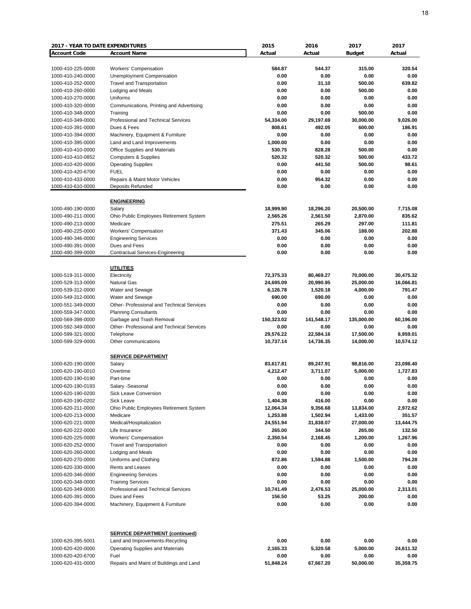| <b>2017 - YEAR TO DATE EXPENDITURES</b> |                                                     | 2015         | 2016           | 2017          | 2017         |
|-----------------------------------------|-----------------------------------------------------|--------------|----------------|---------------|--------------|
| <b>Account Code</b>                     | <b>Account Name</b>                                 | Actual       | Actual         | <b>Budget</b> | Actual       |
|                                         |                                                     |              |                |               |              |
| 1000-410-225-0000                       | Workers' Compensation                               | 584.87       | 544.37         | 315.00        | 320.54       |
| 1000-410-240-0000                       | Unemployment Compensation                           | 0.00         | 0.00           | 0.00          | 0.00         |
| 1000-410-252-0000                       | <b>Travel and Transportation</b>                    | 0.00         | 31.10          | 500.00        | 639.82       |
| 1000-410-260-0000                       | Lodging and Meals                                   | 0.00         | 0.00           | 500.00        | 0.00         |
| 1000-410-270-0000                       | Uniforms                                            | 0.00         | 0.00           | 0.00          | 0.00         |
| 1000-410-320-0000                       | Communications, Printing and Advertising            | 0.00         | 0.00           | 0.00          | 0.00         |
| 1000-410-348-0000                       | Training                                            | 0.00         | 0.00           | 500.00        | 0.00         |
| 1000-410-349-0000                       | Professional and Technical Services                 | 54,334.00    | 29,197.69      | 30,000.00     | 9,026.00     |
| 1000-410-391-0000                       | Dues & Fees                                         | 808.61       | 492.05         | 600.00        | 186.91       |
| 1000-410-394-0000                       | Machinery, Equipment & Furniture                    | 0.00         | 0.00           | 0.00          | 0.00         |
| 1000-410-395-0000                       | Land and Land Improvements                          | 1,000.00     | 0.00           | 0.00          | 0.00         |
| 1000-410-410-0000                       | Office Supplies and Materials                       | 530.75       | 828.28         | 500.00        | 0.00         |
| 1000-410-410-0852                       | <b>Computers &amp; Supplies</b>                     | 520.32       | 520.32         | 500.00        | 433.72       |
| 1000-410-420-0000                       | <b>Operating Supplies</b>                           | 0.00         | 441.50         | 500.00        | 98.61        |
| 1000-410-420-6700                       | <b>FUEL</b>                                         | 0.00         | 0.00           | 0.00          | 0.00         |
| 1000-410-433-0000                       | Repairs & Maint Motor Vehicles<br>Deposits Refunded | 0.00<br>0.00 | 954.32<br>0.00 | 0.00<br>0.00  | 0.00<br>0.00 |
| 1000-410-610-0000                       |                                                     |              |                |               |              |
|                                         | <b>ENGINEERING</b>                                  |              |                |               |              |
| 1000-490-190-0000                       | Salary                                              | 18,999.90    | 18,296.20      | 20,500.00     | 7,715.08     |
| 1000-490-211-0000                       | Ohio Public Employees Retirement System             | 2,565.26     | 2,561.50       | 2,870.00      | 835.62       |
| 1000-490-213-0000                       | Medicare                                            | 275.51       | 265.29         | 297.00        | 111.81       |
| 1000-490-225-0000                       | <b>Workers' Compensation</b>                        | 371.43       | 345.06         | 188.00        | 202.88       |
| 1000-490-346-0000                       | <b>Engineering Services</b>                         | 0.00         | 0.00           | 0.00          | 0.00         |
| 1000-490-391-0000                       | Dues and Fees                                       | 0.00         | 0.00           | 0.00          | 0.00         |
| 1000-490-399-0000                       | Contractual Services-Engineering                    | 0.00         | 0.00           | 0.00          | 0.00         |
|                                         |                                                     |              |                |               |              |
|                                         | <b>UTILITIES</b>                                    |              |                |               |              |
| 1000-519-311-0000                       | Electricity                                         | 72,375.33    | 80,469.27      | 70,000.00     | 30,475.32    |
| 1000-529-313-0000                       | <b>Natural Gas</b>                                  | 24,695.09    | 20,990.95      | 25,000.00     | 16,066.81    |
| 1000-539-312-0000                       | Water and Sewage                                    | 6,126.78     | 1,520.18       | 4,000.00      | 791.47       |
| 1000-549-312-0000                       | Water and Sewage                                    | 690.00       | 690.00         | 0.00          | 0.00         |
| 1000-551-349-0000                       | Other- Professional and Technical Services          | 0.00         | 0.00           | 0.00          | 0.00         |
| 1000-559-347-0000                       | <b>Planning Consultants</b>                         | 0.00         | 0.00           | 0.00          | 0.00         |
| 1000-569-398-0000                       | Garbage and Trash Removal                           | 150,323.02   | 141,548.17     | 135,000.00    | 60,196.00    |
| 1000-592-349-0000                       | Other- Professional and Technical Services          | 0.00         | 0.00           | 0.00          | 0.00         |
| 1000-599-321-0000                       | Telephone                                           | 29,576.22    | 22,584.16      | 17,500.00     | 8,959.01     |
| 1000-599-329-0000                       | Other communications                                | 10,737.14    | 14,736.35      | 14,000.00     | 10,574.12    |
|                                         | <b>SERVICE DEPARTMENT</b>                           |              |                |               |              |
| 1000-620-190-0000                       | Salary                                              | 83,617.81    | 89,247.91      | 98,816.00     | 23,098.40    |
| 1000-620-190-0010                       | Overtime                                            | 4,212.47     | 3,711.07       | 5,000.00      | 1,727.83     |
| 1000-620-190-0190                       | Part-time                                           | 0.00         | 0.00           | 0.00          | 0.00         |
| 1000-620-190-0193                       | Salary -Seasonal                                    | 0.00         | 0.00           | 0.00          | 0.00         |
| 1000-620-190-0200                       | Sick Leave Conversion                               | 0.00         | 0.00           | 0.00          | 0.00         |
| 1000-620-190-0202                       | Sick Leave                                          | 1,404.38     | 416.00         | 0.00          | 0.00         |
| 1000-620-211-0000                       | Ohio Public Employees Retirement System             | 12,064.34    | 9,356.68       | 13,834.00     | 2,972.62     |
| 1000-620-213-0000                       | Medicare                                            | 1,253.88     | 1,502.94       | 1,433.00      | 351.57       |
| 1000-620-221-0000                       | Medical/Hospitalization                             | 24,551.94    | 31,838.07      | 27,000.00     | 13,444.75    |
| 1000-620-222-0000                       | Life Insurance                                      | 265.00       | 344.50         | 265.00        | 132.50       |
| 1000-620-225-0000                       | <b>Workers' Compensation</b>                        | 2,350.54     | 2,168.45       | 1,200.00      | 1,267.96     |
| 1000-620-252-0000                       | <b>Travel and Transportation</b>                    | 0.00         | 0.00           | 0.00          | 0.00         |
| 1000-620-260-0000                       | Lodging and Meals                                   | 0.00         | 0.00           | 0.00          | 0.00         |
| 1000-620-270-0000                       | Uniforms and Clothing                               | 872.86       | 1,594.88       | 1,500.00      | 794.28       |
| 1000-620-330-0000                       | Rents and Leases                                    | 0.00         | 0.00           | 0.00          | 0.00         |
| 1000-620-346-0000                       | <b>Engineering Services</b>                         | 0.00         | 0.00           | 0.00          | 0.00         |
| 1000-620-348-0000                       | <b>Training Services</b>                            | 0.00         | 0.00           | 0.00          | 0.00         |
| 1000-620-349-0000                       | Professional and Technical Services                 | 10,741.49    | 2,476.53       | 25,000.00     | 2,313.01     |
| 1000-620-391-0000                       | Dues and Fees                                       | 156.50       | 53.25          | 200.00        | 0.00         |
| 1000-620-394-0000                       | Machinery, Equipment & Furniture                    | 0.00         | 0.00           | 0.00          | 0.00         |
|                                         | <b>SERVICE DEPARTMENT (continued)</b>               |              |                |               |              |
| 1000-620-395-5001                       | Land and Improvements-Recycling                     | 0.00         | 0.00           | 0.00          | 0.00         |
| 1000-620-420-0000                       | <b>Operating Supplies and Materials</b>             | 2,165.33     | 5,320.58       | 5,000.00      | 24,611.32    |
| 1000-620-420-6700                       | Fuel                                                | 0.00         | 0.00           | 0.00          | 0.00         |
| 1000-620-431-0000                       | Repairs and Maint of Buildings and Land             | 51,848.24    | 67,667.20      | 50,000.00     | 35,359.75    |
|                                         |                                                     |              |                |               |              |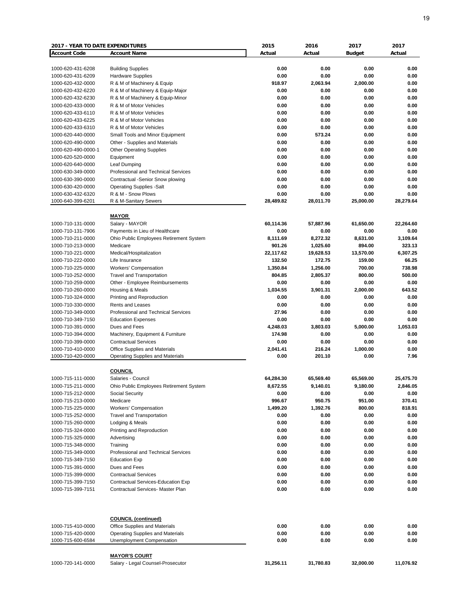|                                        |                                                                                                                                                                                                                                                                                                                                                                                                                                                                                                                                                                                                                                                                                                                                                                                                                                                                                                                                                                                                                                                                                                                                                                                                                                                                                                                                                                                                                                                                                                                                                                                                       | 2015             | 2016             | 2017             | 2017         |
|----------------------------------------|-------------------------------------------------------------------------------------------------------------------------------------------------------------------------------------------------------------------------------------------------------------------------------------------------------------------------------------------------------------------------------------------------------------------------------------------------------------------------------------------------------------------------------------------------------------------------------------------------------------------------------------------------------------------------------------------------------------------------------------------------------------------------------------------------------------------------------------------------------------------------------------------------------------------------------------------------------------------------------------------------------------------------------------------------------------------------------------------------------------------------------------------------------------------------------------------------------------------------------------------------------------------------------------------------------------------------------------------------------------------------------------------------------------------------------------------------------------------------------------------------------------------------------------------------------------------------------------------------------|------------------|------------------|------------------|--------------|
| <b>Account Code</b>                    | <b>Account Name</b>                                                                                                                                                                                                                                                                                                                                                                                                                                                                                                                                                                                                                                                                                                                                                                                                                                                                                                                                                                                                                                                                                                                                                                                                                                                                                                                                                                                                                                                                                                                                                                                   | Actual           | Actual           | <b>Budget</b>    | Actual       |
|                                        |                                                                                                                                                                                                                                                                                                                                                                                                                                                                                                                                                                                                                                                                                                                                                                                                                                                                                                                                                                                                                                                                                                                                                                                                                                                                                                                                                                                                                                                                                                                                                                                                       |                  |                  |                  |              |
| 1000-620-431-6208                      | <b>Building Supplies</b>                                                                                                                                                                                                                                                                                                                                                                                                                                                                                                                                                                                                                                                                                                                                                                                                                                                                                                                                                                                                                                                                                                                                                                                                                                                                                                                                                                                                                                                                                                                                                                              | 0.00             | 0.00             | 0.00             | 0.00         |
| 1000-620-431-6209                      | <b>Hardware Supplies</b>                                                                                                                                                                                                                                                                                                                                                                                                                                                                                                                                                                                                                                                                                                                                                                                                                                                                                                                                                                                                                                                                                                                                                                                                                                                                                                                                                                                                                                                                                                                                                                              | 0.00             | 0.00             | 0.00             | 0.00         |
| 1000-620-432-0000                      |                                                                                                                                                                                                                                                                                                                                                                                                                                                                                                                                                                                                                                                                                                                                                                                                                                                                                                                                                                                                                                                                                                                                                                                                                                                                                                                                                                                                                                                                                                                                                                                                       | 918.97           | 2,063.94         | 2,000.00         | 0.00         |
| 1000-620-432-6220                      |                                                                                                                                                                                                                                                                                                                                                                                                                                                                                                                                                                                                                                                                                                                                                                                                                                                                                                                                                                                                                                                                                                                                                                                                                                                                                                                                                                                                                                                                                                                                                                                                       | 0.00             | 0.00             | 0.00             | 0.00         |
| 1000-620-432-6230                      |                                                                                                                                                                                                                                                                                                                                                                                                                                                                                                                                                                                                                                                                                                                                                                                                                                                                                                                                                                                                                                                                                                                                                                                                                                                                                                                                                                                                                                                                                                                                                                                                       | 0.00             | 0.00             | 0.00             | 0.00         |
| 1000-620-433-0000                      |                                                                                                                                                                                                                                                                                                                                                                                                                                                                                                                                                                                                                                                                                                                                                                                                                                                                                                                                                                                                                                                                                                                                                                                                                                                                                                                                                                                                                                                                                                                                                                                                       | 0.00<br>0.00     | 0.00             | 0.00             | 0.00<br>0.00 |
| 1000-620-433-6110<br>1000-620-433-6225 |                                                                                                                                                                                                                                                                                                                                                                                                                                                                                                                                                                                                                                                                                                                                                                                                                                                                                                                                                                                                                                                                                                                                                                                                                                                                                                                                                                                                                                                                                                                                                                                                       | 0.00             | 0.00<br>0.00     | 0.00<br>0.00     | 0.00         |
| 1000-620-433-6310                      |                                                                                                                                                                                                                                                                                                                                                                                                                                                                                                                                                                                                                                                                                                                                                                                                                                                                                                                                                                                                                                                                                                                                                                                                                                                                                                                                                                                                                                                                                                                                                                                                       | 0.00             | 0.00             | 0.00             | 0.00         |
| 1000-620-440-0000                      |                                                                                                                                                                                                                                                                                                                                                                                                                                                                                                                                                                                                                                                                                                                                                                                                                                                                                                                                                                                                                                                                                                                                                                                                                                                                                                                                                                                                                                                                                                                                                                                                       | 0.00             | 573.24           | 0.00             | 0.00         |
| 1000-620-490-0000                      |                                                                                                                                                                                                                                                                                                                                                                                                                                                                                                                                                                                                                                                                                                                                                                                                                                                                                                                                                                                                                                                                                                                                                                                                                                                                                                                                                                                                                                                                                                                                                                                                       | 0.00             | 0.00             | 0.00             | 0.00         |
| 1000-620-490-0000-1                    |                                                                                                                                                                                                                                                                                                                                                                                                                                                                                                                                                                                                                                                                                                                                                                                                                                                                                                                                                                                                                                                                                                                                                                                                                                                                                                                                                                                                                                                                                                                                                                                                       | 0.00             | 0.00             | 0.00             | 0.00         |
| 1000-620-520-0000                      |                                                                                                                                                                                                                                                                                                                                                                                                                                                                                                                                                                                                                                                                                                                                                                                                                                                                                                                                                                                                                                                                                                                                                                                                                                                                                                                                                                                                                                                                                                                                                                                                       | 0.00             | 0.00             | 0.00             | 0.00         |
| 1000-620-640-0000                      |                                                                                                                                                                                                                                                                                                                                                                                                                                                                                                                                                                                                                                                                                                                                                                                                                                                                                                                                                                                                                                                                                                                                                                                                                                                                                                                                                                                                                                                                                                                                                                                                       | 0.00             | 0.00             | 0.00             | 0.00         |
| 1000-630-349-0000                      | Professional and Technical Services                                                                                                                                                                                                                                                                                                                                                                                                                                                                                                                                                                                                                                                                                                                                                                                                                                                                                                                                                                                                                                                                                                                                                                                                                                                                                                                                                                                                                                                                                                                                                                   | 0.00             | 0.00             | 0.00             | 0.00         |
| 1000-630-390-0000                      | Contractual -Senior Snow plowing                                                                                                                                                                                                                                                                                                                                                                                                                                                                                                                                                                                                                                                                                                                                                                                                                                                                                                                                                                                                                                                                                                                                                                                                                                                                                                                                                                                                                                                                                                                                                                      | 0.00             | 0.00             | 0.00             | 0.00         |
| 1000-630-420-0000                      | <b>Operating Supplies -Salt</b>                                                                                                                                                                                                                                                                                                                                                                                                                                                                                                                                                                                                                                                                                                                                                                                                                                                                                                                                                                                                                                                                                                                                                                                                                                                                                                                                                                                                                                                                                                                                                                       | 0.00             | 0.00             | 0.00             | 0.00         |
| 1000-630-432-6320                      | R & M - Snow Plows                                                                                                                                                                                                                                                                                                                                                                                                                                                                                                                                                                                                                                                                                                                                                                                                                                                                                                                                                                                                                                                                                                                                                                                                                                                                                                                                                                                                                                                                                                                                                                                    | 0.00             | 0.00             | 0.00             | 0.00         |
| 1000-640-399-6201                      | R & M-Sanitary Sewers                                                                                                                                                                                                                                                                                                                                                                                                                                                                                                                                                                                                                                                                                                                                                                                                                                                                                                                                                                                                                                                                                                                                                                                                                                                                                                                                                                                                                                                                                                                                                                                 | 28,489.82        | 28,011.70        | 25,000.00        | 28,279.64    |
|                                        |                                                                                                                                                                                                                                                                                                                                                                                                                                                                                                                                                                                                                                                                                                                                                                                                                                                                                                                                                                                                                                                                                                                                                                                                                                                                                                                                                                                                                                                                                                                                                                                                       |                  |                  |                  |              |
|                                        | <b>2017 - YEAR TO DATE EXPENDITURES</b><br>R & M of Machinery & Equip<br>R & M of Machinery & Equip-Major<br>R & M of Machinery & Equip-Minor<br>R & M of Motor Vehicles<br>R & M of Motor Vehicles<br>R & M of Motor Vehicles<br>R & M of Motor Vehicles<br>Small Tools and Minor Equipment<br>Other - Supplies and Materials<br><b>Other Operating Supplies</b><br>Equipment<br>Leaf Dumping<br><b>MAYOR</b><br>Salary - MAYOR<br>Payments in Lieu of Healthcare<br>Ohio Public Employees Retirement System<br>Medicare<br>Medical/Hospitalization<br>Life Insurance<br><b>Workers' Compensation</b><br><b>Travel and Transportation</b><br>Other - Employee Reimbursements<br>Housing & Meals<br>Printing and Reproduction<br>Rents and Leases<br>Professional and Technical Services<br><b>Education Expenses</b><br>Dues and Fees<br>Machinery, Equipment & Furniture<br><b>Contractual Services</b><br><b>Office Supplies and Materials</b><br><b>Operating Supplies and Materials</b><br><b>COUNCIL</b><br>Salaries - Council<br>Ohio Public Employees Retirement System<br>Social Security<br>Medicare<br><b>Workers' Compensation</b><br><b>Travel and Transportation</b><br>Lodging & Meals<br>Printing and Reproduction<br>Advertising<br>Training<br>Professional and Technical Services<br><b>Education Exp</b><br>Dues and Fees<br><b>Contractual Services</b><br><b>Contractual Services-Education Exp</b><br>Contractual Services- Master Plan<br><b>COUNCIL (continued)</b><br>Office Supplies and Materials<br><b>Operating Supplies and Materials</b><br>Unemployment Compensation |                  |                  |                  |              |
| 1000-710-131-0000                      |                                                                                                                                                                                                                                                                                                                                                                                                                                                                                                                                                                                                                                                                                                                                                                                                                                                                                                                                                                                                                                                                                                                                                                                                                                                                                                                                                                                                                                                                                                                                                                                                       | 60,114.36        | 57,887.96        | 61,650.00        | 22,264.60    |
| 1000-710-131-7906                      |                                                                                                                                                                                                                                                                                                                                                                                                                                                                                                                                                                                                                                                                                                                                                                                                                                                                                                                                                                                                                                                                                                                                                                                                                                                                                                                                                                                                                                                                                                                                                                                                       | 0.00             | 0.00             | 0.00             | 0.00         |
| 1000-710-211-0000                      |                                                                                                                                                                                                                                                                                                                                                                                                                                                                                                                                                                                                                                                                                                                                                                                                                                                                                                                                                                                                                                                                                                                                                                                                                                                                                                                                                                                                                                                                                                                                                                                                       | 8,111.69         | 8,272.32         | 8,631.00         | 3,109.64     |
| 1000-710-213-0000                      |                                                                                                                                                                                                                                                                                                                                                                                                                                                                                                                                                                                                                                                                                                                                                                                                                                                                                                                                                                                                                                                                                                                                                                                                                                                                                                                                                                                                                                                                                                                                                                                                       | 901.26           | 1,025.60         | 894.00           | 323.13       |
| 1000-710-221-0000                      |                                                                                                                                                                                                                                                                                                                                                                                                                                                                                                                                                                                                                                                                                                                                                                                                                                                                                                                                                                                                                                                                                                                                                                                                                                                                                                                                                                                                                                                                                                                                                                                                       | 22,117.62        | 19,628.53        | 13,570.00        | 6,307.25     |
| 1000-710-222-0000                      |                                                                                                                                                                                                                                                                                                                                                                                                                                                                                                                                                                                                                                                                                                                                                                                                                                                                                                                                                                                                                                                                                                                                                                                                                                                                                                                                                                                                                                                                                                                                                                                                       | 132.50           | 172.75           | 159.00           | 66.25        |
| 1000-710-225-0000                      |                                                                                                                                                                                                                                                                                                                                                                                                                                                                                                                                                                                                                                                                                                                                                                                                                                                                                                                                                                                                                                                                                                                                                                                                                                                                                                                                                                                                                                                                                                                                                                                                       | 1,350.84         | 1,256.00         | 700.00           | 738.98       |
| 1000-710-252-0000                      |                                                                                                                                                                                                                                                                                                                                                                                                                                                                                                                                                                                                                                                                                                                                                                                                                                                                                                                                                                                                                                                                                                                                                                                                                                                                                                                                                                                                                                                                                                                                                                                                       | 804.85           | 2,805.37         | 800.00           | 500.00       |
| 1000-710-259-0000                      |                                                                                                                                                                                                                                                                                                                                                                                                                                                                                                                                                                                                                                                                                                                                                                                                                                                                                                                                                                                                                                                                                                                                                                                                                                                                                                                                                                                                                                                                                                                                                                                                       | 0.00             | 0.00             | 0.00             | 0.00         |
| 1000-710-260-0000                      |                                                                                                                                                                                                                                                                                                                                                                                                                                                                                                                                                                                                                                                                                                                                                                                                                                                                                                                                                                                                                                                                                                                                                                                                                                                                                                                                                                                                                                                                                                                                                                                                       | 1,034.55         | 3,901.31         | 2,000.00         | 643.52       |
| 1000-710-324-0000                      |                                                                                                                                                                                                                                                                                                                                                                                                                                                                                                                                                                                                                                                                                                                                                                                                                                                                                                                                                                                                                                                                                                                                                                                                                                                                                                                                                                                                                                                                                                                                                                                                       | 0.00             | 0.00             | 0.00             | 0.00         |
| 1000-710-330-0000                      |                                                                                                                                                                                                                                                                                                                                                                                                                                                                                                                                                                                                                                                                                                                                                                                                                                                                                                                                                                                                                                                                                                                                                                                                                                                                                                                                                                                                                                                                                                                                                                                                       | 0.00             | 0.00             | 0.00             | 0.00         |
| 1000-710-349-0000                      |                                                                                                                                                                                                                                                                                                                                                                                                                                                                                                                                                                                                                                                                                                                                                                                                                                                                                                                                                                                                                                                                                                                                                                                                                                                                                                                                                                                                                                                                                                                                                                                                       | 27.96            | 0.00             | 0.00             | 0.00         |
| 1000-710-349-7150                      |                                                                                                                                                                                                                                                                                                                                                                                                                                                                                                                                                                                                                                                                                                                                                                                                                                                                                                                                                                                                                                                                                                                                                                                                                                                                                                                                                                                                                                                                                                                                                                                                       | 0.00             | 0.00             | 0.00             | 0.00         |
| 1000-710-391-0000                      |                                                                                                                                                                                                                                                                                                                                                                                                                                                                                                                                                                                                                                                                                                                                                                                                                                                                                                                                                                                                                                                                                                                                                                                                                                                                                                                                                                                                                                                                                                                                                                                                       | 4,248.03         | 3,803.03         | 5,000.00         | 1,053.03     |
| 1000-710-394-0000                      |                                                                                                                                                                                                                                                                                                                                                                                                                                                                                                                                                                                                                                                                                                                                                                                                                                                                                                                                                                                                                                                                                                                                                                                                                                                                                                                                                                                                                                                                                                                                                                                                       | 174.98           | 0.00             | 0.00             | 0.00         |
| 1000-710-399-0000                      |                                                                                                                                                                                                                                                                                                                                                                                                                                                                                                                                                                                                                                                                                                                                                                                                                                                                                                                                                                                                                                                                                                                                                                                                                                                                                                                                                                                                                                                                                                                                                                                                       | 0.00             | 0.00             | 0.00             | 0.00         |
| 1000-710-410-0000                      |                                                                                                                                                                                                                                                                                                                                                                                                                                                                                                                                                                                                                                                                                                                                                                                                                                                                                                                                                                                                                                                                                                                                                                                                                                                                                                                                                                                                                                                                                                                                                                                                       | 2,041.41<br>0.00 | 216.24<br>201.10 | 1,000.00<br>0.00 | 0.00<br>7.96 |
| 1000-710-420-0000                      |                                                                                                                                                                                                                                                                                                                                                                                                                                                                                                                                                                                                                                                                                                                                                                                                                                                                                                                                                                                                                                                                                                                                                                                                                                                                                                                                                                                                                                                                                                                                                                                                       |                  |                  |                  |              |
|                                        |                                                                                                                                                                                                                                                                                                                                                                                                                                                                                                                                                                                                                                                                                                                                                                                                                                                                                                                                                                                                                                                                                                                                                                                                                                                                                                                                                                                                                                                                                                                                                                                                       |                  |                  |                  |              |
| 1000-715-111-0000                      |                                                                                                                                                                                                                                                                                                                                                                                                                                                                                                                                                                                                                                                                                                                                                                                                                                                                                                                                                                                                                                                                                                                                                                                                                                                                                                                                                                                                                                                                                                                                                                                                       | 64,284.30        | 65,569.40        | 65,569.00        | 25,475.70    |
| 1000-715-211-0000                      |                                                                                                                                                                                                                                                                                                                                                                                                                                                                                                                                                                                                                                                                                                                                                                                                                                                                                                                                                                                                                                                                                                                                                                                                                                                                                                                                                                                                                                                                                                                                                                                                       | 8,672.55         | 9,140.01         | 9,180.00         | 2,846.05     |
| 1000-715-212-0000                      |                                                                                                                                                                                                                                                                                                                                                                                                                                                                                                                                                                                                                                                                                                                                                                                                                                                                                                                                                                                                                                                                                                                                                                                                                                                                                                                                                                                                                                                                                                                                                                                                       | 0.00             | 0.00             | 0.00             | 0.00         |
| 1000-715-213-0000                      |                                                                                                                                                                                                                                                                                                                                                                                                                                                                                                                                                                                                                                                                                                                                                                                                                                                                                                                                                                                                                                                                                                                                                                                                                                                                                                                                                                                                                                                                                                                                                                                                       | 996.67           | 950.75           | 951.00           | 370.41       |
| 1000-715-225-0000                      |                                                                                                                                                                                                                                                                                                                                                                                                                                                                                                                                                                                                                                                                                                                                                                                                                                                                                                                                                                                                                                                                                                                                                                                                                                                                                                                                                                                                                                                                                                                                                                                                       | 1,499.20         | 1,392.76         | 800.00           | 818.91       |
| 1000-715-252-0000                      |                                                                                                                                                                                                                                                                                                                                                                                                                                                                                                                                                                                                                                                                                                                                                                                                                                                                                                                                                                                                                                                                                                                                                                                                                                                                                                                                                                                                                                                                                                                                                                                                       | 0.00             | 0.00             | 0.00             | 0.00         |
| 1000-715-260-0000                      |                                                                                                                                                                                                                                                                                                                                                                                                                                                                                                                                                                                                                                                                                                                                                                                                                                                                                                                                                                                                                                                                                                                                                                                                                                                                                                                                                                                                                                                                                                                                                                                                       | 0.00             | 0.00             | 0.00             | 0.00         |
| 1000-715-324-0000                      |                                                                                                                                                                                                                                                                                                                                                                                                                                                                                                                                                                                                                                                                                                                                                                                                                                                                                                                                                                                                                                                                                                                                                                                                                                                                                                                                                                                                                                                                                                                                                                                                       | 0.00             | 0.00             | 0.00             | 0.00         |
| 1000-715-325-0000                      |                                                                                                                                                                                                                                                                                                                                                                                                                                                                                                                                                                                                                                                                                                                                                                                                                                                                                                                                                                                                                                                                                                                                                                                                                                                                                                                                                                                                                                                                                                                                                                                                       | 0.00             | 0.00             | 0.00             | 0.00         |
| 1000-715-348-0000                      |                                                                                                                                                                                                                                                                                                                                                                                                                                                                                                                                                                                                                                                                                                                                                                                                                                                                                                                                                                                                                                                                                                                                                                                                                                                                                                                                                                                                                                                                                                                                                                                                       | 0.00             | 0.00             | 0.00             | 0.00         |
| 1000-715-349-0000                      |                                                                                                                                                                                                                                                                                                                                                                                                                                                                                                                                                                                                                                                                                                                                                                                                                                                                                                                                                                                                                                                                                                                                                                                                                                                                                                                                                                                                                                                                                                                                                                                                       | 0.00             | 0.00             | 0.00             | 0.00         |
| 1000-715-349-7150                      |                                                                                                                                                                                                                                                                                                                                                                                                                                                                                                                                                                                                                                                                                                                                                                                                                                                                                                                                                                                                                                                                                                                                                                                                                                                                                                                                                                                                                                                                                                                                                                                                       | 0.00             | 0.00             | 0.00             | 0.00         |
| 1000-715-391-0000                      |                                                                                                                                                                                                                                                                                                                                                                                                                                                                                                                                                                                                                                                                                                                                                                                                                                                                                                                                                                                                                                                                                                                                                                                                                                                                                                                                                                                                                                                                                                                                                                                                       | 0.00             | 0.00             | 0.00             | 0.00         |
| 1000-715-399-0000                      |                                                                                                                                                                                                                                                                                                                                                                                                                                                                                                                                                                                                                                                                                                                                                                                                                                                                                                                                                                                                                                                                                                                                                                                                                                                                                                                                                                                                                                                                                                                                                                                                       | 0.00             | 0.00             | 0.00             | 0.00         |
| 1000-715-399-7150                      |                                                                                                                                                                                                                                                                                                                                                                                                                                                                                                                                                                                                                                                                                                                                                                                                                                                                                                                                                                                                                                                                                                                                                                                                                                                                                                                                                                                                                                                                                                                                                                                                       | 0.00             | 0.00             | 0.00             | 0.00         |
| 1000-715-399-7151                      |                                                                                                                                                                                                                                                                                                                                                                                                                                                                                                                                                                                                                                                                                                                                                                                                                                                                                                                                                                                                                                                                                                                                                                                                                                                                                                                                                                                                                                                                                                                                                                                                       | 0.00             | 0.00             | 0.00             | 0.00         |
|                                        |                                                                                                                                                                                                                                                                                                                                                                                                                                                                                                                                                                                                                                                                                                                                                                                                                                                                                                                                                                                                                                                                                                                                                                                                                                                                                                                                                                                                                                                                                                                                                                                                       |                  |                  |                  |              |
|                                        |                                                                                                                                                                                                                                                                                                                                                                                                                                                                                                                                                                                                                                                                                                                                                                                                                                                                                                                                                                                                                                                                                                                                                                                                                                                                                                                                                                                                                                                                                                                                                                                                       |                  |                  |                  |              |
| 1000-715-410-0000                      |                                                                                                                                                                                                                                                                                                                                                                                                                                                                                                                                                                                                                                                                                                                                                                                                                                                                                                                                                                                                                                                                                                                                                                                                                                                                                                                                                                                                                                                                                                                                                                                                       | 0.00             | 0.00             | 0.00             | 0.00         |
| 1000-715-420-0000                      |                                                                                                                                                                                                                                                                                                                                                                                                                                                                                                                                                                                                                                                                                                                                                                                                                                                                                                                                                                                                                                                                                                                                                                                                                                                                                                                                                                                                                                                                                                                                                                                                       | 0.00             | 0.00             | 0.00             | 0.00         |
| 1000-715-600-6584                      |                                                                                                                                                                                                                                                                                                                                                                                                                                                                                                                                                                                                                                                                                                                                                                                                                                                                                                                                                                                                                                                                                                                                                                                                                                                                                                                                                                                                                                                                                                                                                                                                       | 0.00             | 0.00             | 0.00             | 0.00         |
|                                        |                                                                                                                                                                                                                                                                                                                                                                                                                                                                                                                                                                                                                                                                                                                                                                                                                                                                                                                                                                                                                                                                                                                                                                                                                                                                                                                                                                                                                                                                                                                                                                                                       |                  |                  |                  |              |
|                                        | <b>MAYOR'S COURT</b>                                                                                                                                                                                                                                                                                                                                                                                                                                                                                                                                                                                                                                                                                                                                                                                                                                                                                                                                                                                                                                                                                                                                                                                                                                                                                                                                                                                                                                                                                                                                                                                  |                  |                  |                  |              |
| 1000-720-141-0000                      | Salary - Legal Counsel-Prosecutor                                                                                                                                                                                                                                                                                                                                                                                                                                                                                                                                                                                                                                                                                                                                                                                                                                                                                                                                                                                                                                                                                                                                                                                                                                                                                                                                                                                                                                                                                                                                                                     | 31,256.11        | 31,780.83        | 32,000.00        | 11,076.92    |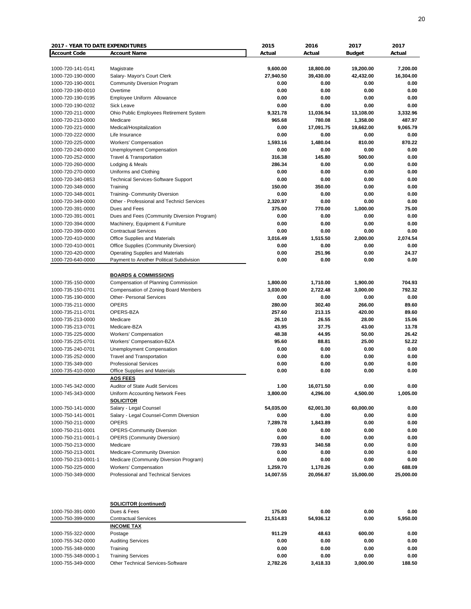| <b>2017 - YEAR TO DATE EXPENDITURES</b> |                                             | 2015      | 2016      | 2017          | 2017      |
|-----------------------------------------|---------------------------------------------|-----------|-----------|---------------|-----------|
| <b>Account Code</b>                     | <b>Account Name</b>                         | Actual    | Actual    | <b>Budget</b> | Actual    |
|                                         |                                             |           |           |               |           |
| 1000-720-141-0141                       | Magistrate                                  | 9,600.00  | 18,800.00 | 19,200.00     | 7,200.00  |
| 1000-720-190-0000                       | Salary- Mayor's Court Clerk                 | 27,940.50 | 39,430.00 | 42,432.00     | 16,304.00 |
| 1000-720-190-0001                       | <b>Community Diversion Program</b>          | 0.00      | 0.00      | 0.00          | 0.00      |
| 1000-720-190-0010                       | Overtime                                    | 0.00      | 0.00      | 0.00          | 0.00      |
| 1000-720-190-0195                       | Employee Uniform Allowance                  | 0.00      | 0.00      | 0.00          | 0.00      |
| 1000-720-190-0202                       | Sick Leave                                  | 0.00      | 0.00      | 0.00          | 0.00      |
|                                         | Ohio Public Employees Retirement System     | 9,321.78  | 11,036.94 | 13,108.00     | 3,332.96  |
| 1000-720-211-0000                       |                                             |           |           |               |           |
| 1000-720-213-0000                       | Medicare                                    | 965.68    | 780.08    | 1,358.00      | 487.97    |
| 1000-720-221-0000                       | Medical/Hospitalization                     | 0.00      | 17,091.75 | 19,662.00     | 9,065.79  |
| 1000-720-222-0000                       | Life Insurance                              | 0.00      | 0.00      | 0.00          | 0.00      |
| 1000-720-225-0000                       | Workers' Compensation                       | 1,593.16  | 1,480.04  | 810.00        | 870.22    |
| 1000-720-240-0000                       | Unemployment Compensation                   | 0.00      | 0.00      | 0.00          | 0.00      |
| 1000-720-252-0000                       | Travel & Transportation                     | 316.38    | 145.80    | 500.00        | 0.00      |
| 1000-720-260-0000                       | Lodging & Meals                             | 286.34    | 0.00      | 0.00          | 0.00      |
| 1000-720-270-0000                       | Uniforms and Clothing                       | 0.00      | 0.00      | 0.00          | 0.00      |
| 1000-720-340-0853                       | <b>Technical Services-Software Support</b>  | 0.00      | 0.00      | 0.00          | 0.00      |
| 1000-720-348-0000                       | Training                                    | 150.00    | 350.00    | 0.00          | 0.00      |
| 1000-720-348-0001                       | <b>Training- Community Diversion</b>        | 0.00      | 0.00      | 0.00          | 0.00      |
| 1000-720-349-0000                       | Other - Professional and Technicl Services  | 2,320.97  | 0.00      | 0.00          | 0.00      |
| 1000-720-391-0000                       | Dues and Fees                               | 375.00    | 770.00    | 1,000.00      | 75.00     |
| 1000-720-391-0001                       | Dues and Fees (Community Diversion Program) | 0.00      | 0.00      | 0.00          | 0.00      |
|                                         |                                             |           |           |               |           |
| 1000-720-394-0000                       | Machinery, Equipment & Furniture            | 0.00      | 0.00      | 0.00          | 0.00      |
| 1000-720-399-0000                       | <b>Contractual Services</b>                 | 0.00      | 0.00      | 0.00          | 0.00      |
| 1000-720-410-0000                       | Office Supplies and Materials               | 3,016.49  | 1,515.50  | 2,000.00      | 2,074.54  |
| 1000-720-410-0001                       | Office Supplies (Community Diversion)       | 0.00      | 0.00      | 0.00          | 0.00      |
| 1000-720-420-0000                       | <b>Operating Supplies and Materials</b>     | 0.00      | 251.96    | 0.00          | 24.37     |
| 1000-720-640-0000                       | Payment to Another Political Subdivision    | 0.00      | 0.00      | 0.00          | 0.00      |
|                                         |                                             |           |           |               |           |
|                                         | <b>BOARDS &amp; COMMISSIONS</b>             |           |           |               |           |
| 1000-735-150-0000                       | Compensation of Planning Commission         | 1,800.00  | 1,710.00  | 1,900.00      | 704.93    |
| 1000-735-150-0701                       | Compensation of Zoning Board Members        | 3,030.00  | 2,722.48  | 3,000.00      | 792.32    |
| 1000-735-190-0000                       | <b>Other- Personal Services</b>             | 0.00      | 0.00      | 0.00          | 0.00      |
| 1000-735-211-0000                       | <b>OPERS</b>                                | 280.00    | 302.40    | 266.00        | 89.60     |
| 1000-735-211-0701                       | OPERS-BZA                                   | 257.60    | 213.15    | 420.00        | 89.60     |
| 1000-735-213-0000                       | Medicare                                    | 26.10     | 26.55     | 28.00         | 15.06     |
| 1000-735-213-0701                       | Medicare-BZA                                | 43.95     | 37.75     | 43.00         | 13.78     |
|                                         |                                             |           |           |               |           |
| 1000-735-225-0000                       | Workers' Compensation                       | 48.38     | 44.95     | 50.00         | 26.42     |
| 1000-735-225-0701                       | Workers' Compensation-BZA                   | 95.60     | 88.81     | 25.00         | 52.22     |
| 1000-735-240-0701                       | Unemployment Compensation                   | 0.00      | 0.00      | 0.00          | 0.00      |
| 1000-735-252-0000                       | <b>Travel and Transportation</b>            | 0.00      | 0.00      | 0.00          | 0.00      |
| 1000-735-349-000                        | <b>Professional Services</b>                | 0.00      | 0.00      | 0.00          | 0.00      |
| 1000-735-410-0000                       | Office Supplies and Materials               | 0.00      | 0.00      | 0.00          | 0.00      |
|                                         | <b>AOS FEES</b>                             |           |           |               |           |
| 1000-745-342-0000                       | Auditor of State Audit Services             | 1.00      | 16,071.50 | 0.00          | 0.00      |
| 1000-745-343-0000                       | Uniform Accounting Network Fees             | 3,800.00  | 4,296.00  | 4,500.00      | 1,005.00  |
|                                         | <b>SOLICITOR</b>                            |           |           |               |           |
| 1000-750-141-0000                       | Salary - Legal Counsel                      | 54,035.00 | 62,001.30 | 60,000.00     | 0.00      |
| 1000-750-141-0001                       | Salary - Legal Counsel-Comm Diversion       | 0.00      | 0.00      | 0.00          | 0.00      |
| 1000-750-211-0000                       | <b>OPERS</b>                                | 7,289.78  | 1,843.89  | 0.00          | 0.00      |
| 1000-750-211-0001                       |                                             |           |           |               |           |
|                                         | <b>OPERS-Community Diversion</b>            | 0.00      | 0.00      | 0.00          | 0.00      |
| 1000-750-211-0001-1                     | <b>OPERS (Community Diversion)</b>          | 0.00      | 0.00      | 0.00          | 0.00      |
| 1000-750-213-0000                       | Medicare                                    | 739.93    | 340.58    | 0.00          | 0.00      |
| 1000-750-213-0001                       | Medicare-Community Diversion                | 0.00      | 0.00      | 0.00          | 0.00      |
| 1000-750-213-0001-1                     | Medicare (Community Diversion Program)      | 0.00      | 0.00      | 0.00          | 0.00      |
| 1000-750-225-0000                       | Workers' Compensation                       | 1,259.70  | 1,170.26  | 0.00          | 688.09    |
| 1000-750-349-0000                       | Professional and Technical Services         | 14,007.55 | 20,056.87 | 15,000.00     | 25,000.00 |
|                                         |                                             |           |           |               |           |
|                                         |                                             |           |           |               |           |
|                                         | <b>SOLICITOR (continued)</b>                |           |           |               |           |
| 1000-750-391-0000                       | Dues & Fees                                 | 175.00    | 0.00      | 0.00          | 0.00      |
| 1000-750-399-0000                       | <b>Contractual Services</b>                 | 21,514.83 | 54,936.12 | 0.00          | 5,950.00  |
|                                         | <b>INCOME TAX</b>                           |           |           |               |           |
| 1000-755-322-0000                       | Postage                                     | 911.29    | 48.63     | 600.00        | 0.00      |
| 1000-755-342-0000                       | <b>Auditing Services</b>                    | 0.00      | 0.00      | 0.00          | 0.00      |
| 1000-755-348-0000                       | Training                                    | 0.00      | 0.00      | 0.00          | 0.00      |
| 1000-755-348-0000-1                     | <b>Training Services</b>                    | 0.00      | 0.00      | 0.00          | 0.00      |
| 1000-755-349-0000                       | Other Technical Services-Software           | 2,782.26  | 3,418.33  | 3,000.00      | 188.50    |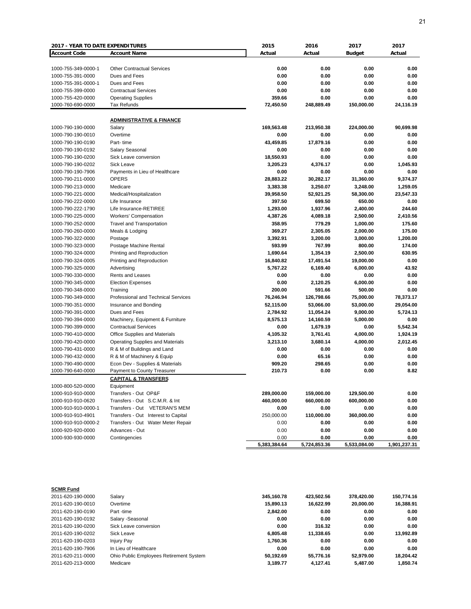| 2017 - YEAR TO DATE EXPENDITURES |                                            | 2015         | 2016         | 2017          | 2017         |
|----------------------------------|--------------------------------------------|--------------|--------------|---------------|--------------|
| <b>Account Code</b>              | <b>Account Name</b>                        | Actual       | Actual       | <b>Budget</b> | Actual       |
|                                  |                                            |              |              |               |              |
| 1000-755-349-0000-1              | <b>Other Contractual Services</b>          | 0.00         | 0.00         | 0.00          | 0.00         |
| 1000-755-391-0000                | Dues and Fees                              | 0.00         | 0.00         | 0.00          | 0.00         |
| 1000-755-391-0000-1              | Dues and Fees                              | 0.00         | 0.00         | 0.00          | 0.00         |
| 1000-755-399-0000                | <b>Contractual Services</b>                | 0.00         | 0.00         | 0.00          | 0.00         |
| 1000-755-420-0000                | <b>Operating Supplies</b>                  | 359.66       | 0.00         | 0.00          | 0.00         |
| 1000-760-690-0000                | <b>Tax Refunds</b>                         | 72,450.50    | 248,889.49   | 150,000.00    | 24,116.19    |
|                                  |                                            |              |              |               |              |
|                                  | <b>ADMINISTRATIVE &amp; FINANCE</b>        |              |              |               |              |
| 1000-790-190-0000                | Salary                                     | 169,563.48   | 213,950.38   | 224,000.00    | 90,699.98    |
| 1000-790-190-0010                | Overtime                                   | 0.00         | 0.00         | 0.00          | 0.00         |
| 1000-790-190-0190                | Part-time                                  | 43,459.85    | 17,879.16    | 0.00          | 0.00         |
| 1000-790-190-0192                | Salary Seasonal                            | 0.00         | 0.00         | 0.00          | 0.00         |
| 1000-790-190-0200                | Sick Leave conversion                      | 18,550.93    | 0.00         | 0.00          | 0.00         |
| 1000-790-190-0202                | Sick Leave                                 | 3,205.23     | 4,376.17     | 0.00          | 1,045.93     |
| 1000-790-190-7906                | Payments in Lieu of Healthcare             | 0.00         | 0.00         | 0.00          | 0.00         |
| 1000-790-211-0000                | <b>OPERS</b>                               | 28,883.22    | 30,282.17    | 31,360.00     | 9,374.37     |
| 1000-790-213-0000                | Medicare                                   | 3,383.38     | 3,250.07     | 3,248.00      | 1,259.05     |
| 1000-790-221-0000                | Medical/Hospitalization                    | 39,958.50    | 52,921.25    | 58,300.00     | 23,547.33    |
| 1000-790-222-0000                | Life Insurance                             | 397.50       | 699.50       | 650.00        | 0.00         |
| 1000-790-222-1790                | Life Insurance-RETIREE                     | 1,293.00     | 1,937.96     | 2,400.00      | 244.60       |
| 1000-790-225-0000                | <b>Workers' Compensation</b>               | 4,387.26     | 4,089.18     | 2,500.00      | 2,410.56     |
| 1000-790-252-0000                | <b>Travel and Transportation</b>           | 358.95       | 779.29       | 1,000.00      | 175.60       |
| 1000-790-260-0000                | Meals & Lodging                            | 369.27       | 2,305.05     | 2,000.00      | 175.00       |
| 1000-790-322-0000                | Postage                                    | 3,392.91     | 3,200.00     | 3,000.00      | 1,200.00     |
| 1000-790-323-0000                | Postage Machine Rental                     | 593.99       | 767.99       | 800.00        | 174.00       |
| 1000-790-324-0000                | Printing and Reproduction                  | 1,690.64     | 1,354.19     | 2,500.00      | 630.95       |
| 1000-790-324-0005                | Printing and Reproduction                  | 16,840.82    | 17,491.54    | 19,000.00     | 0.00         |
| 1000-790-325-0000                | Advertising                                | 5,767.22     | 6,169.40     | 6,000.00      | 43.92        |
| 1000-790-330-0000                | Rents and Leases                           | 0.00         | 0.00         | 0.00          | 0.00         |
| 1000-790-345-0000                | <b>Election Expenses</b>                   | 0.00         | 2,120.25     | 6,000.00      | 0.00         |
| 1000-790-348-0000                | Training                                   | 200.00       | 591.66       | 500.00        | 0.00         |
| 1000-790-349-0000                | <b>Professional and Technical Services</b> | 76,246.94    | 126,798.66   | 75,000.00     | 78,373.17    |
| 1000-790-351-0000                | Insurance and Bonding                      | 52,115.00    | 53,066.00    | 53,000.00     | 29,054.00    |
| 1000-790-391-0000                | Dues and Fees                              | 2,784.92     | 11,054.24    | 9,000.00      | 5,724.13     |
| 1000-790-394-0000                | Machinery, Equipment & Furniture           | 8,575.13     | 14,160.59    | 5,000.00      | 0.00         |
| 1000-790-399-0000                | <b>Contractual Services</b>                | 0.00         | 1,679.19     | 0.00          | 5,542.34     |
| 1000-790-410-0000                | Office Supplies and Materials              | 4,105.32     | 3,761.41     | 4,000.00      | 1,924.19     |
| 1000-790-420-0000                | <b>Operating Supplies and Materials</b>    | 3,213.10     | 3,680.14     | 4,000.00      | 2,012.45     |
| 1000-790-431-0000                | R & M of Buildings and Land                | 0.00         | 0.00         | 0.00          | 0.00         |
| 1000-790-432-0000                | R & M of Machinery & Equip                 | 0.00         | 65.16        | 0.00          | 0.00         |
| 1000-790-490-0000                | Econ Dev - Supplies & Materials            | 909.20       | 298.65       | 0.00          | 0.00         |
| 1000-790-640-0000                | Payment to County Treasurer                | 210.73       | 0.00         | 0.00          | 8.82         |
|                                  | <b>CAPITAL &amp; TRANSFERS</b>             |              |              |               |              |
| 1000-800-520-0000                | Equipment                                  |              |              |               |              |
| 1000-910-910-0000                | Transfers - Out OP&F                       | 289,000.00   | 159,000.00   | 129,500.00    | 0.00         |
| 1000-910-910-0620                | Transfers - Out S.C.M.R. & Int             | 460,000.00   | 660,000.00   | 600,000.00    | 0.00         |
| 1000-910-910-0000-1              | Transfers - Out VETERAN'S MEM              | 0.00         | 0.00         | 0.00          | 0.00         |
|                                  |                                            |              |              |               |              |
| 1000-910-910-4901                | Transfers - Out Interest to Capital        | 250,000.00   | 110,000.00   | 360,000.00    | 0.00         |
| 1000-910-910-0000-2              | Transfers - Out Water Meter Repair         | 0.00         | 0.00         | 0.00          | 0.00         |
| 1000-920-920-0000                | Advances - Out                             | 0.00         | 0.00         | 0.00          | 0.00         |
| 1000-930-930-0000                | Contingencies                              | 0.00         | 0.00         | 0.00          | 0.00         |
|                                  |                                            | 5,383,384.64 | 5,724,853.36 | 5,533,084.00  | 1,901,237.31 |

| <b>SCMR Fund</b>  |                                         |            |            |            |            |
|-------------------|-----------------------------------------|------------|------------|------------|------------|
| 2011-620-190-0000 | Salary                                  | 345.160.78 | 423.502.56 | 378.420.00 | 150.774.16 |
| 2011-620-190-0010 | Overtime                                | 15,890.13  | 16.622.99  | 20.000.00  | 16,388.91  |
| 2011-620-190-0190 | Part-time                               | 2.842.00   | 0.00       | 0.00       | 0.00       |
| 2011-620-190-0192 | Salary -Seasonal                        | 0.00       | 0.00       | 0.00       | 0.00       |
| 2011-620-190-0200 | Sick Leave conversion                   | 0.00       | 316.32     | 0.00       | 0.00       |
| 2011-620-190-0202 | Sick Leave                              | 6.805.48   | 11.338.65  | 0.00       | 13.992.89  |
| 2011-620-190-0203 | <b>Injury Pay</b>                       | 1,760.36   | 0.00       | 0.00       | 0.00       |
| 2011-620-190-7906 | In Lieu of Healthcare                   | 0.00       | 0.00       | 0.00       | 0.00       |
| 2011-620-211-0000 | Ohio Public Employees Retirement System | 50.192.69  | 55.776.16  | 52.979.00  | 18.204.42  |
| 2011-620-213-0000 | Medicare                                | 3,189.77   | 4.127.41   | 5.487.00   | 1.850.74   |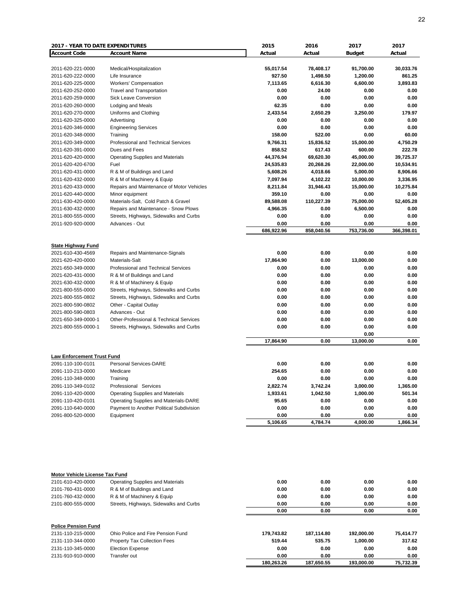| <b>2017 - YEAR TO DATE EXPENDITURES</b>        |                                                   | 2015       | 2016       | 2017              | 2017       |
|------------------------------------------------|---------------------------------------------------|------------|------------|-------------------|------------|
| <b>Account Code</b>                            | <b>Account Name</b>                               | Actual     | Actual     | <b>Budget</b>     | Actual     |
|                                                |                                                   |            |            |                   |            |
| 2011-620-221-0000                              | Medical/Hospitalization                           | 55,017.54  | 78,408.17  | 91,700.00         | 30,033.76  |
| 2011-620-222-0000                              | Life Insurance                                    | 927.50     | 1,498.50   | 1,200.00          | 861.25     |
| 2011-620-225-0000                              | Workers' Compensation                             | 7,113.65   | 6,616.30   | 6,600.00          | 3,893.83   |
| 2011-620-252-0000                              | <b>Travel and Transportation</b>                  | 0.00       | 24.00      | 0.00              | 0.00       |
| 2011-620-259-0000                              | Sick Leave Conversion                             | 0.00       | 0.00       | 0.00              | 0.00       |
| 2011-620-260-0000                              | Lodging and Meals                                 | 62.35      | 0.00       | 0.00              | 0.00       |
| 2011-620-270-0000                              | Uniforms and Clothing                             | 2,433.54   | 2,650.29   | 3,250.00          | 179.97     |
| 2011-620-325-0000                              | Advertising                                       | 0.00       | 0.00       | 0.00              | 0.00       |
| 2011-620-346-0000                              | <b>Engineering Services</b>                       | 0.00       | 0.00       | 0.00              | 0.00       |
| 2011-620-348-0000                              | Training                                          | 158.00     | 522.00     | 0.00              | 60.00      |
| 2011-620-349-0000                              | Professional and Technical Services               | 9,766.31   | 15,836.52  | 15,000.00         | 4,750.29   |
| 2011-620-391-0000                              | Dues and Fees                                     | 858.52     | 617.43     | 600.00            | 222.78     |
| 2011-620-420-0000                              | Operating Supplies and Materials                  | 44,376.94  | 69,620.30  | 45,000.00         | 39,725.37  |
| 2011-620-420-6700                              | Fuel                                              | 24,535.83  | 20,268.26  | 22,000.00         | 10,534.91  |
| 2011-620-431-0000                              | R & M of Buildings and Land                       | 5,608.26   | 4,018.66   | 5,000.00          | 8,906.66   |
| 2011-620-432-0000                              | R & M of Machinery & Equip                        | 7,097.94   | 4,102.22   | 10,000.00         | 3,336.95   |
| 2011-620-433-0000                              | Repairs and Maintenance of Motor Vehicles         | 8,211.84   | 31,946.43  | 15,000.00         | 10,275.84  |
| 2011-620-440-0000                              | Minor equipment                                   | 359.10     | 0.00       | 0.00              | 0.00       |
| 2011-630-420-0000                              | Materials-Salt, Cold Patch & Gravel               | 89,588.08  | 110,227.39 | 75,000.00         | 52,405.28  |
| 2011-630-432-0000                              | Repairs and Maintenance - Snow Plows              | 4,966.35   | 0.00       | 6,500.00          | 0.00       |
| 2011-800-555-0000                              | Streets, Highways, Sidewalks and Curbs            | 0.00       | 0.00       | 0.00              | 0.00       |
| 2011-920-920-0000                              | Advances - Out                                    | 0.00       | 0.00       | 0.00              | 0.00       |
|                                                |                                                   | 686,922.96 | 858,040.56 | 753,736.00        | 366,398.01 |
|                                                |                                                   |            |            |                   |            |
| <b>State Highway Fund</b><br>2021-610-430-4569 |                                                   | 0.00       | 0.00       | 0.00              | 0.00       |
|                                                | Repairs and Maintenance-Signals<br>Materials-Salt | 17,864.90  |            |                   |            |
| 2021-620-420-0000                              |                                                   |            | 0.00       | 13,000.00         | 0.00       |
| 2021-650-349-0000                              | Professional and Technical Services               | 0.00       | 0.00       | 0.00              | 0.00       |
| 2021-620-431-0000                              | R & M of Buildings and Land                       | 0.00       | 0.00       | 0.00              | 0.00       |
| 2021-630-432-0000                              | R & M of Machinery & Equip                        | 0.00       | 0.00       | 0.00              | 0.00       |
| 2021-800-555-0000                              | Streets, Highways, Sidewalks and Curbs            | 0.00       | 0.00       | 0.00              | 0.00       |
| 2021-800-555-0802                              | Streets, Highways, Sidewalks and Curbs            | 0.00       | 0.00       | 0.00              | 0.00       |
| 2021-800-590-0802                              | Other - Capital Outlay                            | 0.00       | 0.00       | 0.00              | 0.00       |
| 2021-800-590-0803                              | Advances - Out                                    | 0.00       | 0.00       | 0.00              | 0.00       |
| 2021-650-349-0000-1                            | Other-Professional & Technical Services           | 0.00       | 0.00       | 0.00              | 0.00       |
| 2021-800-555-0000-1                            | Streets, Highways, Sidewalks and Curbs            | 0.00       | 0.00       | 0.00              | 0.00       |
|                                                |                                                   | 17,864.90  | 0.00       | 0.00<br>13,000.00 | 0.00       |
|                                                |                                                   |            |            |                   |            |
| <b>Law Enforcement Trust Fund</b>              |                                                   |            |            |                   |            |
| 2091-110-100-0101                              | Personal Services-DARE                            | 0.00       | 0.00       | 0.00              | 0.00       |
| 2091-110-213-0000                              | Medicare                                          | 254.65     | 0.00       | 0.00              | 0.00       |
| 2091-110-348-0000                              | Training                                          | 0.00       | 0.00       | 0.00              | 0.00       |
| 2091-110-349-0102                              | Professional Services                             | 2,822.74   | 3,742.24   | 3,000.00          | 1,365.00   |
| 2091-110-420-0000                              | <b>Operating Supplies and Materials</b>           | 1,933.61   | 1,042.50   | 1,000.00          | 501.34     |
| 2091-110-420-0101                              | Operating Supplies and Materials-DARE             | 95.65      | 0.00       | 0.00              | 0.00       |
| 2091-110-640-0000                              | Payment to Another Political Subdivision          | 0.00       | 0.00       | 0.00              | 0.00       |
| 2091-800-520-0000                              | Equipment                                         | 0.00       | 0.00       | 0.00              | 0.00       |
|                                                |                                                   | 5,106.65   | 4,784.74   | 4,000.00          | 1,866.34   |
|                                                |                                                   |            |            |                   |            |
|                                                |                                                   |            |            |                   |            |
|                                                |                                                   |            |            |                   |            |
| Motor Vehicle License Tax Fund                 |                                                   |            |            |                   |            |
| 2101-610-420-0000                              | <b>Operating Supplies and Materials</b>           | 0.00       | 0.00       | 0.00              | 0.00       |
| 2101-760-431-0000                              | R & M of Buildings and Land                       | 0.00       | 0.00       | 0.00              | 0.00       |
| 2101-760-432-0000                              | R & M of Machinery & Equip                        | 0.00       | 0.00       | 0.00              | 0.00       |
| 2101-800-555-0000                              | Streets, Highways, Sidewalks and Curbs            | 0.00       | 0.00       | 0.00              | 0.00       |
|                                                |                                                   | 0.00       | 0.00       | 0.00              | 0.00       |
|                                                |                                                   |            |            |                   |            |
| <b>Police Pension Fund</b>                     |                                                   |            |            |                   |            |
| 2131-110-215-0000                              | Ohio Police and Fire Pension Fund                 | 179,743.82 | 187,114.80 | 192,000.00        | 75,414.77  |
| 2131-110-344-0000                              | Property Tax Collection Fees                      | 519.44     | 535.75     | 1,000.00          | 317.62     |

2131-110-345-0000 Election Expense **0.00** 0.00 0.00 0.00 0.00 0.00 0.00<br>2131-910-910-0000 Transfer out **180,263.26** 187,650.55 193,000.00 75,732.39

**180,263.26 187,650.55 193,000.00 75,732.39**

2131-910-910-0000 Transfer out **0.00 0.00 0.00 0.00**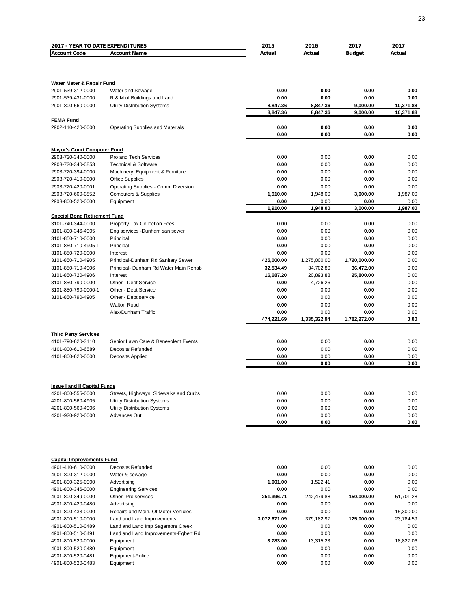| <b>2017 - YEAR TO DATE EXPENDITURES</b>                   |                                        | 2015         | 2016         | 2017          | 2017         |
|-----------------------------------------------------------|----------------------------------------|--------------|--------------|---------------|--------------|
| <b>Account Code</b>                                       | <b>Account Name</b>                    | Actual       | Actual       | <b>Budget</b> | Actual       |
|                                                           |                                        |              |              |               |              |
|                                                           |                                        |              |              |               |              |
|                                                           |                                        |              |              |               |              |
| <b>Water Meter &amp; Repair Fund</b><br>2901-539-312-0000 | Water and Sewage                       | 0.00         | 0.00         | 0.00          | 0.00         |
| 2901-539-431-0000                                         | R & M of Buildings and Land            | 0.00         | 0.00         | 0.00          | 0.00         |
| 2901-800-560-0000                                         | Utility Distribution Systems           | 8,847.36     | 8,847.36     | 9,000.00      | 10,371.88    |
|                                                           |                                        | 8,847.36     | 8,847.36     | 9,000.00      | 10,371.88    |
| <b>FEMA Fund</b>                                          |                                        |              |              |               |              |
| 2902-110-420-0000                                         | Operating Supplies and Materials       | 0.00         | 0.00         | 0.00          | 0.00         |
|                                                           |                                        | 0.00         | 0.00         | 0.00          | 0.00         |
|                                                           |                                        |              |              |               |              |
| <b>Mayor's Court Computer Fund</b>                        |                                        |              |              |               |              |
| 2903-720-340-0000                                         | Pro and Tech Services                  | 0.00         | 0.00         | 0.00          | 0.00         |
| 2903-720-340-0853                                         | <b>Technical &amp; Software</b>        | 0.00         | 0.00         | 0.00          | 0.00         |
| 2903-720-394-0000                                         | Machinery, Equipment & Furniture       | 0.00         | 0.00         | 0.00          | 0.00         |
| 2903-720-410-0000                                         | <b>Office Supplies</b>                 | 0.00         | 0.00         | 0.00          | 0.00         |
| 2903-720-420-0001                                         | Operating Supplies - Comm Diversion    | 0.00         | 0.00         | 0.00          | 0.00         |
| 2903-720-600-0852                                         | <b>Computers &amp; Supplies</b>        | 1,910.00     | 1,948.00     | 3,000.00      | 1,987.00     |
| 2903-800-520-0000                                         | Equipment                              | 0.00         | 0.00         | 0.00          | 0.00         |
|                                                           |                                        | 1,910.00     | 1,948.00     | 3,000.00      | 1.987.00     |
| <b>Special Bond Retirement Fund</b><br>3101-740-344-0000  |                                        | 0.00         | 0.00         | 0.00          | 0.00         |
|                                                           | Property Tax Collection Fees           |              |              |               |              |
| 3101-800-346-4905                                         | Eng services -Dunham san sewer         | 0.00<br>0.00 | 0.00<br>0.00 | 0.00          | 0.00         |
| 3101-850-710-0000<br>3101-850-710-4905-1                  | Principal<br>Principal                 | 0.00         | 0.00         | 0.00<br>0.00  | 0.00<br>0.00 |
| 3101-850-720-0000                                         | Interest                               | 0.00         | 0.00         | 0.00          | 0.00         |
| 3101-850-710-4905                                         | Principal-Dunham Rd Sanitary Sewer     | 425,000.00   | 1,275,000.00 | 1,720,000.00  | 0.00         |
| 3101-850-710-4906                                         | Principal- Dunham Rd Water Main Rehab  | 32,534.49    | 34,702.80    | 36,472.00     | 0.00         |
| 3101-850-720-4906                                         | Interest                               | 16,687.20    | 20,893.88    | 25,800.00     | 0.00         |
| 3101-850-790-0000                                         | Other - Debt Service                   | 0.00         | 4,726.26     | 0.00          | 0.00         |
| 3101-850-790-0000-1                                       | Other - Debt Service                   | 0.00         | 0.00         | 0.00          | 0.00         |
| 3101-850-790-4905                                         | Other - Debt service                   | 0.00         | 0.00         | 0.00          | 0.00         |
|                                                           | <b>Walton Road</b>                     | 0.00         | 0.00         | 0.00          | 0.00         |
|                                                           | Alex/Dunham Traffic                    | 0.00         | 0.00         | 0.00          | 0.00         |
|                                                           |                                        | 474,221.69   | 1,335,322.94 | 1,782,272.00  | 0.00         |
|                                                           |                                        |              |              |               |              |
| <b>Third Party Services</b>                               |                                        |              |              |               |              |
| 4101-790-620-3110                                         | Senior Lawn Care & Benevolent Events   | 0.00         | 0.00         | 0.00          | 0.00         |
| 4101-800-610-6589                                         | Deposits Refunded                      | 0.00         | 0.00         | 0.00          | 0.00         |
| 4101-800-620-0000                                         | Deposits Applied                       | 0.00         | 0.00         | 0.00          | 0.00         |
|                                                           |                                        | 0.00         | 0.00         | 0.00          | 0.00         |
|                                                           |                                        |              |              |               |              |
|                                                           |                                        |              |              |               |              |
| <b>Issue I and II Capital Funds</b><br>4201-800-555-0000  | Streets, Highways, Sidewalks and Curbs | 0.00         | 0.00         | 0.00          | 0.00         |
| 4201-800-560-4905                                         | Utility Distribution Systems           | 0.00         | 0.00         | 0.00          | 0.00         |
| 4201-800-560-4906                                         | <b>Utility Distribution Systems</b>    | 0.00         | 0.00         | 0.00          | 0.00         |
| 4201-920-920-0000                                         | Advances Out                           | 0.00         | 0.00         | 0.00          | 0.00         |
|                                                           |                                        | 0.00         | 0.00         | 0.00          | 0.00         |
|                                                           |                                        |              |              |               |              |
|                                                           |                                        |              |              |               |              |
| <b>Capital Improvements Fund</b>                          |                                        |              |              |               |              |
| 4901-410-610-0000                                         | <b>Deposits Refunded</b>               | 0.00         | 0.00         | 0.00          | 0.00         |
| 4901-800-312-0000                                         | Water & sewage                         | 0.00         | 0.00         | 0.00          | 0.00         |
| 4901-800-325-0000                                         | Advertising                            | 1,001.00     | 1,522.41     | 0.00          | 0.00         |
| 4901-800-346-0000                                         | <b>Engineering Services</b>            | 0.00         | 0.00         | 0.00          | 0.00         |
| 4901-800-349-0000                                         | Other- Pro services                    | 251,396.71   | 242,479.88   | 150,000.00    | 51,701.28    |
| 4901-800-420-0480                                         | Advertising                            | 0.00         | 0.00         | 0.00          | 0.00         |
| 4901-800-433-0000                                         | Repairs and Main. Of Motor Vehicles    | 0.00         | 0.00         | 0.00          | 15,300.00    |
| 4901-800-510-0000                                         | Land and Land Improvements             | 3,072,671.09 | 379,182.97   | 125,000.00    | 23,784.59    |
| 4901-800-510-0489                                         | Land and Land Imp Sagamore Creek       | 0.00         | 0.00         | 0.00          | 0.00         |
| 4901-800-510-0491                                         | Land and Land Improvements-Egbert Rd   | 0.00         | 0.00         | 0.00          | 0.00         |
| 4901-800-520-0000                                         | Equipment                              | 3,783.00     | 13,315.23    | 0.00          | 18,827.06    |
| 4901-800-520-0480                                         | Equipment                              | 0.00         | 0.00         | 0.00          | 0.00         |
| 4901-800-520-0481                                         | Equipment-Police                       | 0.00         | 0.00         | 0.00          | 0.00         |
| 4901-800-520-0483                                         | Equipment                              | 0.00         | 0.00         | 0.00          | 0.00         |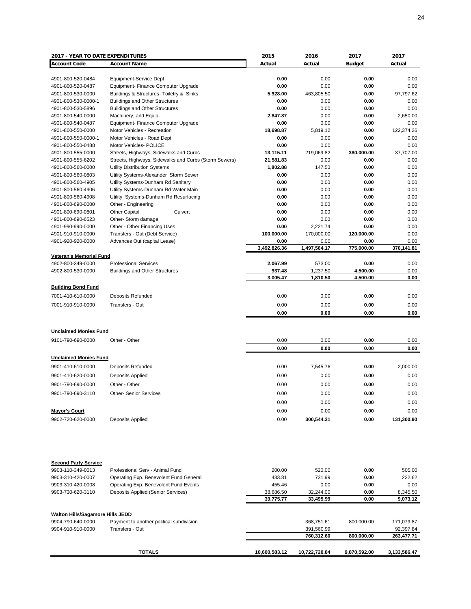| <b>2017 - YEAR TO DATE EXPENDITURES</b> |                                                       | 2015          | 2016          | 2017          | 2017         |
|-----------------------------------------|-------------------------------------------------------|---------------|---------------|---------------|--------------|
| <b>Account Code</b>                     | <b>Account Name</b>                                   | Actual        | Actual        | <b>Budget</b> | Actual       |
|                                         |                                                       |               |               |               |              |
| 4901-800-520-0484                       | Equipment-Service Dept                                | 0.00          | 0.00          | 0.00          | 0.00         |
| 4901-800-520-0487                       | Equipment- Finance Computer Upgrade                   | 0.00          | 0.00          | 0.00          | 0.00         |
| 4901-800-530-0000                       |                                                       | 5,928.00      | 463,805.50    | 0.00          | 97,797.62    |
|                                         | Buildings & Structures- Toiletry & Sinks              |               |               |               |              |
| 4901-800-530-0000-1                     | <b>Buildings and Other Structures</b>                 | 0.00          | 0.00          | 0.00          | 0.00         |
| 4901-800-530-5896                       | <b>Buildings and Other Structures</b>                 | 0.00          | 0.00          | 0.00          | 0.00         |
| 4901-800-540-0000                       | Machinery, and Equip-                                 | 2,847.87      | 0.00          | 0.00          | 2,650.00     |
| 4901-800-540-0487                       | Equipment- Finance Computer Upgrade                   | 0.00          | 0.00          | 0.00          | 0.00         |
| 4901-800-550-0000                       | Motor Vehicles - Recreation                           | 18,698.87     | 5,819.12      | 0.00          | 122,374.26   |
| 4901-800-550-0000-1                     | Motor Vehicles - Road Dept                            | 0.00          | 0.00          | 0.00          | 0.00         |
| 4901-800-550-0488                       | Motor Vehicles- POLICE                                | 0.00          | 0.00          | 0.00          | 0.00         |
| 4901-800-555-0000                       | Streets, Highways, Sidewalks and Curbs                | 13,115.11     | 219,069.82    | 380,000.00    | 37,707.00    |
| 4901-800-555-6202                       | Streets, Highways, Sidewalks and Curbs (Storm Sewers) | 21,581.83     | 0.00          | 0.00          | 0.00         |
| 4901-800-560-0000                       | <b>Utility Distribution Systems</b>                   | 1,802.88      | 147.50        | 0.00          | 0.00         |
| 4901-800-560-0803                       | Utility Systems-Alexander Storm Sewer                 | 0.00          | 0.00          | 0.00          | 0.00         |
|                                         |                                                       |               |               |               |              |
| 4901-800-560-4905                       | Utility Systems-Dunham Rd Sanitary                    | 0.00          | 0.00          | 0.00          | 0.00         |
| 4901-800-560-4906                       | Utility Systems-Dunham Rd Water Main                  | 0.00          | 0.00          | 0.00          | 0.00         |
| 4901-800-560-4908                       | Utility Systems-Dunham Rd Resurfacing                 | 0.00          | 0.00          | 0.00          | 0.00         |
| 4901-800-690-0000                       | Other - Engineering                                   | 0.00          | 0.00          | 0.00          | 0.00         |
| 4901-800-690-0801                       | <b>Other Capital</b><br>Culvert                       | 0.00          | 0.00          | 0.00          | 0.00         |
| 4901-800-690-6523                       | Other- Storm damage                                   | 0.00          | 0.00          | 0.00          | 0.00         |
| 4901-990-990-0000                       | Other - Other Financing Uses                          | 0.00          | 2.221.74      | 0.00          | 0.00         |
| 4901-910-910-0000                       | Transfers - Out (Debt Service)                        | 100,000.00    | 170,000.00    | 120,000.00    | 0.00         |
| 4901-920-920-0000                       | Advances Out (capital Lease)                          | 0.00          | 0.00          | 0.00          | 0.00         |
|                                         |                                                       | 3,492,826.36  | 1,497,564.17  | 775,000.00    | 370,141.81   |
| <b>Veteran's Memorial Fund</b>          |                                                       |               |               |               |              |
|                                         |                                                       |               |               |               |              |
| 4902-800-349-0000                       | <b>Professional Services</b>                          | 2,067.99      | 573.00        | 0.00          | 0.00         |
| 4902-800-530-0000                       | <b>Buildings and Other Structures</b>                 | 937.48        | 1,237.50      | 4,500.00      | 0.00         |
|                                         |                                                       | 3,005.47      | 1,810.50      | 4,500.00      | 0.00         |
| <b>Building Bond Fund</b>               |                                                       |               |               |               |              |
| 7001-410-610-0000                       | Deposits Refunded                                     | 0.00          | 0.00          | 0.00          | 0.00         |
|                                         |                                                       |               |               |               |              |
| 7001-910-910-0000                       | Transfers - Out                                       | 0.00          | 0.00          | 0.00          | 0.00         |
|                                         |                                                       | 0.00          | 0.00          | 0.00          | 0.00         |
|                                         |                                                       |               |               |               |              |
| <b>Unclaimed Monies Fund</b>            |                                                       |               |               |               |              |
|                                         |                                                       |               |               |               |              |
| 9101-790-690-0000                       | Other - Other                                         | 0.00          | 0.00          | 0.00          | 0.00         |
|                                         |                                                       | 0.00          | 0.00          | 0.00          | 0.00         |
| <b>Unclaimed Monies Fund</b>            |                                                       |               |               |               |              |
| 9901-410-610-0000                       | Deposits Refunded                                     | 0.00          | 7,545.76      | 0.00          | 2,000.00     |
|                                         |                                                       |               |               |               |              |
| 9901-410-620-0000                       | Deposits Applied                                      | 0.00          | 0.00          | 0.00          | 0.00         |
| 9901-790-690-0000                       | Other - Other                                         | 0.00          | 0.00          | 0.00          | 0.00         |
| 9901-790-690-3110                       | <b>Other- Senior Services</b>                         | 0.00          | 0.00          | 0.00          | 0.00         |
|                                         |                                                       |               |               |               |              |
|                                         |                                                       | 0.00          | 0.00          | 0.00          | 0.00         |
| <b>Mayor's Court</b>                    |                                                       | 0.00          | 0.00          | 0.00          | 0.00         |
| 9902-720-620-0000                       | Deposits Applied                                      | 0.00          | 300,544.31    | 0.00          | 131,300.90   |
|                                         |                                                       |               |               |               |              |
| <b>Second Party Service</b>             |                                                       |               |               |               |              |
| 9903-110-349-0013                       | Professional Serv - Animal Fund                       | 200.00        | 520.00        | 0.00          | 505.00       |
|                                         |                                                       |               |               |               |              |
| 9903-310-420-0007                       | Operating Exp. Benevolent Fund General                | 433.81        | 731.99        | 0.00          | 222.62       |
| 9903-310-420-0008                       | Operating Exp. Benevolent Fund Events                 | 455.46        | 0.00          | 0.00          | 0.00         |
| 9903-730-620-3110                       | Deposits Applied (Senior Services)                    | 38,686.50     | 32,244.00     | 0.00          | 8,345.50     |
|                                         |                                                       | 39,775.77     | 33,495.99     | 0.00          | 9,073.12     |
| <b>Walton Hills/Sagamore Hills JEDD</b> |                                                       |               |               |               |              |
| 9904-790-640-0000                       | Payment to another political subdivision              |               | 368,751.61    | 800,000.00    | 171,079.87   |
| 9904-910-910-0000                       | Transfers - Out                                       |               | 391,560.99    |               | 92,397.84    |
|                                         |                                                       |               | 760,312.60    | 800,000.00    | 263,477.71   |
|                                         | <b>TOTALS</b>                                         | 10,600,583.12 | 10,722,720.84 | 9,870,592.00  | 3,133,586.47 |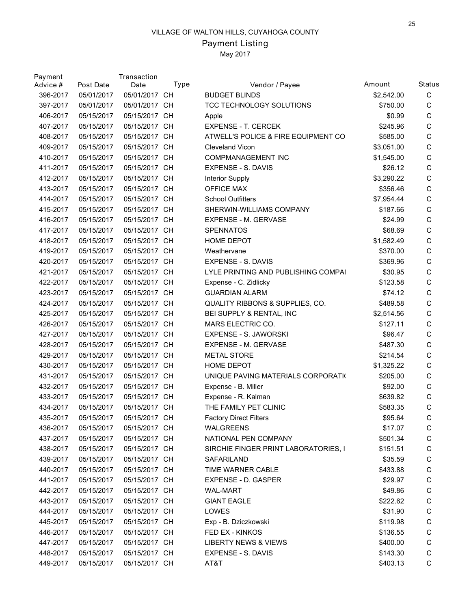# Payment Listing

| 05/01/2017<br>05/01/2017 CH<br>C<br>396-2017<br><b>BUDGET BLINDS</b><br>\$2,542.00<br>05/01/2017 CH<br>TCC TECHNOLOGY SOLUTIONS<br>C<br>397-2017<br>05/01/2017<br>\$750.00<br>C<br>05/15/2017 CH<br>\$0.99<br>406-2017<br>05/15/2017<br>Apple<br>05/15/2017 CH<br>$\mathsf C$<br>407-2017<br>05/15/2017<br><b>EXPENSE - T. CERCEK</b><br>\$245.96<br>C<br>408-2017<br>05/15/2017<br>05/15/2017 CH<br>ATWELL'S POLICE & FIRE EQUIPMENT CO<br>\$585.00<br>05/15/2017 CH<br>C<br>409-2017<br>05/15/2017<br><b>Cleveland Vicon</b><br>\$3,051.00<br>$\mathsf C$<br>410-2017<br>05/15/2017<br>05/15/2017 CH<br>COMPMANAGEMENT INC<br>\$1,545.00<br>05/15/2017 CH<br>C<br>411-2017<br>05/15/2017<br><b>EXPENSE - S. DAVIS</b><br>\$26.12<br>C<br>412-2017<br>05/15/2017<br>05/15/2017 CH<br>Interior Supply<br>\$3,290.22<br><b>OFFICE MAX</b><br>C<br>413-2017<br>05/15/2017 CH<br>\$356.46<br>05/15/2017<br>C<br>414-2017<br>05/15/2017<br>05/15/2017 CH<br><b>School Outfitters</b><br>\$7,954.44<br>05/15/2017 CH<br>С<br>415-2017<br>05/15/2017<br>SHERWIN-WILLIAMS COMPANY<br>\$187.66<br>$\mathsf C$<br>416-2017<br>05/15/2017<br>05/15/2017 CH<br>EXPENSE - M. GERVASE<br>\$24.99<br>C<br>417-2017<br>05/15/2017<br>05/15/2017 CH<br><b>SPENNATOS</b><br>\$68.69<br>$\mathsf C$<br>418-2017<br>05/15/2017<br>05/15/2017 CH<br>HOME DEPOT<br>\$1,582.49<br>419-2017<br>05/15/2017<br>05/15/2017 CH<br>Weathervane<br>\$370.00<br>С<br>420-2017<br>05/15/2017<br>05/15/2017 CH<br><b>EXPENSE - S. DAVIS</b><br>\$369.96<br>C<br>C<br>421-2017<br>05/15/2017<br>05/15/2017 CH<br>LYLE PRINTING AND PUBLISHING COMPAI<br>\$30.95<br>$\mathsf C$<br>422-2017<br>05/15/2017<br>05/15/2017 CH<br>\$123.58<br>Expense - C. Zidlicky<br>C<br>423-2017<br>05/15/2017<br>05/15/2017 CH<br><b>GUARDIAN ALARM</b><br>\$74.12<br>C<br>424-2017<br>05/15/2017<br>05/15/2017 CH<br><b>QUALITY RIBBONS &amp; SUPPLIES, CO.</b><br>\$489.58<br>C<br>05/15/2017<br>05/15/2017 CH<br>BEI SUPPLY & RENTAL, INC<br>\$2,514.56<br>425-2017<br>$\mathsf C$<br>426-2017<br>05/15/2017<br>05/15/2017 CH<br>MARS ELECTRIC CO.<br>\$127.11<br>427-2017<br>05/15/2017<br>05/15/2017 CH<br><b>EXPENSE - S. JAWORSKI</b><br>\$96.47<br>С<br>C<br>428-2017<br>05/15/2017<br>05/15/2017 CH<br>EXPENSE - M. GERVASE<br>\$487.30<br>C<br>429-2017<br>05/15/2017<br>05/15/2017 CH<br><b>METAL STORE</b><br>\$214.54<br>$\mathsf C$<br>430-2017<br>05/15/2017<br>05/15/2017 CH<br>HOME DEPOT<br>\$1,325.22<br>C<br>431-2017<br>05/15/2017<br>05/15/2017 CH<br>UNIQUE PAVING MATERIALS CORPORATION<br>\$205.00<br>C<br>432-2017<br>05/15/2017<br>05/15/2017 CH<br>\$92.00<br>Expense - B. Miller<br>C<br>05/15/2017<br>05/15/2017<br><b>CH</b><br>\$639.82<br>433-2017<br>Expense - R. Kalman<br>C<br>434-2017<br>05/15/2017<br>05/15/2017 CH<br>THE FAMILY PET CLINIC<br>\$583.35<br>435-2017<br>05/15/2017<br>05/15/2017 CH<br><b>Factory Direct Filters</b><br>\$95.64<br>C<br>С<br>436-2017<br>05/15/2017<br>05/15/2017 CH<br><b>WALGREENS</b><br>\$17.07<br>C<br>437-2017<br>05/15/2017<br>05/15/2017 CH<br>NATIONAL PEN COMPANY<br>\$501.34<br>05/15/2017 CH<br>C<br>438-2017<br>05/15/2017<br>SIRCHIE FINGER PRINT LABORATORIES, I<br>\$151.51<br>C<br>439-2017<br>05/15/2017<br>05/15/2017 CH<br>SAFARILAND<br>\$35.59<br>C<br>440-2017<br>05/15/2017<br>05/15/2017 CH<br>TIME WARNER CABLE<br>\$433.88<br>C<br>441-2017<br>05/15/2017<br>05/15/2017 CH<br>EXPENSE - D. GASPER<br>\$29.97<br>05/15/2017 CH<br>C<br>442-2017<br>05/15/2017<br><b>WAL-MART</b><br>\$49.86<br>05/15/2017 CH<br><b>GIANT EAGLE</b><br>C<br>443-2017<br>05/15/2017<br>\$222.62<br>С<br><b>LOWES</b><br>444-2017<br>05/15/2017<br>05/15/2017 CH<br>\$31.90<br>C<br>445-2017<br>05/15/2017<br>05/15/2017 CH<br>Exp - B. Dziczkowski<br>\$119.98 | Payment<br>Advice # | Post Date  | Transaction<br>Date | Type | Vendor / Payee  | Amount   | <b>Status</b> |
|----------------------------------------------------------------------------------------------------------------------------------------------------------------------------------------------------------------------------------------------------------------------------------------------------------------------------------------------------------------------------------------------------------------------------------------------------------------------------------------------------------------------------------------------------------------------------------------------------------------------------------------------------------------------------------------------------------------------------------------------------------------------------------------------------------------------------------------------------------------------------------------------------------------------------------------------------------------------------------------------------------------------------------------------------------------------------------------------------------------------------------------------------------------------------------------------------------------------------------------------------------------------------------------------------------------------------------------------------------------------------------------------------------------------------------------------------------------------------------------------------------------------------------------------------------------------------------------------------------------------------------------------------------------------------------------------------------------------------------------------------------------------------------------------------------------------------------------------------------------------------------------------------------------------------------------------------------------------------------------------------------------------------------------------------------------------------------------------------------------------------------------------------------------------------------------------------------------------------------------------------------------------------------------------------------------------------------------------------------------------------------------------------------------------------------------------------------------------------------------------------------------------------------------------------------------------------------------------------------------------------------------------------------------------------------------------------------------------------------------------------------------------------------------------------------------------------------------------------------------------------------------------------------------------------------------------------------------------------------------------------------------------------------------------------------------------------------------------------------------------------------------------------------------------------------------------------------------------------------------------------------------------------------------------------------------------------------------------------------------------------------------------------------------------------------------------------------------------------------------------------------------------------------------------------------------------------------------------------------------------------------------------------------------------------------------------------------------------------------------------------------------------------------------------|---------------------|------------|---------------------|------|-----------------|----------|---------------|
|                                                                                                                                                                                                                                                                                                                                                                                                                                                                                                                                                                                                                                                                                                                                                                                                                                                                                                                                                                                                                                                                                                                                                                                                                                                                                                                                                                                                                                                                                                                                                                                                                                                                                                                                                                                                                                                                                                                                                                                                                                                                                                                                                                                                                                                                                                                                                                                                                                                                                                                                                                                                                                                                                                                                                                                                                                                                                                                                                                                                                                                                                                                                                                                                                                                                                                                                                                                                                                                                                                                                                                                                                                                                                                                                                                                              |                     |            |                     |      |                 |          |               |
|                                                                                                                                                                                                                                                                                                                                                                                                                                                                                                                                                                                                                                                                                                                                                                                                                                                                                                                                                                                                                                                                                                                                                                                                                                                                                                                                                                                                                                                                                                                                                                                                                                                                                                                                                                                                                                                                                                                                                                                                                                                                                                                                                                                                                                                                                                                                                                                                                                                                                                                                                                                                                                                                                                                                                                                                                                                                                                                                                                                                                                                                                                                                                                                                                                                                                                                                                                                                                                                                                                                                                                                                                                                                                                                                                                                              |                     |            |                     |      |                 |          |               |
|                                                                                                                                                                                                                                                                                                                                                                                                                                                                                                                                                                                                                                                                                                                                                                                                                                                                                                                                                                                                                                                                                                                                                                                                                                                                                                                                                                                                                                                                                                                                                                                                                                                                                                                                                                                                                                                                                                                                                                                                                                                                                                                                                                                                                                                                                                                                                                                                                                                                                                                                                                                                                                                                                                                                                                                                                                                                                                                                                                                                                                                                                                                                                                                                                                                                                                                                                                                                                                                                                                                                                                                                                                                                                                                                                                                              |                     |            |                     |      |                 |          |               |
|                                                                                                                                                                                                                                                                                                                                                                                                                                                                                                                                                                                                                                                                                                                                                                                                                                                                                                                                                                                                                                                                                                                                                                                                                                                                                                                                                                                                                                                                                                                                                                                                                                                                                                                                                                                                                                                                                                                                                                                                                                                                                                                                                                                                                                                                                                                                                                                                                                                                                                                                                                                                                                                                                                                                                                                                                                                                                                                                                                                                                                                                                                                                                                                                                                                                                                                                                                                                                                                                                                                                                                                                                                                                                                                                                                                              |                     |            |                     |      |                 |          |               |
|                                                                                                                                                                                                                                                                                                                                                                                                                                                                                                                                                                                                                                                                                                                                                                                                                                                                                                                                                                                                                                                                                                                                                                                                                                                                                                                                                                                                                                                                                                                                                                                                                                                                                                                                                                                                                                                                                                                                                                                                                                                                                                                                                                                                                                                                                                                                                                                                                                                                                                                                                                                                                                                                                                                                                                                                                                                                                                                                                                                                                                                                                                                                                                                                                                                                                                                                                                                                                                                                                                                                                                                                                                                                                                                                                                                              |                     |            |                     |      |                 |          |               |
|                                                                                                                                                                                                                                                                                                                                                                                                                                                                                                                                                                                                                                                                                                                                                                                                                                                                                                                                                                                                                                                                                                                                                                                                                                                                                                                                                                                                                                                                                                                                                                                                                                                                                                                                                                                                                                                                                                                                                                                                                                                                                                                                                                                                                                                                                                                                                                                                                                                                                                                                                                                                                                                                                                                                                                                                                                                                                                                                                                                                                                                                                                                                                                                                                                                                                                                                                                                                                                                                                                                                                                                                                                                                                                                                                                                              |                     |            |                     |      |                 |          |               |
|                                                                                                                                                                                                                                                                                                                                                                                                                                                                                                                                                                                                                                                                                                                                                                                                                                                                                                                                                                                                                                                                                                                                                                                                                                                                                                                                                                                                                                                                                                                                                                                                                                                                                                                                                                                                                                                                                                                                                                                                                                                                                                                                                                                                                                                                                                                                                                                                                                                                                                                                                                                                                                                                                                                                                                                                                                                                                                                                                                                                                                                                                                                                                                                                                                                                                                                                                                                                                                                                                                                                                                                                                                                                                                                                                                                              |                     |            |                     |      |                 |          |               |
|                                                                                                                                                                                                                                                                                                                                                                                                                                                                                                                                                                                                                                                                                                                                                                                                                                                                                                                                                                                                                                                                                                                                                                                                                                                                                                                                                                                                                                                                                                                                                                                                                                                                                                                                                                                                                                                                                                                                                                                                                                                                                                                                                                                                                                                                                                                                                                                                                                                                                                                                                                                                                                                                                                                                                                                                                                                                                                                                                                                                                                                                                                                                                                                                                                                                                                                                                                                                                                                                                                                                                                                                                                                                                                                                                                                              |                     |            |                     |      |                 |          |               |
|                                                                                                                                                                                                                                                                                                                                                                                                                                                                                                                                                                                                                                                                                                                                                                                                                                                                                                                                                                                                                                                                                                                                                                                                                                                                                                                                                                                                                                                                                                                                                                                                                                                                                                                                                                                                                                                                                                                                                                                                                                                                                                                                                                                                                                                                                                                                                                                                                                                                                                                                                                                                                                                                                                                                                                                                                                                                                                                                                                                                                                                                                                                                                                                                                                                                                                                                                                                                                                                                                                                                                                                                                                                                                                                                                                                              |                     |            |                     |      |                 |          |               |
|                                                                                                                                                                                                                                                                                                                                                                                                                                                                                                                                                                                                                                                                                                                                                                                                                                                                                                                                                                                                                                                                                                                                                                                                                                                                                                                                                                                                                                                                                                                                                                                                                                                                                                                                                                                                                                                                                                                                                                                                                                                                                                                                                                                                                                                                                                                                                                                                                                                                                                                                                                                                                                                                                                                                                                                                                                                                                                                                                                                                                                                                                                                                                                                                                                                                                                                                                                                                                                                                                                                                                                                                                                                                                                                                                                                              |                     |            |                     |      |                 |          |               |
|                                                                                                                                                                                                                                                                                                                                                                                                                                                                                                                                                                                                                                                                                                                                                                                                                                                                                                                                                                                                                                                                                                                                                                                                                                                                                                                                                                                                                                                                                                                                                                                                                                                                                                                                                                                                                                                                                                                                                                                                                                                                                                                                                                                                                                                                                                                                                                                                                                                                                                                                                                                                                                                                                                                                                                                                                                                                                                                                                                                                                                                                                                                                                                                                                                                                                                                                                                                                                                                                                                                                                                                                                                                                                                                                                                                              |                     |            |                     |      |                 |          |               |
|                                                                                                                                                                                                                                                                                                                                                                                                                                                                                                                                                                                                                                                                                                                                                                                                                                                                                                                                                                                                                                                                                                                                                                                                                                                                                                                                                                                                                                                                                                                                                                                                                                                                                                                                                                                                                                                                                                                                                                                                                                                                                                                                                                                                                                                                                                                                                                                                                                                                                                                                                                                                                                                                                                                                                                                                                                                                                                                                                                                                                                                                                                                                                                                                                                                                                                                                                                                                                                                                                                                                                                                                                                                                                                                                                                                              |                     |            |                     |      |                 |          |               |
|                                                                                                                                                                                                                                                                                                                                                                                                                                                                                                                                                                                                                                                                                                                                                                                                                                                                                                                                                                                                                                                                                                                                                                                                                                                                                                                                                                                                                                                                                                                                                                                                                                                                                                                                                                                                                                                                                                                                                                                                                                                                                                                                                                                                                                                                                                                                                                                                                                                                                                                                                                                                                                                                                                                                                                                                                                                                                                                                                                                                                                                                                                                                                                                                                                                                                                                                                                                                                                                                                                                                                                                                                                                                                                                                                                                              |                     |            |                     |      |                 |          |               |
|                                                                                                                                                                                                                                                                                                                                                                                                                                                                                                                                                                                                                                                                                                                                                                                                                                                                                                                                                                                                                                                                                                                                                                                                                                                                                                                                                                                                                                                                                                                                                                                                                                                                                                                                                                                                                                                                                                                                                                                                                                                                                                                                                                                                                                                                                                                                                                                                                                                                                                                                                                                                                                                                                                                                                                                                                                                                                                                                                                                                                                                                                                                                                                                                                                                                                                                                                                                                                                                                                                                                                                                                                                                                                                                                                                                              |                     |            |                     |      |                 |          |               |
|                                                                                                                                                                                                                                                                                                                                                                                                                                                                                                                                                                                                                                                                                                                                                                                                                                                                                                                                                                                                                                                                                                                                                                                                                                                                                                                                                                                                                                                                                                                                                                                                                                                                                                                                                                                                                                                                                                                                                                                                                                                                                                                                                                                                                                                                                                                                                                                                                                                                                                                                                                                                                                                                                                                                                                                                                                                                                                                                                                                                                                                                                                                                                                                                                                                                                                                                                                                                                                                                                                                                                                                                                                                                                                                                                                                              |                     |            |                     |      |                 |          |               |
|                                                                                                                                                                                                                                                                                                                                                                                                                                                                                                                                                                                                                                                                                                                                                                                                                                                                                                                                                                                                                                                                                                                                                                                                                                                                                                                                                                                                                                                                                                                                                                                                                                                                                                                                                                                                                                                                                                                                                                                                                                                                                                                                                                                                                                                                                                                                                                                                                                                                                                                                                                                                                                                                                                                                                                                                                                                                                                                                                                                                                                                                                                                                                                                                                                                                                                                                                                                                                                                                                                                                                                                                                                                                                                                                                                                              |                     |            |                     |      |                 |          |               |
|                                                                                                                                                                                                                                                                                                                                                                                                                                                                                                                                                                                                                                                                                                                                                                                                                                                                                                                                                                                                                                                                                                                                                                                                                                                                                                                                                                                                                                                                                                                                                                                                                                                                                                                                                                                                                                                                                                                                                                                                                                                                                                                                                                                                                                                                                                                                                                                                                                                                                                                                                                                                                                                                                                                                                                                                                                                                                                                                                                                                                                                                                                                                                                                                                                                                                                                                                                                                                                                                                                                                                                                                                                                                                                                                                                                              |                     |            |                     |      |                 |          |               |
|                                                                                                                                                                                                                                                                                                                                                                                                                                                                                                                                                                                                                                                                                                                                                                                                                                                                                                                                                                                                                                                                                                                                                                                                                                                                                                                                                                                                                                                                                                                                                                                                                                                                                                                                                                                                                                                                                                                                                                                                                                                                                                                                                                                                                                                                                                                                                                                                                                                                                                                                                                                                                                                                                                                                                                                                                                                                                                                                                                                                                                                                                                                                                                                                                                                                                                                                                                                                                                                                                                                                                                                                                                                                                                                                                                                              |                     |            |                     |      |                 |          |               |
|                                                                                                                                                                                                                                                                                                                                                                                                                                                                                                                                                                                                                                                                                                                                                                                                                                                                                                                                                                                                                                                                                                                                                                                                                                                                                                                                                                                                                                                                                                                                                                                                                                                                                                                                                                                                                                                                                                                                                                                                                                                                                                                                                                                                                                                                                                                                                                                                                                                                                                                                                                                                                                                                                                                                                                                                                                                                                                                                                                                                                                                                                                                                                                                                                                                                                                                                                                                                                                                                                                                                                                                                                                                                                                                                                                                              |                     |            |                     |      |                 |          |               |
|                                                                                                                                                                                                                                                                                                                                                                                                                                                                                                                                                                                                                                                                                                                                                                                                                                                                                                                                                                                                                                                                                                                                                                                                                                                                                                                                                                                                                                                                                                                                                                                                                                                                                                                                                                                                                                                                                                                                                                                                                                                                                                                                                                                                                                                                                                                                                                                                                                                                                                                                                                                                                                                                                                                                                                                                                                                                                                                                                                                                                                                                                                                                                                                                                                                                                                                                                                                                                                                                                                                                                                                                                                                                                                                                                                                              |                     |            |                     |      |                 |          |               |
|                                                                                                                                                                                                                                                                                                                                                                                                                                                                                                                                                                                                                                                                                                                                                                                                                                                                                                                                                                                                                                                                                                                                                                                                                                                                                                                                                                                                                                                                                                                                                                                                                                                                                                                                                                                                                                                                                                                                                                                                                                                                                                                                                                                                                                                                                                                                                                                                                                                                                                                                                                                                                                                                                                                                                                                                                                                                                                                                                                                                                                                                                                                                                                                                                                                                                                                                                                                                                                                                                                                                                                                                                                                                                                                                                                                              |                     |            |                     |      |                 |          |               |
|                                                                                                                                                                                                                                                                                                                                                                                                                                                                                                                                                                                                                                                                                                                                                                                                                                                                                                                                                                                                                                                                                                                                                                                                                                                                                                                                                                                                                                                                                                                                                                                                                                                                                                                                                                                                                                                                                                                                                                                                                                                                                                                                                                                                                                                                                                                                                                                                                                                                                                                                                                                                                                                                                                                                                                                                                                                                                                                                                                                                                                                                                                                                                                                                                                                                                                                                                                                                                                                                                                                                                                                                                                                                                                                                                                                              |                     |            |                     |      |                 |          |               |
|                                                                                                                                                                                                                                                                                                                                                                                                                                                                                                                                                                                                                                                                                                                                                                                                                                                                                                                                                                                                                                                                                                                                                                                                                                                                                                                                                                                                                                                                                                                                                                                                                                                                                                                                                                                                                                                                                                                                                                                                                                                                                                                                                                                                                                                                                                                                                                                                                                                                                                                                                                                                                                                                                                                                                                                                                                                                                                                                                                                                                                                                                                                                                                                                                                                                                                                                                                                                                                                                                                                                                                                                                                                                                                                                                                                              |                     |            |                     |      |                 |          |               |
|                                                                                                                                                                                                                                                                                                                                                                                                                                                                                                                                                                                                                                                                                                                                                                                                                                                                                                                                                                                                                                                                                                                                                                                                                                                                                                                                                                                                                                                                                                                                                                                                                                                                                                                                                                                                                                                                                                                                                                                                                                                                                                                                                                                                                                                                                                                                                                                                                                                                                                                                                                                                                                                                                                                                                                                                                                                                                                                                                                                                                                                                                                                                                                                                                                                                                                                                                                                                                                                                                                                                                                                                                                                                                                                                                                                              |                     |            |                     |      |                 |          |               |
|                                                                                                                                                                                                                                                                                                                                                                                                                                                                                                                                                                                                                                                                                                                                                                                                                                                                                                                                                                                                                                                                                                                                                                                                                                                                                                                                                                                                                                                                                                                                                                                                                                                                                                                                                                                                                                                                                                                                                                                                                                                                                                                                                                                                                                                                                                                                                                                                                                                                                                                                                                                                                                                                                                                                                                                                                                                                                                                                                                                                                                                                                                                                                                                                                                                                                                                                                                                                                                                                                                                                                                                                                                                                                                                                                                                              |                     |            |                     |      |                 |          |               |
|                                                                                                                                                                                                                                                                                                                                                                                                                                                                                                                                                                                                                                                                                                                                                                                                                                                                                                                                                                                                                                                                                                                                                                                                                                                                                                                                                                                                                                                                                                                                                                                                                                                                                                                                                                                                                                                                                                                                                                                                                                                                                                                                                                                                                                                                                                                                                                                                                                                                                                                                                                                                                                                                                                                                                                                                                                                                                                                                                                                                                                                                                                                                                                                                                                                                                                                                                                                                                                                                                                                                                                                                                                                                                                                                                                                              |                     |            |                     |      |                 |          |               |
|                                                                                                                                                                                                                                                                                                                                                                                                                                                                                                                                                                                                                                                                                                                                                                                                                                                                                                                                                                                                                                                                                                                                                                                                                                                                                                                                                                                                                                                                                                                                                                                                                                                                                                                                                                                                                                                                                                                                                                                                                                                                                                                                                                                                                                                                                                                                                                                                                                                                                                                                                                                                                                                                                                                                                                                                                                                                                                                                                                                                                                                                                                                                                                                                                                                                                                                                                                                                                                                                                                                                                                                                                                                                                                                                                                                              |                     |            |                     |      |                 |          |               |
|                                                                                                                                                                                                                                                                                                                                                                                                                                                                                                                                                                                                                                                                                                                                                                                                                                                                                                                                                                                                                                                                                                                                                                                                                                                                                                                                                                                                                                                                                                                                                                                                                                                                                                                                                                                                                                                                                                                                                                                                                                                                                                                                                                                                                                                                                                                                                                                                                                                                                                                                                                                                                                                                                                                                                                                                                                                                                                                                                                                                                                                                                                                                                                                                                                                                                                                                                                                                                                                                                                                                                                                                                                                                                                                                                                                              |                     |            |                     |      |                 |          |               |
|                                                                                                                                                                                                                                                                                                                                                                                                                                                                                                                                                                                                                                                                                                                                                                                                                                                                                                                                                                                                                                                                                                                                                                                                                                                                                                                                                                                                                                                                                                                                                                                                                                                                                                                                                                                                                                                                                                                                                                                                                                                                                                                                                                                                                                                                                                                                                                                                                                                                                                                                                                                                                                                                                                                                                                                                                                                                                                                                                                                                                                                                                                                                                                                                                                                                                                                                                                                                                                                                                                                                                                                                                                                                                                                                                                                              |                     |            |                     |      |                 |          |               |
|                                                                                                                                                                                                                                                                                                                                                                                                                                                                                                                                                                                                                                                                                                                                                                                                                                                                                                                                                                                                                                                                                                                                                                                                                                                                                                                                                                                                                                                                                                                                                                                                                                                                                                                                                                                                                                                                                                                                                                                                                                                                                                                                                                                                                                                                                                                                                                                                                                                                                                                                                                                                                                                                                                                                                                                                                                                                                                                                                                                                                                                                                                                                                                                                                                                                                                                                                                                                                                                                                                                                                                                                                                                                                                                                                                                              |                     |            |                     |      |                 |          |               |
|                                                                                                                                                                                                                                                                                                                                                                                                                                                                                                                                                                                                                                                                                                                                                                                                                                                                                                                                                                                                                                                                                                                                                                                                                                                                                                                                                                                                                                                                                                                                                                                                                                                                                                                                                                                                                                                                                                                                                                                                                                                                                                                                                                                                                                                                                                                                                                                                                                                                                                                                                                                                                                                                                                                                                                                                                                                                                                                                                                                                                                                                                                                                                                                                                                                                                                                                                                                                                                                                                                                                                                                                                                                                                                                                                                                              |                     |            |                     |      |                 |          |               |
|                                                                                                                                                                                                                                                                                                                                                                                                                                                                                                                                                                                                                                                                                                                                                                                                                                                                                                                                                                                                                                                                                                                                                                                                                                                                                                                                                                                                                                                                                                                                                                                                                                                                                                                                                                                                                                                                                                                                                                                                                                                                                                                                                                                                                                                                                                                                                                                                                                                                                                                                                                                                                                                                                                                                                                                                                                                                                                                                                                                                                                                                                                                                                                                                                                                                                                                                                                                                                                                                                                                                                                                                                                                                                                                                                                                              |                     |            |                     |      |                 |          |               |
|                                                                                                                                                                                                                                                                                                                                                                                                                                                                                                                                                                                                                                                                                                                                                                                                                                                                                                                                                                                                                                                                                                                                                                                                                                                                                                                                                                                                                                                                                                                                                                                                                                                                                                                                                                                                                                                                                                                                                                                                                                                                                                                                                                                                                                                                                                                                                                                                                                                                                                                                                                                                                                                                                                                                                                                                                                                                                                                                                                                                                                                                                                                                                                                                                                                                                                                                                                                                                                                                                                                                                                                                                                                                                                                                                                                              |                     |            |                     |      |                 |          |               |
|                                                                                                                                                                                                                                                                                                                                                                                                                                                                                                                                                                                                                                                                                                                                                                                                                                                                                                                                                                                                                                                                                                                                                                                                                                                                                                                                                                                                                                                                                                                                                                                                                                                                                                                                                                                                                                                                                                                                                                                                                                                                                                                                                                                                                                                                                                                                                                                                                                                                                                                                                                                                                                                                                                                                                                                                                                                                                                                                                                                                                                                                                                                                                                                                                                                                                                                                                                                                                                                                                                                                                                                                                                                                                                                                                                                              |                     |            |                     |      |                 |          |               |
|                                                                                                                                                                                                                                                                                                                                                                                                                                                                                                                                                                                                                                                                                                                                                                                                                                                                                                                                                                                                                                                                                                                                                                                                                                                                                                                                                                                                                                                                                                                                                                                                                                                                                                                                                                                                                                                                                                                                                                                                                                                                                                                                                                                                                                                                                                                                                                                                                                                                                                                                                                                                                                                                                                                                                                                                                                                                                                                                                                                                                                                                                                                                                                                                                                                                                                                                                                                                                                                                                                                                                                                                                                                                                                                                                                                              |                     |            |                     |      |                 |          |               |
|                                                                                                                                                                                                                                                                                                                                                                                                                                                                                                                                                                                                                                                                                                                                                                                                                                                                                                                                                                                                                                                                                                                                                                                                                                                                                                                                                                                                                                                                                                                                                                                                                                                                                                                                                                                                                                                                                                                                                                                                                                                                                                                                                                                                                                                                                                                                                                                                                                                                                                                                                                                                                                                                                                                                                                                                                                                                                                                                                                                                                                                                                                                                                                                                                                                                                                                                                                                                                                                                                                                                                                                                                                                                                                                                                                                              |                     |            |                     |      |                 |          |               |
|                                                                                                                                                                                                                                                                                                                                                                                                                                                                                                                                                                                                                                                                                                                                                                                                                                                                                                                                                                                                                                                                                                                                                                                                                                                                                                                                                                                                                                                                                                                                                                                                                                                                                                                                                                                                                                                                                                                                                                                                                                                                                                                                                                                                                                                                                                                                                                                                                                                                                                                                                                                                                                                                                                                                                                                                                                                                                                                                                                                                                                                                                                                                                                                                                                                                                                                                                                                                                                                                                                                                                                                                                                                                                                                                                                                              |                     |            |                     |      |                 |          |               |
|                                                                                                                                                                                                                                                                                                                                                                                                                                                                                                                                                                                                                                                                                                                                                                                                                                                                                                                                                                                                                                                                                                                                                                                                                                                                                                                                                                                                                                                                                                                                                                                                                                                                                                                                                                                                                                                                                                                                                                                                                                                                                                                                                                                                                                                                                                                                                                                                                                                                                                                                                                                                                                                                                                                                                                                                                                                                                                                                                                                                                                                                                                                                                                                                                                                                                                                                                                                                                                                                                                                                                                                                                                                                                                                                                                                              |                     |            |                     |      |                 |          |               |
|                                                                                                                                                                                                                                                                                                                                                                                                                                                                                                                                                                                                                                                                                                                                                                                                                                                                                                                                                                                                                                                                                                                                                                                                                                                                                                                                                                                                                                                                                                                                                                                                                                                                                                                                                                                                                                                                                                                                                                                                                                                                                                                                                                                                                                                                                                                                                                                                                                                                                                                                                                                                                                                                                                                                                                                                                                                                                                                                                                                                                                                                                                                                                                                                                                                                                                                                                                                                                                                                                                                                                                                                                                                                                                                                                                                              |                     |            |                     |      |                 |          |               |
|                                                                                                                                                                                                                                                                                                                                                                                                                                                                                                                                                                                                                                                                                                                                                                                                                                                                                                                                                                                                                                                                                                                                                                                                                                                                                                                                                                                                                                                                                                                                                                                                                                                                                                                                                                                                                                                                                                                                                                                                                                                                                                                                                                                                                                                                                                                                                                                                                                                                                                                                                                                                                                                                                                                                                                                                                                                                                                                                                                                                                                                                                                                                                                                                                                                                                                                                                                                                                                                                                                                                                                                                                                                                                                                                                                                              |                     |            |                     |      |                 |          |               |
|                                                                                                                                                                                                                                                                                                                                                                                                                                                                                                                                                                                                                                                                                                                                                                                                                                                                                                                                                                                                                                                                                                                                                                                                                                                                                                                                                                                                                                                                                                                                                                                                                                                                                                                                                                                                                                                                                                                                                                                                                                                                                                                                                                                                                                                                                                                                                                                                                                                                                                                                                                                                                                                                                                                                                                                                                                                                                                                                                                                                                                                                                                                                                                                                                                                                                                                                                                                                                                                                                                                                                                                                                                                                                                                                                                                              |                     |            |                     |      |                 |          |               |
|                                                                                                                                                                                                                                                                                                                                                                                                                                                                                                                                                                                                                                                                                                                                                                                                                                                                                                                                                                                                                                                                                                                                                                                                                                                                                                                                                                                                                                                                                                                                                                                                                                                                                                                                                                                                                                                                                                                                                                                                                                                                                                                                                                                                                                                                                                                                                                                                                                                                                                                                                                                                                                                                                                                                                                                                                                                                                                                                                                                                                                                                                                                                                                                                                                                                                                                                                                                                                                                                                                                                                                                                                                                                                                                                                                                              |                     |            |                     |      |                 |          |               |
|                                                                                                                                                                                                                                                                                                                                                                                                                                                                                                                                                                                                                                                                                                                                                                                                                                                                                                                                                                                                                                                                                                                                                                                                                                                                                                                                                                                                                                                                                                                                                                                                                                                                                                                                                                                                                                                                                                                                                                                                                                                                                                                                                                                                                                                                                                                                                                                                                                                                                                                                                                                                                                                                                                                                                                                                                                                                                                                                                                                                                                                                                                                                                                                                                                                                                                                                                                                                                                                                                                                                                                                                                                                                                                                                                                                              | 446-2017            | 05/15/2017 | 05/15/2017 CH       |      | FED EX - KINKOS | \$136.55 | C             |
| 05/15/2017 CH<br>447-2017<br>05/15/2017<br>LIBERTY NEWS & VIEWS<br>\$400.00<br>С                                                                                                                                                                                                                                                                                                                                                                                                                                                                                                                                                                                                                                                                                                                                                                                                                                                                                                                                                                                                                                                                                                                                                                                                                                                                                                                                                                                                                                                                                                                                                                                                                                                                                                                                                                                                                                                                                                                                                                                                                                                                                                                                                                                                                                                                                                                                                                                                                                                                                                                                                                                                                                                                                                                                                                                                                                                                                                                                                                                                                                                                                                                                                                                                                                                                                                                                                                                                                                                                                                                                                                                                                                                                                                             |                     |            |                     |      |                 |          |               |
| EXPENSE - S. DAVIS<br>C<br>448-2017<br>05/15/2017<br>05/15/2017 CH<br>\$143.30                                                                                                                                                                                                                                                                                                                                                                                                                                                                                                                                                                                                                                                                                                                                                                                                                                                                                                                                                                                                                                                                                                                                                                                                                                                                                                                                                                                                                                                                                                                                                                                                                                                                                                                                                                                                                                                                                                                                                                                                                                                                                                                                                                                                                                                                                                                                                                                                                                                                                                                                                                                                                                                                                                                                                                                                                                                                                                                                                                                                                                                                                                                                                                                                                                                                                                                                                                                                                                                                                                                                                                                                                                                                                                               |                     |            |                     |      |                 |          |               |
| C<br>449-2017<br>05/15/2017<br>05/15/2017 CH<br>AT&T<br>\$403.13                                                                                                                                                                                                                                                                                                                                                                                                                                                                                                                                                                                                                                                                                                                                                                                                                                                                                                                                                                                                                                                                                                                                                                                                                                                                                                                                                                                                                                                                                                                                                                                                                                                                                                                                                                                                                                                                                                                                                                                                                                                                                                                                                                                                                                                                                                                                                                                                                                                                                                                                                                                                                                                                                                                                                                                                                                                                                                                                                                                                                                                                                                                                                                                                                                                                                                                                                                                                                                                                                                                                                                                                                                                                                                                             |                     |            |                     |      |                 |          |               |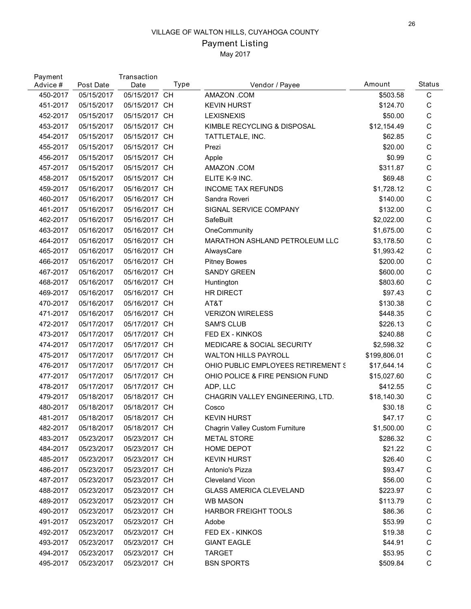## Payment Listing

| Payment<br>Advice # | Post Date  | Transaction<br>Date | Type | Vendor / Payee                        | Amount       | <b>Status</b> |
|---------------------|------------|---------------------|------|---------------------------------------|--------------|---------------|
| 450-2017            | 05/15/2017 | 05/15/2017 CH       |      | AMAZON .COM                           | \$503.58     | $\mathbf C$   |
| 451-2017            | 05/15/2017 | 05/15/2017 CH       |      | <b>KEVIN HURST</b>                    | \$124.70     | C             |
| 452-2017            | 05/15/2017 | 05/15/2017 CH       |      | <b>LEXISNEXIS</b>                     | \$50.00      | $\mathsf C$   |
| 453-2017            | 05/15/2017 | 05/15/2017 CH       |      | KIMBLE RECYCLING & DISPOSAL           | \$12,154.49  | $\mathsf C$   |
| 454-2017            | 05/15/2017 | 05/15/2017 CH       |      | TATTLETALE, INC.                      | \$62.85      | C             |
| 455-2017            | 05/15/2017 | 05/15/2017 CH       |      | Prezi                                 | \$20.00      | $\mathsf C$   |
| 456-2017            | 05/15/2017 | 05/15/2017 CH       |      | Apple                                 | \$0.99       | $\mathsf C$   |
| 457-2017            | 05/15/2017 | 05/15/2017 CH       |      | AMAZON .COM                           | \$311.87     | $\mathsf C$   |
| 458-2017            | 05/15/2017 | 05/15/2017 CH       |      | ELITE K-9 INC.                        | \$69.48      | C             |
| 459-2017            | 05/16/2017 | 05/16/2017 CH       |      | <b>INCOME TAX REFUNDS</b>             | \$1,728.12   | C             |
| 460-2017            | 05/16/2017 | 05/16/2017 CH       |      | Sandra Roveri                         | \$140.00     | C             |
| 461-2017            | 05/16/2017 | 05/16/2017 CH       |      | SIGNAL SERVICE COMPANY                | \$132.00     | C             |
| 462-2017            | 05/16/2017 | 05/16/2017 CH       |      | SafeBuilt                             | \$2,022.00   | C             |
| 463-2017            | 05/16/2017 | 05/16/2017 CH       |      | OneCommunity                          | \$1,675.00   | $\mathsf C$   |
| 464-2017            | 05/16/2017 | 05/16/2017 CH       |      | MARATHON ASHLAND PETROLEUM LLC        | \$3,178.50   | C             |
| 465-2017            | 05/16/2017 | 05/16/2017 CH       |      | AlwaysCare                            | \$1,993.42   | C             |
| 466-2017            | 05/16/2017 | 05/16/2017 CH       |      | <b>Pitney Bowes</b>                   | \$200.00     | C             |
| 467-2017            | 05/16/2017 | 05/16/2017 CH       |      | <b>SANDY GREEN</b>                    | \$600.00     | $\mathsf C$   |
| 468-2017            | 05/16/2017 | 05/16/2017 CH       |      | Huntington                            | \$803.60     | C             |
| 469-2017            | 05/16/2017 | 05/16/2017 CH       |      | <b>HR DIRECT</b>                      | \$97.43      | C             |
| 470-2017            | 05/16/2017 | 05/16/2017 CH       |      | AT&T                                  | \$130.38     | C             |
| 471-2017            | 05/16/2017 | 05/16/2017 CH       |      | <b>VERIZON WIRELESS</b>               | \$448.35     | $\mathsf C$   |
| 472-2017            | 05/17/2017 | 05/17/2017 CH       |      | <b>SAM'S CLUB</b>                     | \$226.13     | $\mathsf C$   |
| 473-2017            | 05/17/2017 | 05/17/2017 CH       |      | FED EX - KINKOS                       | \$240.88     | C             |
| 474-2017            | 05/17/2017 | 05/17/2017 CH       |      | <b>MEDICARE &amp; SOCIAL SECURITY</b> | \$2,598.32   | C             |
| 475-2017            | 05/17/2017 | 05/17/2017 CH       |      | <b>WALTON HILLS PAYROLL</b>           | \$199,806.01 | C             |
| 476-2017            | 05/17/2017 | 05/17/2017 CH       |      | OHIO PUBLIC EMPLOYEES RETIREMENT S    | \$17,644.14  | C             |
| 477-2017            | 05/17/2017 | 05/17/2017 CH       |      | OHIO POLICE & FIRE PENSION FUND       | \$15,027.60  | С             |
| 478-2017            | 05/17/2017 | 05/17/2017 CH       |      | ADP, LLC                              | \$412.55     | C             |
| 479-2017            | 05/18/2017 | 05/18/2017 CH       |      | CHAGRIN VALLEY ENGINEERING, LTD.      | \$18,140.30  | C             |
| 480-2017            | 05/18/2017 | 05/18/2017 CH       |      | Cosco                                 | \$30.18      | $\mathsf C$   |
| 481-2017            | 05/18/2017 | 05/18/2017 CH       |      | <b>KEVIN HURST</b>                    | \$47.17      | C             |
| 482-2017            | 05/18/2017 | 05/18/2017 CH       |      | Chagrin Valley Custom Furniture       | \$1,500.00   | С             |
| 483-2017            | 05/23/2017 | 05/23/2017 CH       |      | <b>METAL STORE</b>                    | \$286.32     | С             |
| 484-2017            | 05/23/2017 | 05/23/2017 CH       |      | HOME DEPOT                            | \$21.22      | C             |
| 485-2017            | 05/23/2017 | 05/23/2017 CH       |      | <b>KEVIN HURST</b>                    | \$26.40      | C             |
| 486-2017            | 05/23/2017 | 05/23/2017 CH       |      | Antonio's Pizza                       | \$93.47      | C             |
| 487-2017            | 05/23/2017 | 05/23/2017 CH       |      | <b>Cleveland Vicon</b>                | \$56.00      | C             |
| 488-2017            | 05/23/2017 | 05/23/2017 CH       |      | <b>GLASS AMERICA CLEVELAND</b>        | \$223.97     | C             |
| 489-2017            | 05/23/2017 | 05/23/2017 CH       |      | <b>WB MASON</b>                       | \$113.79     | C             |
| 490-2017            | 05/23/2017 | 05/23/2017 CH       |      | <b>HARBOR FREIGHT TOOLS</b>           | \$86.36      | C             |
| 491-2017            | 05/23/2017 | 05/23/2017 CH       |      | Adobe                                 | \$53.99      | C             |
| 492-2017            | 05/23/2017 | 05/23/2017 CH       |      | FED EX - KINKOS                       | \$19.38      | C             |
| 493-2017            | 05/23/2017 | 05/23/2017 CH       |      | <b>GIANT EAGLE</b>                    | \$44.91      | С             |
| 494-2017            | 05/23/2017 | 05/23/2017 CH       |      | <b>TARGET</b>                         | \$53.95      | $\mathsf C$   |
| 495-2017            | 05/23/2017 | 05/23/2017 CH       |      | <b>BSN SPORTS</b>                     | \$509.84     | C             |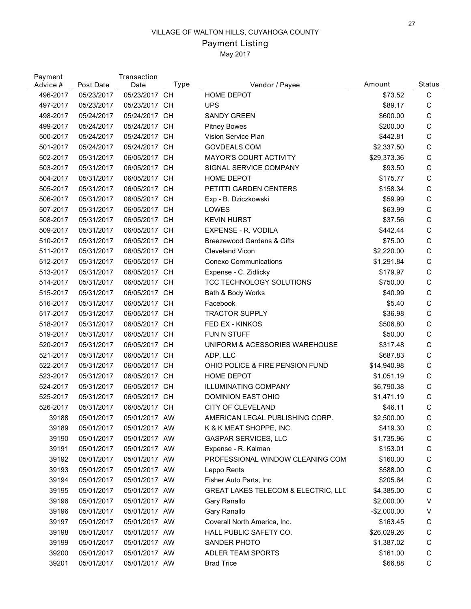## Payment Listing

| Payment<br>Advice # | Post Date  | Transaction<br>Date | Type | Vendor / Payee                      | Amount       | <b>Status</b> |
|---------------------|------------|---------------------|------|-------------------------------------|--------------|---------------|
| 496-2017            | 05/23/2017 | 05/23/2017 CH       |      | <b>HOME DEPOT</b>                   | \$73.52      | $\mathbf C$   |
| 497-2017            | 05/23/2017 | 05/23/2017 CH       |      | <b>UPS</b>                          | \$89.17      | C             |
| 498-2017            | 05/24/2017 | 05/24/2017 CH       |      | <b>SANDY GREEN</b>                  | \$600.00     | C             |
| 499-2017            | 05/24/2017 | 05/24/2017 CH       |      | <b>Pitney Bowes</b>                 | \$200.00     | $\mathsf C$   |
| 500-2017            | 05/24/2017 | 05/24/2017 CH       |      | Vision Service Plan                 | \$442.81     | С             |
| 501-2017            | 05/24/2017 | 05/24/2017 CH       |      | GOVDEALS.COM                        | \$2,337.50   | C             |
| 502-2017            | 05/31/2017 | 06/05/2017 CH       |      | <b>MAYOR'S COURT ACTIVITY</b>       | \$29,373.36  | C             |
| 503-2017            | 05/31/2017 | 06/05/2017 CH       |      | SIGNAL SERVICE COMPANY              | \$93.50      | C             |
| 504-2017            | 05/31/2017 | 06/05/2017 CH       |      | <b>HOME DEPOT</b>                   | \$175.77     | С             |
| 505-2017            | 05/31/2017 | 06/05/2017 CH       |      | PETITTI GARDEN CENTERS              | \$158.34     | C             |
| 506-2017            | 05/31/2017 | 06/05/2017 CH       |      | Exp - B. Dziczkowski                | \$59.99      | C             |
| 507-2017            | 05/31/2017 | 06/05/2017 CH       |      | LOWES                               | \$63.99      | $\mathsf C$   |
| 508-2017            | 05/31/2017 | 06/05/2017 CH       |      | <b>KEVIN HURST</b>                  | \$37.56      | С             |
| 509-2017            | 05/31/2017 | 06/05/2017 CH       |      | EXPENSE - R. VODILA                 | \$442.44     | C             |
| 510-2017            | 05/31/2017 | 06/05/2017 CH       |      | Breezewood Gardens & Gifts          | \$75.00      | C             |
| 511-2017            | 05/31/2017 | 06/05/2017 CH       |      | <b>Cleveland Vicon</b>              | \$2,220.00   | C             |
| 512-2017            | 05/31/2017 | 06/05/2017 CH       |      | <b>Conexo Communications</b>        | \$1,291.84   | C             |
| 513-2017            | 05/31/2017 | 06/05/2017 CH       |      | Expense - C. Zidlicky               | \$179.97     | C             |
| 514-2017            | 05/31/2017 | 06/05/2017 CH       |      | TCC TECHNOLOGY SOLUTIONS            | \$750.00     | C             |
| 515-2017            | 05/31/2017 | 06/05/2017 CH       |      | Bath & Body Works                   | \$40.99      | C             |
| 516-2017            | 05/31/2017 | 06/05/2017 CH       |      | Facebook                            | \$5.40       | C             |
| 517-2017            | 05/31/2017 | 06/05/2017 CH       |      | <b>TRACTOR SUPPLY</b>               | \$36.98      | C             |
| 518-2017            | 05/31/2017 | 06/05/2017 CH       |      | FED EX - KINKOS                     | \$506.80     | C             |
| 519-2017            | 05/31/2017 | 06/05/2017 CH       |      | FUN N STUFF                         | \$50.00      | С             |
| 520-2017            | 05/31/2017 | 06/05/2017 CH       |      | UNIFORM & ACESSORIES WAREHOUSE      | \$317.48     | $\mathsf C$   |
| 521-2017            | 05/31/2017 | 06/05/2017 CH       |      | ADP, LLC                            | \$687.83     | C             |
| 522-2017            | 05/31/2017 | 06/05/2017 CH       |      | OHIO POLICE & FIRE PENSION FUND     | \$14,940.98  | $\mathsf C$   |
| 523-2017            | 05/31/2017 | 06/05/2017 CH       |      | <b>HOME DEPOT</b>                   | \$1,051.19   | С             |
| 524-2017            | 05/31/2017 | 06/05/2017 CH       |      | <b>ILLUMINATING COMPANY</b>         | \$6,790.38   | C             |
| 525-2017            | 05/31/2017 | 06/05/2017 CH       |      | DOMINION EAST OHIO                  | \$1,471.19   | C             |
| 526-2017            | 05/31/2017 | 06/05/2017 CH       |      | CITY OF CLEVELAND                   | \$46.11      | C             |
| 39188               | 05/01/2017 | 05/01/2017 AW       |      | AMERICAN LEGAL PUBLISHING CORP      | \$2,500.00   | $\mathsf{C}$  |
| 39189               | 05/01/2017 | 05/01/2017 AW       |      | K & K MEAT SHOPPE, INC.             | \$419.30     | $\mathsf C$   |
| 39190               | 05/01/2017 | 05/01/2017 AW       |      | <b>GASPAR SERVICES, LLC</b>         | \$1,735.96   | C             |
| 39191               | 05/01/2017 | 05/01/2017 AW       |      | Expense - R. Kalman                 | \$153.01     | C             |
| 39192               | 05/01/2017 | 05/01/2017 AW       |      | PROFESSIONAL WINDOW CLEANING COM    | \$160.00     | C             |
| 39193               | 05/01/2017 | 05/01/2017 AW       |      | Leppo Rents                         | \$588.00     | $\mathsf C$   |
| 39194               | 05/01/2017 | 05/01/2017 AW       |      | Fisher Auto Parts, Inc              | \$205.64     | C             |
| 39195               | 05/01/2017 | 05/01/2017 AW       |      | GREAT LAKES TELECOM & ELECTRIC, LLC | \$4,385.00   | C             |
| 39196               | 05/01/2017 | 05/01/2017 AW       |      | Gary Ranallo                        | \$2,000.00   | V             |
| 39196               | 05/01/2017 | 05/01/2017 AW       |      | Gary Ranallo                        | $-$2,000.00$ | V             |
| 39197               | 05/01/2017 | 05/01/2017 AW       |      | Coverall North America, Inc.        | \$163.45     | C             |
| 39198               | 05/01/2017 | 05/01/2017 AW       |      | HALL PUBLIC SAFETY CO.              | \$26,029.26  | C             |
| 39199               | 05/01/2017 | 05/01/2017 AW       |      | SANDER PHOTO                        | \$1,387.02   | C             |
| 39200               | 05/01/2017 | 05/01/2017 AW       |      | ADLER TEAM SPORTS                   | \$161.00     | $\mathsf C$   |
| 39201               | 05/01/2017 | 05/01/2017 AW       |      | <b>Brad Trice</b>                   | \$66.88      | $\mathsf C$   |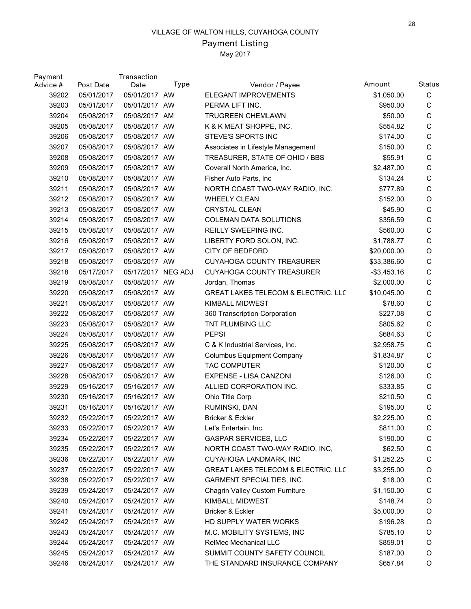# Payment Listing

| Payment<br>Advice # | Post Date  | Transaction<br>Date | Type | Vendor / Payee                      | Amount         | Status      |
|---------------------|------------|---------------------|------|-------------------------------------|----------------|-------------|
| 39202               | 05/01/2017 | 05/01/2017 AW       |      | ELEGANT IMPROVEMENTS                | \$1,050.00     | $\mathbf C$ |
| 39203               | 05/01/2017 | 05/01/2017 AW       |      | PERMA LIFT INC.                     | \$950.00       | C           |
| 39204               | 05/08/2017 | 05/08/2017 AM       |      | <b>TRUGREEN CHEMLAWN</b>            | \$50.00        | $\mathsf C$ |
| 39205               | 05/08/2017 | 05/08/2017 AW       |      | K & K MEAT SHOPPE, INC.             | \$554.82       | $\mathsf C$ |
| 39206               | 05/08/2017 | 05/08/2017 AW       |      | STEVE'S SPORTS INC                  | \$174.00       | C           |
| 39207               | 05/08/2017 | 05/08/2017 AW       |      | Associates in Lifestyle Management  | \$150.00       | C           |
| 39208               | 05/08/2017 | 05/08/2017 AW       |      | TREASURER, STATE OF OHIO / BBS      | \$55.91        | C           |
| 39209               | 05/08/2017 | 05/08/2017 AW       |      | Coverall North America, Inc.        | \$2,487.00     | $\mathsf C$ |
| 39210               | 05/08/2017 | 05/08/2017 AW       |      | Fisher Auto Parts, Inc.             | \$134.24       | C           |
| 39211               | 05/08/2017 | 05/08/2017 AW       |      | NORTH COAST TWO-WAY RADIO, INC,     | \$777.89       | C           |
| 39212               | 05/08/2017 | 05/08/2017 AW       |      | <b>WHEELY CLEAN</b>                 | \$152.00       | $\mathsf O$ |
| 39213               | 05/08/2017 | 05/08/2017 AW       |      | <b>CRYSTAL CLEAN</b>                | \$45.90        | $\mathsf C$ |
| 39214               | 05/08/2017 | 05/08/2017 AW       |      | <b>COLEMAN DATA SOLUTIONS</b>       | \$356.59       | C           |
| 39215               | 05/08/2017 | 05/08/2017 AW       |      | REILLY SWEEPING INC.                | \$560.00       | C           |
| 39216               | 05/08/2017 | 05/08/2017 AW       |      | LIBERTY FORD SOLON, INC.            | \$1,788.77     | C           |
| 39217               | 05/08/2017 | 05/08/2017 AW       |      | <b>CITY OF BEDFORD</b>              | \$20,000.00    | O           |
| 39218               | 05/08/2017 | 05/08/2017 AW       |      | <b>CUYAHOGA COUNTY TREASURER</b>    | \$33,386.60    | C           |
| 39218               | 05/17/2017 | 05/17/2017 NEG ADJ  |      | <b>CUYAHOGA COUNTY TREASURER</b>    | $-$ \$3,453.16 | C           |
| 39219               | 05/08/2017 | 05/08/2017 AW       |      | Jordan, Thomas                      | \$2,000.00     | C           |
| 39220               | 05/08/2017 | 05/08/2017 AW       |      | GREAT LAKES TELECOM & ELECTRIC, LLC | \$10,045.00    | C           |
| 39221               | 05/08/2017 | 05/08/2017 AW       |      | <b>KIMBALL MIDWEST</b>              | \$78.60        | C           |
| 39222               | 05/08/2017 | 05/08/2017 AW       |      | 360 Transcription Corporation       | \$227.08       | C           |
| 39223               | 05/08/2017 | 05/08/2017 AW       |      | TNT PLUMBING LLC                    | \$805.62       | C           |
| 39224               | 05/08/2017 | 05/08/2017 AW       |      | <b>PEPSI</b>                        | \$684.63       | C           |
| 39225               | 05/08/2017 | 05/08/2017 AW       |      | C & K Industrial Services, Inc.     | \$2,958.75     | C           |
| 39226               | 05/08/2017 | 05/08/2017 AW       |      | <b>Columbus Equipment Company</b>   | \$1,834.87     | C           |
| 39227               | 05/08/2017 | 05/08/2017 AW       |      | <b>TAC COMPUTER</b>                 | \$120.00       | $\mathsf C$ |
| 39228               | 05/08/2017 | 05/08/2017 AW       |      | EXPENSE - LISA CANZONI              | \$126.00       | C           |
| 39229               | 05/16/2017 | 05/16/2017 AW       |      | ALLIED CORPORATION INC.             | \$333.85       | С           |
| 39230               | 05/16/2017 | 05/16/2017 AW       |      | Ohio Title Corp                     | \$210.50       | C           |
| 39231               | 05/16/2017 | 05/16/2017 AW       |      | RUMINSKI, DAN                       | \$195.00       | $\mathsf C$ |
| 39232               | 05/22/2017 | 05/22/2017 AW       |      | Bricker & Eckler                    | \$2,225.00     | $\mathsf C$ |
| 39233               | 05/22/2017 | 05/22/2017 AW       |      | Let's Entertain, Inc.               | \$811.00       | C           |
| 39234               | 05/22/2017 | 05/22/2017 AW       |      | <b>GASPAR SERVICES, LLC</b>         | \$190.00       | C           |
| 39235               | 05/22/2017 | 05/22/2017 AW       |      | NORTH COAST TWO-WAY RADIO, INC,     | \$62.50        | C           |
| 39236               | 05/22/2017 | 05/22/2017 AW       |      | CUYAHOGA LANDMARK, INC              | \$1,252.25     | C           |
| 39237               | 05/22/2017 | 05/22/2017 AW       |      | GREAT LAKES TELECOM & ELECTRIC, LLC | \$3,255.00     | $\mathsf O$ |
| 39238               | 05/22/2017 | 05/22/2017 AW       |      | <b>GARMENT SPECIALTIES, INC.</b>    | \$18.00        | C           |
| 39239               | 05/24/2017 | 05/24/2017 AW       |      | Chagrin Valley Custom Furniture     | \$1,150.00     | C           |
| 39240               | 05/24/2017 | 05/24/2017 AW       |      | KIMBALL MIDWEST                     | \$148.74       | O           |
| 39241               | 05/24/2017 | 05/24/2017 AW       |      | Bricker & Eckler                    | \$5,000.00     | O           |
| 39242               | 05/24/2017 | 05/24/2017 AW       |      | HD SUPPLY WATER WORKS               | \$196.28       | O           |
| 39243               | 05/24/2017 | 05/24/2017 AW       |      | M.C. MOBILITY SYSTEMS, INC          | \$785.10       | O           |
| 39244               | 05/24/2017 | 05/24/2017 AW       |      | RelMec Mechanical LLC               | \$859.01       | O           |
| 39245               | 05/24/2017 | 05/24/2017 AW       |      | SUMMIT COUNTY SAFETY COUNCIL        | \$187.00       | O           |
| 39246               | 05/24/2017 | 05/24/2017 AW       |      | THE STANDARD INSURANCE COMPANY      | \$657.84       | $\mathsf O$ |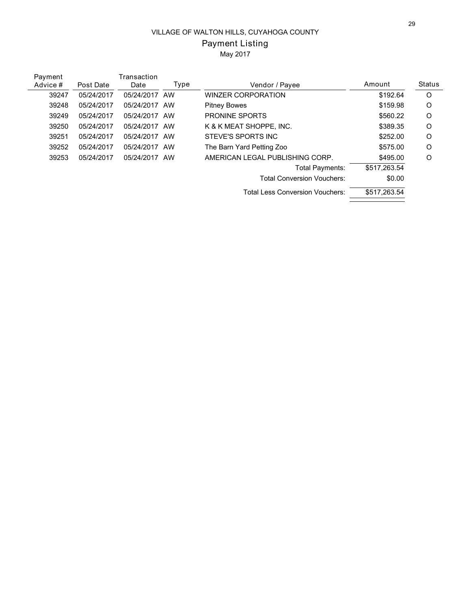# Payment Listing

| Payment  |            | Transaction |      |                                        |              |         |
|----------|------------|-------------|------|----------------------------------------|--------------|---------|
| Advice # | Post Date  | Date        | Type | Vendor / Payee                         | Amount       | Status  |
| 39247    | 05/24/2017 | 05/24/2017  | AW   | <b>WINZER CORPORATION</b>              | \$192.64     | $\circ$ |
| 39248    | 05/24/2017 | 05/24/2017  | AW   | <b>Pitney Bowes</b>                    | \$159.98     | O       |
| 39249    | 05/24/2017 | 05/24/2017  | AW   | <b>PRONINE SPORTS</b>                  | \$560.22     | O       |
| 39250    | 05/24/2017 | 05/24/2017  | AW   | K & K MEAT SHOPPE. INC.                | \$389.35     | O       |
| 39251    | 05/24/2017 | 05/24/2017  | AW   | STEVE'S SPORTS INC                     | \$252.00     | O       |
| 39252    | 05/24/2017 | 05/24/2017  | AW   | The Barn Yard Petting Zoo              | \$575.00     | O       |
| 39253    | 05/24/2017 | 05/24/2017  | AW   | AMERICAN LEGAL PUBLISHING CORP.        | \$495.00     | O       |
|          |            |             |      | Total Payments:                        | \$517,263.54 |         |
|          |            |             |      | <b>Total Conversion Vouchers:</b>      | \$0.00       |         |
|          |            |             |      | <b>Total Less Conversion Vouchers:</b> | \$517,263.54 |         |
|          |            |             |      |                                        |              |         |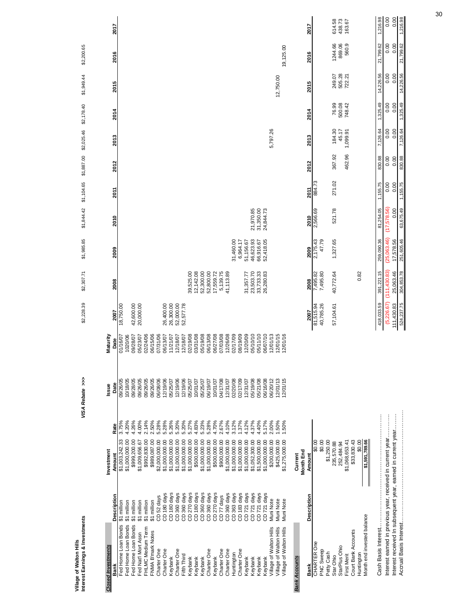| Interest Earnings & Investments                              |                            |                               |       | VISA Rebate >>> |          | \$2,228.39 | \$2,307.71             | \$1,985.85             | \$1,844.42             | \$1,104.65 | \$1,887.00 \$2,025.46 |                   | \$2,178.40       | \$1,949.44       | \$2,200.65               |                  |
|--------------------------------------------------------------|----------------------------|-------------------------------|-------|-----------------|----------|------------|------------------------|------------------------|------------------------|------------|-----------------------|-------------------|------------------|------------------|--------------------------|------------------|
| <b>Closed Investments</b>                                    |                            | Investment                    |       | Issue           | Maturity |            |                        |                        |                        |            |                       |                   |                  |                  |                          |                  |
| Bank                                                         | Description                | Amount                        | Rate  | Date            | Date     | 2007       | 2008                   | 2009                   | 2010                   | 2011       | 2012                  | 2013              | 2014             | 2015             | 2016                     | 2017             |
| Fed Home Loan Bonds                                          | \$1 million                | \$1,003,242.33                | 3.75% | 09/26/05        | 01/16/07 | 18,750.00  |                        |                        |                        |            |                       |                   |                  |                  |                          |                  |
| Fed Home Loan Bonds                                          | \$1 million                | \$1,000,000.00                | 4.20% | 10/18/05        | 1020/06  |            |                        |                        |                        |            |                       |                   |                  |                  |                          |                  |
| Fed Home Loan Bonds                                          | \$1 million                | \$999,200.00                  | 4.26% | 09/28/05        | 09/28/07 | 42,600.00  |                        |                        |                        |            |                       |                   |                  |                  |                          |                  |
| Fed Nat'l Mort Assn                                          | \$1 million                | \$1,009,656.67                | 4.00% | 09/26/05        | 05/23/07 | 20,000.00  |                        |                        |                        |            |                       |                   |                  |                  |                          |                  |
| FHLMC Medium Term                                            | \$1 million                | \$992,830.00                  | 2.14% | 09/26/05        | 02/24/06 |            |                        |                        |                        |            |                       |                   |                  |                  |                          |                  |
| FNMA B'mark Notes                                            | \$1 million                | \$989,087.00                  | 2.50% | 09/26/05        | 06/15/06 |            |                        |                        |                        |            |                       |                   |                  |                  |                          |                  |
| Charter One                                                  | CD <sub>52</sub> days      | \$2,000,000.00                | 5.28% | 06/08/06        | 07/31/06 |            |                        |                        |                        |            |                       |                   |                  |                  |                          |                  |
| Charter One                                                  | CD <sub>180</sub> days     | \$1,000,000.00                | 5.28% | 12/19/06        | 06/13/07 | 26,400.00  |                        |                        |                        |            |                       |                   |                  |                  |                          |                  |
| Keybank                                                      | CD <sub>180</sub> days     | \$1,000,000.00                | 5.26% | 05/25/07        | 11/21/07 | 26,300.00  |                        |                        |                        |            |                       |                   |                  |                  |                          |                  |
| Charter One                                                  | CD 360 days                | \$1,000,000.00                | 5.20% | 12/19/06        | 12/18/07 | 52,000.00  |                        |                        |                        |            |                       |                   |                  |                  |                          |                  |
| Fifth Third                                                  | CD 360 days                | \$1,000,000.00                | 5.20% | 12/19/06        | 12/18/07 | 52,577.78  |                        |                        |                        |            |                       |                   |                  |                  |                          |                  |
| Keybank                                                      | CD 270 days<br>CD 180 days | \$1,000,000.00                | 5.27% | 05/25/07        | 02/19/08 |            | 39,525.00              |                        |                        |            |                       |                   |                  |                  |                          |                  |
| Keybank                                                      |                            | \$500,000.00                  | 4.83% | 10/01/07        | 03/31/08 |            | 12, 142.08             |                        |                        |            |                       |                   |                  |                  |                          |                  |
| Keybank                                                      | CD 360 days<br>CD 360 days | \$1,000,000.00                | 5.23% | 05/25/07        | 05/19/08 |            | 52,300.00              |                        |                        |            |                       |                   |                  |                  |                          |                  |
| Charter One                                                  |                            | \$1,000,000.00                | 5.28% | 06/19/07        | 06/13/08 |            | 52,800.00              |                        |                        |            |                       |                   |                  |                  |                          |                  |
| Keybank                                                      | CD <sub>270</sub> days     | \$500,000.00                  | 4.70% | 10/01/07        | 06/27/08 |            | 17,559.72              |                        |                        |            |                       |                   |                  |                  |                          |                  |
| Charter One                                                  | CD <sub>77</sub> days      | \$900,000.00                  | 2.67% | 04/17/08        | 07/03/08 |            | 5,139.75               |                        |                        |            |                       |                   |                  |                  |                          |                  |
| Charter One                                                  | CD 360 days                | \$1,000,000.00                | 4.10% | 12/31/07        | 12/26/08 |            | 41,113.89              |                        |                        |            |                       |                   |                  |                  |                          |                  |
| Huntington                                                   | CD 363 days                | \$1,000,000.00                | 3.12% | 02/20/08        | 02/17/09 |            |                        | 31,460.00              |                        |            |                       |                   |                  |                  |                          |                  |
| Charter One                                                  | CD 183 days                | \$1,000,000.00                | 1.37% | 02/17/09        | 08/19/09 |            |                        | 6,964.17               |                        |            |                       |                   |                  |                  |                          |                  |
| Keybank                                                      | CD <sub>721</sub> days     | \$1,000,000.00                | 4.12% | 12/31/07        | 12/20/09 |            | 31,357.77              | 51,156.67              |                        |            |                       |                   |                  |                  |                          |                  |
| Keybank                                                      | CD 721 days                | \$1,052,300.00                | 4.37% | 05/19/08        | 05/10/10 |            | 23,503.70              | 46,623.93              | 21,970.85              |            |                       |                   |                  |                  |                          |                  |
| Keybank                                                      | CD 721 days                | \$1,500,000.00                | 4.40% | 05/21/08        | 05/11/10 |            | 33,733.33<br>26,280.83 | 66,916.67<br>52,418.05 | 31,350.00<br>24,844.73 |            |                       |                   |                  |                  |                          |                  |
| Keybank                                                      | CD <sub>721</sub> days     | \$1,000,000.00                | 5.17% | 06/16/08        | 06/07/10 |            |                        |                        |                        |            |                       |                   |                  |                  |                          |                  |
| Village of Walton Hills                                      | Muni Note                  | \$200,000.00                  | 2.00% | 06/20/12        | 12/01/13 |            |                        |                        |                        |            |                       | 5,797.26          |                  |                  |                          |                  |
| Village of Walton Hills                                      | Muni Note                  | \$425,000.00                  | 1.50% | 12/01/13        | 12/01/15 |            |                        |                        |                        |            |                       |                   |                  | 12,750.00        |                          |                  |
| Village of Walton Hills                                      | Muni Note                  | \$1,275,000.00                | 1.50% | 2/01/15         | 12/01/16 |            |                        |                        |                        |            |                       |                   |                  |                  | 19,125.00                |                  |
| <b>Bank Accounts</b>                                         |                            | Current                       |       |                 |          |            |                        |                        |                        |            |                       |                   |                  |                  |                          |                  |
|                                                              |                            | Month End                     |       |                 |          |            |                        |                        |                        |            |                       |                   |                  |                  |                          |                  |
| Bank                                                         | Description                | Amount                        |       |                 |          | 2007       | 2008                   | 2009                   | 2010                   | 2011       | 2012                  | 2013              | 2014             | 2015             | 2016                     | 2017             |
| <b>CHARTER One</b>                                           |                            | $\frac{80.00}{50}$            |       |                 |          | 81,515.94  | 7,495.82               | 2,175.43               | 2,566.69               | 884.73     |                       |                   |                  |                  |                          |                  |
| PNC Sweep                                                    |                            | \$0.00                        |       |                 |          | 40,785.26  | 7,495.80               | 47.79                  |                        |            |                       |                   |                  |                  |                          |                  |
| Petty Cash                                                   |                            | \$1,250.00                    |       |                 |          |            |                        |                        |                        |            |                       |                   |                  |                  |                          |                  |
| Star Ohio                                                    |                            | 235,570.88                    |       |                 |          | 57,104.61  | 40,772.64              | 1,327.65               | 521.78                 | 271.02     | 367.92                | 184.30            | 76.99            | 249.07           | 1244.66                  | 614.58           |
| StarPlus Ohio<br><b>First Merit</b>                          |                            | 252,484.94                    |       |                 |          |            |                        |                        |                        |            |                       | 1,099.91<br>45.17 | 500.08<br>748.42 | 505.28<br>722.21 | 560.9<br>869.06          | 438.73<br>163.67 |
| Court Bank Accounts                                          |                            | \$33,830.43<br>\$1,068,653.41 |       |                 |          |            |                        |                        |                        |            | 462.96                |                   |                  |                  |                          |                  |
| Huntington                                                   |                            | \$0.00                        |       |                 |          |            | 0.82                   |                        |                        |            |                       |                   |                  |                  |                          |                  |
| Month end invested balance                                   |                            | \$1,591,789.66                |       |                 |          |            |                        |                        |                        |            |                       |                   |                  |                  |                          |                  |
|                                                              |                            |                               |       |                 |          |            |                        |                        |                        |            |                       |                   |                  |                  |                          |                  |
| Cash Basis Interest                                          |                            |                               |       |                 |          | 418,033.59 | 391,221.15             | 259,090.36             | 81,254.05              | 1,155.75   | 830.88                | 7,126.64          | 1,325.49         | 14,226.56        | 799.62<br>$\overline{z}$ | 1,216.98         |
| Interest earned in previous year, received in current year   |                            |                               |       |                 |          | (5,226.67) | (111, 430.83)          | 25,063.46)             | (17,578.56)            | 0.00       | 0.00                  | 0.00              | 0.00             | 0.00             | 0.00                     | 0.00             |
| Interest received In subsequent year, earned in current year |                            |                               |       |                 |          | 111,430.83 | 25,063.46              | 17,578.56              | 0.00                   | 0.00       | 0.00                  | 0.00              | 0.00             | 0.00             | 0.00                     | 0.00             |
| Accrual Basis Interest                                       |                            |                               |       |                 |          | 524,237.75 | 304,853.78             | 251,605.46             | 63,675.49              | 1,155.75   | 830.88                | 126.64            | 1,325.49         | 14,226.56        | 21,799.62                | 1,216.98         |
|                                                              |                            |                               |       |                 |          |            |                        |                        |                        |            |                       |                   |                  |                  |                          |                  |

Village of Walton Hills<br>Interest Earnings & Inve **Village of Walton Hills**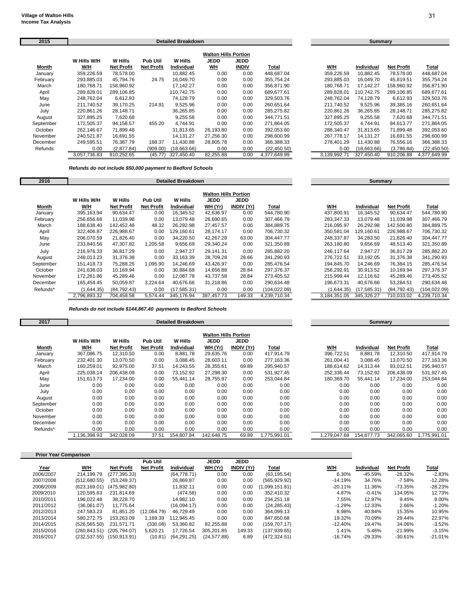| 2015      |              |                   |                   | <b>Detailed Breakdown</b> |                             |              |              |              | Summary           |                   |              |
|-----------|--------------|-------------------|-------------------|---------------------------|-----------------------------|--------------|--------------|--------------|-------------------|-------------------|--------------|
|           |              |                   |                   |                           | <b>Walton Hills Portion</b> |              |              |              |                   |                   |              |
|           | W Hills W/H  | <b>W</b> Hills    | <b>Pub Util</b>   | W Hills                   | JEDD                        | <b>JEDD</b>  |              |              |                   |                   |              |
| Month     | W/H          | <b>Net Profit</b> | <b>Net Profit</b> | <b>Individual</b>         | <b>WH</b>                   | <b>INDIV</b> | Total        | W/H          | <b>Individual</b> | <b>Net Profit</b> | Total        |
| January   | 359,226.59   | 78,578.00         |                   | 10,882.45                 | 0.00                        | 0.00         | 448,687.04   | 359,226.59   | 10,882.45         | 78,578.00         | 448,687.04   |
| February  | 293,885.03   | 45,794.76         | 24.75             | 16.049.70                 | 0.00                        | 0.00         | 355.754.24   | 293,885.03   | 16,049.70         | 45,819.51         | 355,754.24   |
| March     | 180,768.71   | 158,960.92        |                   | 17,142.27                 | 0.00                        | 0.00         | 356,871.90   | 180,768.71   | 17,142.27         | 158,960.92        | 356,871.90   |
| April     | 289,828.01   | 289,106.85        |                   | 110.742.75                | 0.00                        | 0.00         | 689.677.61   | 289,828.01   | 110.742.75        | 289,106.85        | 689,677.61   |
| May       | 248,762.04   | 6,612.93          |                   | 74,128.79                 | 0.00                        | 0.00         | 329,503.76   | 248.762.04   | 74,128.79         | 6,612.93          | 329,503.76   |
| June      | 211,740.52   | 39.170.25         | 214.91            | 9,525.96                  | 0.00                        | 0.00         | 260.651.64   | 211,740.52   | 9,525.96          | 39,385.16         | 260,651.64   |
| July      | 220,861.26   | 28,148.71         |                   | 36,265.85                 | 0.00                        | 0.00         | 285,275.82   | 220.861.26   | 36,265.85         | 28,148.71         | 285,275.82   |
| August    | 327,895.25   | 7,620.68          |                   | 9,255.58                  | 0.00                        | 0.00         | 344.771.51   | 327,895.25   | 9,255.58          | 7,620.68          | 344,771.51   |
| September | 172,505.37   | 94,158.57         | 455.20            | 4.744.91                  | 0.00                        | 0.00         | 271.864.05   | 172.505.37   | 4,744.91          | 94,613.77         | 271,864.05   |
| October   | 262,146.67   | 71,899.48         |                   | 31,813.65                 | 26,193.80                   | 0.00         | 392,053.60   | 288,340.47   | 31,813.65         | 71,899.48         | 392,053.60   |
| November  | 240.521.87   | 16,691.55         |                   | 14.131.27                 | 27,256.30                   | 0.00         | 298.600.99   | 267.778.17   | 14.131.27         | 16,691.55         | 298,600.99   |
| December  | 249.595.51   | 76.387.79         | 168.37            | 11,430.88                 | 28,805.78                   | 0.00         | 366.388.33   | 278.401.29   | 11,430.88         | 76,556.16         | 366,388.33   |
| Refunds   | 0.00         | (2,877.84)        | (909.00)          | (18.663.66)               | 0.00                        | 0.00         | (22, 450.50) | 0.00         | (18,663.66)       | (3,786.84)        | (22, 450.50) |
|           | 3,057,736.83 | 910,252.65        | (45.77)           | 327,450.40                | 82,255.88                   | 0.00         | 4,377,649.99 | 3,139,992.71 | 327.450.40        | 910,206.88        | 4,377,649.99 |

### *Refunds do not include \$50,000 payment to Bedford Schools*

| 2016      |              |                   |                   | <b>Detailed Breakdown</b> |                                            |                           |               |              | Summary      |                   |               |
|-----------|--------------|-------------------|-------------------|---------------------------|--------------------------------------------|---------------------------|---------------|--------------|--------------|-------------------|---------------|
|           | W Hills W/H  | <b>W</b> Hills    | <b>Pub Util</b>   | W Hills                   | <b>Walton Hills Portion</b><br><b>JEDD</b> |                           |               |              |              |                   |               |
| Month     | W/H          | <b>Net Profit</b> | <b>Net Profit</b> | Individual                | WH (Yr)                                    | JEDD<br><b>INDIV (Yr)</b> | Total         | W/H          | Individual   | <b>Net Profit</b> | <b>Total</b>  |
| January   | 395,163.94   | 90.634.47         | 0.00              | 16,345.52                 | 42.636.97                                  | 0.00                      | 544.780.90    | 437.800.91   | 16.345.52    | 90.634.47         | 544,780.90    |
| February  | 256,656.68   | 11,039.98         | 0.00              | 13,079.48                 | 26,690.65                                  | 0.00                      | 307,466.79    | 283,347.33   | 13,079.48    | 11,039.98         | 307,466.79    |
| March     | 188,638.40   | 142,452.48        | 48.32             | 26,292.98                 | 27,457.57                                  | 0.00                      | 384,889.75    | 216,095.97   | 26,292.98    | 142,500.80        | 384,889.75    |
| April     | 322,406.87   | 226,988.67        | 0.00              | 129,160.61                | 28,174.17                                  | 0.00                      | 706,730.32    | 350.581.04   | 129,160.61   | 226,988.67        | 706,730.32    |
| May       | 206,070.59   | 21,826.40         | 0.00              | 34,220.50                 | 42,267.28                                  | 63.00                     | 304,447.77    | 248,337.87   | 34,283.50    | 21,826.40         | 304,447.77    |
| June      | 233,840.56   | 47,307.82         | 1,205.58          | 9,656.69                  | 29,340.24                                  | 0.00                      | 321,350.89    | 263,180.80   | 9,656.69     | 48,513.40         | 321,350.89    |
| July      | 216,976.33   | 36,817.29         | 0.00              | 2,947.27                  | 29,141.31                                  | 0.00                      | 285,882.20    | 246.117.64   | 2,947.27     | 36,817.29         | 285,882.20    |
| August    | 248,013.23   | 31,376.38         | 0.00              | 33,163.39                 | 28,709.28                                  | 28.66                     | 341,290.93    | 276,722.51   | 33,192.05    | 31,376.38         | 341,290.93    |
| September | 151,418.73   | 75,288.25         | 1,095.90          | 14,246.69                 | 43,426.97                                  | 0.00                      | 285,476.54    | 194,845.70   | 14,246.69    | 76,384.15         | 285,476.54    |
| October   | 241.636.03   | 10.169.94         | 0.00              | 30.884.68                 | 14.656.88                                  | 28.84                     | 297.376.37    | 256.292.91   | 30.913.52    | 10,169.94         | 297,376.37    |
| November  | 172,261.86   | 45,289.46         | 0.00              | 12,087.78                 | 43,737.58                                  | 28.84                     | 273,405.52    | 215,999.44   | 12,116.62    | 45,289.46         | 273,405.52    |
| December  | 165,454.45   | 50,059.87         | 3,224.64          | 40,676.66                 | 31,218.86                                  | 0.00                      | 290,634.48    | 196,673.31   | 40,676.66    | 53,284.51         | 290,634.48    |
| Refunds*  | (1,644.35)   | (84,792.43)       | 0.00              | (17,585.31)               | 0.00                                       | 0.00                      | (104, 022.09) | (1,644.35)   | (17, 585.31) | (84, 792.43)      | (104, 022.09) |
|           | 2.796.893.32 | 704.458.58        | 5.574.44          | 345.176.94                | 387.457.73                                 | 149.33                    | 4.239.710.34  | 3.184.351.05 | 345,326.27   | 710.033.02        | 4,239,710.34  |

*Refunds do not include \$144,867.40 payments to Bedford Schools*

| 2017      |             |                   |                   | <b>Detailed Breakdown</b> |                                            |                   |              |              | <b>Summary</b> |                   |              |
|-----------|-------------|-------------------|-------------------|---------------------------|--------------------------------------------|-------------------|--------------|--------------|----------------|-------------------|--------------|
|           | W Hills W/H | W Hills           | <b>Pub Util</b>   | <b>W</b> Hills            | <b>Walton Hills Portion</b><br><b>JEDD</b> | <b>JEDD</b>       |              |              |                |                   |              |
| Month     | W/H         | <b>Net Profit</b> | <b>Net Profit</b> | Individual                | WH (Yr)                                    | <b>INDIV (Yr)</b> | <u>Total</u> | W/H          | Individual     | <b>Net Profit</b> | <u>Total</u> |
| January   | 367,086.75  | 12,310.50         | 0.00              | 8,881.78                  | 29,635.76                                  | 0.00              | 417,914.79   | 396,722.51   | 8,881.78       | 12,310.50         | 417,914.79   |
| February  | 232,401.30  | 13,070.50         | 0.00              | 3,088.45                  | 28,603.11                                  | 0.00              | 277,163.36   | 261,004.41   | 3,088.45       | 13.070.50         | 277,163.36   |
| March     | 160,259.01  | 92,975.00         | 37.51             | 14,243.55                 | 28,355.61                                  | 69.89             | 295,940.57   | 188.614.62   | 14,313.44      | 93,012.51         | 295,940.57   |
| April     | 225,038.14  | 206,438.09        | 0.00              | 73,152.92                 | 27,298.30                                  | 0.00              | 531,927.45   | 252,336.44   | 73,152.92      | 206,438.09        | 531,927.45   |
| May       | 151,613.73  | 17,234.00         | 0.00              | 55,441.14                 | 28,755.97                                  | 0.00              | 253,044.84   | 180,369.70   | 55,441.14      | 17,234.00         | 253,044.84   |
| June      | 0.00        | 0.00              | 0.00              | 0.00                      | 0.00                                       | 0.00              | 0.00         | 0.00         | 0.00           | 0.00              | 0.00         |
| July      | 0.00        | 0.00              | 0.00              | 0.00                      | 0.00                                       | 0.00              | 0.00         | 0.00         | 0.00           | 0.00              | 0.00         |
| August    | 0.00        | 0.00              | 0.00              | 0.00                      | 0.00                                       | 0.00              | 0.00         | 0.00         | 0.00           | 0.00              | 0.00         |
| September | 0.00        | 0.00              | 0.00              | 0.00                      | 0.00                                       | 0.00              | 0.00         | 0.00         | 0.00           | 0.00              | 0.00         |
| October   | 0.00        | 0.00              | 0.00              | 0.00                      | 0.00                                       | 0.00              | 0.00         | 0.00         | 0.00           | 0.00              | 0.00         |
| November  | 0.00        | 0.00              | 0.00              | 0.00                      | 0.00                                       | 0.00              | 0.00         | 0.00         | 0.00           | 0.00              | 0.00         |
| December  | 0.00        | 0.00              | 0.00              | 0.00                      | 0.00                                       | 0.00              | 0.00         | 0.00         | 0.00           | 0.00              | 0.00         |
| Refunds*  | 0.00        | 0.00              | 0.00              | 0.00                      | 0.00                                       | 0.00              | 0.00         | 0.00         | 0.00           | 0.00              | 0.00         |
|           | .136.398.93 | 342.028.09        | 37.51             | 154.807.84                | 142.648.75                                 | 69.89             | ,775,991.01  | 1.279.047.68 | 154.877.73     | 342.065.60        | 1.775.991.01 |

| <b>Prior Year Comparison</b> |              |                   |                   |             |             |                   |                |           |                   |                   |           |
|------------------------------|--------------|-------------------|-------------------|-------------|-------------|-------------------|----------------|-----------|-------------------|-------------------|-----------|
|                              |              |                   | Pub Util          |             | <b>JEDD</b> | <b>JEDD</b>       |                |           |                   |                   |           |
| <u>Year</u>                  | W/H          | <b>Net Profit</b> | <b>Net Profit</b> | Individual  | WH (Yr)     | <b>INDIV</b> (Yr) | Total          | W/H       | <b>Individual</b> | <b>Net Profit</b> | Total     |
| 2006/2007                    | 214.199.79   | (277, 395.33)     |                   | (64.778.71) | 0.00        | 0.00              | (63, 195.54)   | 6.30%     | $-45.59%$         | $-28.32%$         | $-2.83%$  |
| 2007/2008                    | (512,680.55) | (53, 249.37)      |                   | 26.869.87   | 0.00        | 0.00              | (565, 929.92)  | $-14.19%$ | 34.76%            | $-7.58%$          | $-12.28%$ |
| 2008/2009                    | (623.169.01) | (475.982.80)      |                   | 11.832.11   | 0.00        | 0.00              | (1,099,151.81) | $-20.11%$ | 11.36%            | $-73.35%$         | $-28.23%$ |
| 2009/2010                    | 120.595.63   | 231.814.69        |                   | (474.58)    | 0.00        | 0.00              | 352.410.32     | 4.87%     | $-0.41%$          | 134.05%           | 12.73%    |
| 2010/2011                    | 196.022.48   | 38.228.70         |                   | 14.982.10   | 0.00        | 0.00              | 234.251.18     | 7.55%     | 12.97%            | 9.45%             | 8.00%     |
| 2011/2012                    | (36.061.07)  | 11.775.64         |                   | (16.094.17) | 0.00        | 0.00              | (24, 285.43)   | $-1.29%$  | $-12.33%$         | 2.66%             | $-1.20%$  |
| 2012/2013                    | 247.583.23   | 81.851.20         | (12,064.79)       | 46.729.49   | 0.00        | 0.00              | 364.099.13     | 8.98%     | 40.84%            | 15.35%            | 10.95%    |
| 2013/2014                    | 580.272.75   | 153.263.09        | 1.169.39          | 112.945.45  | 0.00        | 0.00              | 847.650.68     | 19.32%    | 70.09%            | 29.44%            | 22.97%    |
| 2014/2015                    | (526.565.50) | 231.571.71        | (330.08)          | 53.360.82   | 82.255.88   | 0.00              | (159.707.17)   | $-12.40%$ | 19.47%            | 34.06%            | $-3.52%$  |
| 2015/2016                    | (260.843.51) | (205.794.07)      | 5.620.21          | 17.726.54   | 305.201.85  | 149.33            | (137,939.65)   | 1.41%     | 5.46%             | $-21.99%$         | $-3.15%$  |
| 2016/2017                    | (232.537.55) | (150.913.91)      | (10.81)           | (64.291.25) | (24.577.88) | 6.89              | (472.324.51)   | $-16.74%$ | $-29.33%$         | $-30.61%$         | $-21.01%$ |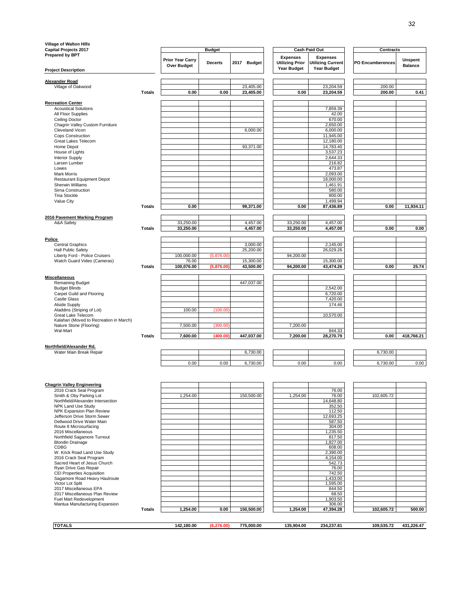| Village of Walton Hills<br><b>Capital Projects 2017</b>       |               |                                        | <b>Budget</b>  |                        |                                           | Cash Paid Out                               | <b>Contracts</b> |                           |
|---------------------------------------------------------------|---------------|----------------------------------------|----------------|------------------------|-------------------------------------------|---------------------------------------------|------------------|---------------------------|
| Prepared by BPT                                               |               | <b>Prior Year Carry</b><br>Over Budget | <b>Decerts</b> | 2017 Budget            | <b>Expenses</b><br><b>Utilizing Prior</b> | <b>Expenses</b><br><b>Utilizing Current</b> | PO Encumberences | Unspent<br><b>Balance</b> |
| <b>Project Description</b>                                    |               |                                        |                |                        | <b>Year Budget</b>                        | <b>Year Budget</b>                          |                  |                           |
| <b>Alexander Road</b>                                         |               |                                        |                |                        |                                           |                                             |                  |                           |
| Village of Oakwood                                            | Totals        | 0.00                                   | 0.00           | 23,405.00<br>23,405.00 | 0.00                                      | 23,204.59<br>23,204.59                      | 200.00<br>200.00 | 0.41                      |
| <b>Recreation Center</b>                                      |               |                                        |                |                        |                                           |                                             |                  |                           |
| <b>Acoustical Solutions</b>                                   |               |                                        |                |                        |                                           | 7,859.39                                    |                  |                           |
| All Floor Supplies<br>Ceiling Doctor                          |               |                                        |                |                        |                                           | 42.00<br>670.00                             |                  |                           |
| Chagrin Valley Custom Furniture                               |               |                                        |                |                        |                                           | 2,650.00                                    |                  |                           |
| Cleveland Vicon<br>Cops Construction                          |               |                                        |                | 6,000.00               |                                           | 6,000.00<br>11,945.00                       |                  |                           |
| Great Lakes Telecom                                           |               |                                        |                |                        |                                           | 12,180.00                                   |                  |                           |
| Home Depot                                                    |               |                                        |                | 93,371.00              |                                           | 14,783.40                                   |                  |                           |
| House of Lights<br><b>Interior Supply</b>                     |               |                                        |                |                        |                                           | 3,537.23<br>2,644.33                        |                  |                           |
| Larsen Lumber                                                 |               |                                        |                |                        |                                           | 216.82                                      |                  |                           |
| Lowes                                                         |               |                                        |                |                        |                                           | 473.87                                      |                  |                           |
| <b>Mark Morris</b><br>Restaurant Equipment Depot              |               |                                        |                |                        |                                           | 2,093.00<br>18,000.00                       |                  |                           |
| Sherwin Williams                                              |               |                                        |                |                        |                                           | 1,461.91                                    |                  |                           |
| Sirna Construction<br><b>Tina Stockle</b>                     |               |                                        |                |                        |                                           | 580.00<br>800.00                            |                  |                           |
| Value City                                                    |               |                                        |                |                        |                                           | 1,499.94                                    |                  |                           |
|                                                               | <b>Totals</b> | 0.00                                   |                | 99,371.00              | 0.00                                      | 87,436.89                                   | 0.00             | 11,934.11                 |
| 2016 Pavement Marking Program                                 |               |                                        |                |                        |                                           |                                             |                  |                           |
| A&A Safety                                                    | Totals        | 33,250.00<br>33,250.00                 |                | 4,457.00<br>4,457.00   | 33,250.00<br>33,250.00                    | 4,457.00<br>4,457.00                        | 0.00             | 0.00                      |
|                                                               |               |                                        |                |                        |                                           |                                             |                  |                           |
| Police<br><b>Central Graphics</b>                             |               |                                        |                | 3.000.00               |                                           | 2,145.00                                    |                  |                           |
| <b>Hall Public Safety</b>                                     |               |                                        |                | 25,200.00              |                                           | 26,029.26                                   |                  |                           |
| Liberty Ford - Police Cruisers                                |               | 100,000.00                             | (5,876.00)     |                        | 94,200.00                                 |                                             |                  |                           |
| Watch Guard Video (Cameras)                                   | <b>Totals</b> | 76.00<br>100,076.00                    | (5,876.00)     | 15,300.00<br>43,500.00 | 94,200.00                                 | 15,300.00<br>43,474.26                      | 0.00             | 25.74                     |
|                                                               |               |                                        |                |                        |                                           |                                             |                  |                           |
| <b>Miscellaneous</b><br>Remaining Budget                      |               |                                        |                | 447,037.00             |                                           |                                             |                  |                           |
| <b>Budget Blinds</b>                                          |               |                                        |                |                        |                                           | 2,542.00                                    |                  |                           |
| Carpet Guild and Flooring                                     |               |                                        |                |                        |                                           | 6,720.00                                    |                  |                           |
| Castle Glass<br>Alside Supply                                 |               |                                        |                |                        |                                           | 7,420.00<br>174.46                          |                  |                           |
| Aladdins (Striping of Lot)                                    |               | 100.00                                 | (100.00)       |                        |                                           |                                             |                  |                           |
| Great Lake Telecom<br>Kalahari (Moved to Recreation in March) |               |                                        |                |                        |                                           | 10,570.00                                   |                  |                           |
| Nature Stone (Flooring)                                       |               | 7,500.00                               | (300.00)       |                        | 7,200.00                                  |                                             |                  |                           |
| Wal-Mart                                                      | <b>Totals</b> | 7,600.00                               | (400.00)       | 447,037.00             | 7,200.00                                  | 844.33<br>28,270.79                         | 0.00             | 418,766.21                |
|                                                               |               |                                        |                |                        |                                           |                                             |                  |                           |
| Northfield/Alexander Rd.<br>Water Main Break Repair           |               |                                        |                | 6,730.00               |                                           |                                             | 6,730.00         |                           |
|                                                               |               | 0.00                                   | 0.00           | 6,730.00               | 0.00                                      | 0.00                                        | 6,730.00         | 0.00                      |
|                                                               |               |                                        |                |                        |                                           |                                             |                  |                           |
|                                                               |               |                                        |                |                        |                                           |                                             |                  |                           |
| <b>Chagrin Valley Engineering</b>                             |               |                                        |                |                        |                                           |                                             |                  |                           |
| 2016 Crack Seal Program<br>Smith & Oby Parking Lot            |               | 1,254.00                               |                | 150,500.00             | 1,254.00                                  | 76.00<br>76.00                              | 102,605.72       |                           |
| Northfield/Alexander Intersection                             |               |                                        |                |                        |                                           | 14,648.80                                   |                  |                           |
| NPK Land Use Study<br>NPK Expansion Plan Review               |               |                                        |                |                        |                                           | 352.50<br>112.50                            |                  |                           |
| Jefferson Drive Storm Sewer                                   |               |                                        |                |                        |                                           | 12,693.25                                   |                  |                           |
| Dellwood Drive Water Main<br>Route 8 Microsurfacing           |               |                                        |                |                        |                                           | 587.50<br>304.00                            |                  |                           |
| 2016 Miscellaneous                                            |               |                                        |                |                        |                                           | 1,235.50                                    |                  |                           |
| Northfield Sagamore Turnout<br><b>Blondin Drainage</b>        |               |                                        |                |                        |                                           | 817.50<br>1,827.00                          |                  |                           |
| CDBG                                                          |               |                                        |                |                        |                                           | 608.00                                      |                  |                           |
| W. Krick Road Land Use Study<br>2016 Crack Seal Program       |               |                                        |                |                        |                                           | 2,390.00<br>4,154.00                        |                  |                           |
| Sacred Heart of Jesus Church                                  |               |                                        |                |                        |                                           | 542.73                                      |                  |                           |
| Ryan Drive Gas Repair<br><b>CEI Properties Acquisition</b>    |               |                                        |                |                        |                                           | 76.00<br>742.50                             |                  |                           |
| Sagamore Road Heavy Haulroute                                 |               |                                        |                |                        |                                           | 1.433.00                                    |                  |                           |
| Victor Lot Split                                              |               |                                        |                |                        |                                           | 1,595.00                                    |                  |                           |
| 2017 Miscellaneous EPA<br>2017 Miscellaneous Plan Review      |               |                                        |                |                        |                                           | 844.50<br>68.50                             |                  |                           |
| Fuel Mart Redevelopment                                       |               |                                        |                |                        |                                           | 1,903.50                                    |                  |                           |
| Mantua Manufacturing Expansion                                | <b>Totals</b> | 1,254.00                               | 0.00           | 150,500.00             | 1,254.00                                  | 306.00<br>47,394.28                         | 102,605.72       | 500.00                    |
|                                                               |               |                                        |                |                        |                                           |                                             |                  |                           |
| <b>TOTALS</b>                                                 |               | 142,180.00                             | (6, 276.00)    | 775,000.00             | 135,904.00                                | 234,237.81                                  | 109,535.72       | 431,226.47                |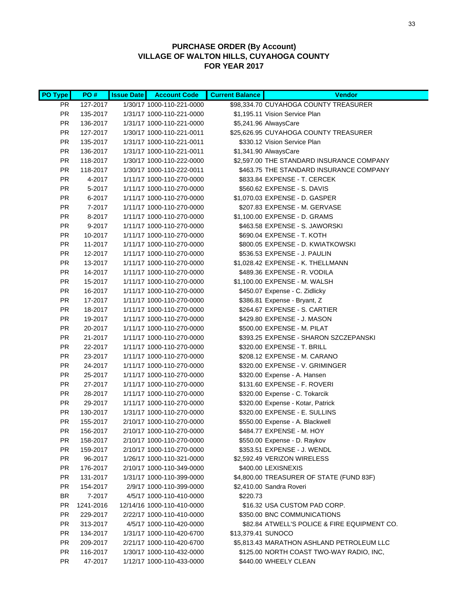### **PURCHASE ORDER (By Account) VILLAGE OF WALTON HILLS, CUYAHOGA COUNTY FOR YEAR 2017**

| <b>PO Type</b> | PO#       | <b>Issue Date</b> | <b>Account Code</b>        | <b>Current Balance</b> | <b>Vendor</b>                                |
|----------------|-----------|-------------------|----------------------------|------------------------|----------------------------------------------|
| PR.            | 127-2017  |                   | 1/30/17 1000-110-221-0000  |                        | \$98,334.70 CUYAHOGA COUNTY TREASURER        |
| <b>PR</b>      | 135-2017  |                   | 1/31/17 1000-110-221-0000  |                        | \$1,195.11 Vision Service Plan               |
| <b>PR</b>      | 136-2017  |                   | 1/31/17 1000-110-221-0000  |                        | \$5,241.96 AlwaysCare                        |
| <b>PR</b>      | 127-2017  |                   | 1/30/17 1000-110-221-0011  |                        | \$25,626.95 CUYAHOGA COUNTY TREASURER        |
| <b>PR</b>      | 135-2017  |                   | 1/31/17 1000-110-221-0011  |                        | \$330.12 Vision Service Plan                 |
| <b>PR</b>      | 136-2017  |                   | 1/31/17 1000-110-221-0011  |                        | \$1,341.90 AlwaysCare                        |
| <b>PR</b>      | 118-2017  |                   | 1/30/17 1000-110-222-0000  |                        | \$2,597.00 THE STANDARD INSURANCE COMPANY    |
| <b>PR</b>      | 118-2017  |                   | 1/30/17 1000-110-222-0011  |                        | \$463.75 THE STANDARD INSURANCE COMPANY      |
| <b>PR</b>      | 4-2017    |                   | 1/11/17 1000-110-270-0000  |                        | \$833.84 EXPENSE - T. CERCEK                 |
| <b>PR</b>      | 5-2017    |                   | 1/11/17 1000-110-270-0000  |                        | \$560.62 EXPENSE - S. DAVIS                  |
| <b>PR</b>      | 6-2017    |                   | 1/11/17 1000-110-270-0000  |                        | \$1,070.03 EXPENSE - D. GASPER               |
| <b>PR</b>      | 7-2017    |                   | 1/11/17 1000-110-270-0000  |                        | \$207.83 EXPENSE - M. GERVASE                |
| <b>PR</b>      | 8-2017    |                   | 1/11/17 1000-110-270-0000  |                        | \$1,100.00 EXPENSE - D. GRAMS                |
| <b>PR</b>      | 9-2017    |                   | 1/11/17 1000-110-270-0000  |                        | \$463.58 EXPENSE - S. JAWORSKI               |
| <b>PR</b>      | 10-2017   |                   | 1/11/17 1000-110-270-0000  |                        | \$690.04 EXPENSE - T. KOTH                   |
| <b>PR</b>      | 11-2017   |                   | 1/11/17 1000-110-270-0000  |                        | \$800.05 EXPENSE - D. KWIATKOWSKI            |
| <b>PR</b>      | 12-2017   |                   | 1/11/17 1000-110-270-0000  |                        | \$536.53 EXPENSE - J. PAULIN                 |
| <b>PR</b>      | 13-2017   |                   | 1/11/17 1000-110-270-0000  |                        | \$1,028.42 EXPENSE - K. THELLMANN            |
| <b>PR</b>      | 14-2017   |                   | 1/11/17 1000-110-270-0000  |                        | \$489.36 EXPENSE - R. VODILA                 |
| <b>PR</b>      | 15-2017   |                   | 1/11/17 1000-110-270-0000  |                        | \$1,100.00 EXPENSE - M. WALSH                |
| <b>PR</b>      | 16-2017   |                   | 1/11/17 1000-110-270-0000  |                        | \$450.07 Expense - C. Zidlicky               |
| <b>PR</b>      | 17-2017   |                   | 1/11/17 1000-110-270-0000  |                        | \$386.81 Expense - Bryant, Z                 |
| PR             | 18-2017   |                   | 1/11/17 1000-110-270-0000  |                        | \$264.67 EXPENSE - S. CARTIER                |
| <b>PR</b>      | 19-2017   |                   | 1/11/17 1000-110-270-0000  |                        | \$429.80 EXPENSE - J. MASON                  |
| <b>PR</b>      | 20-2017   |                   | 1/11/17 1000-110-270-0000  |                        | \$500.00 EXPENSE - M. PILAT                  |
| <b>PR</b>      | 21-2017   |                   | 1/11/17 1000-110-270-0000  |                        | \$393.25 EXPENSE - SHARON SZCZEPANSKI        |
| <b>PR</b>      | 22-2017   |                   | 1/11/17 1000-110-270-0000  |                        | \$320.00 EXPENSE - T. BRILL                  |
| <b>PR</b>      | 23-2017   |                   | 1/11/17 1000-110-270-0000  |                        | \$208.12 EXPENSE - M. CARANO                 |
| <b>PR</b>      | 24-2017   |                   | 1/11/17 1000-110-270-0000  |                        | \$320.00 EXPENSE - V. GRIMINGER              |
| <b>PR</b>      | 25-2017   |                   | 1/11/17 1000-110-270-0000  |                        | \$320.00 Expense - A. Hansen                 |
| <b>PR</b>      | 27-2017   |                   | 1/11/17 1000-110-270-0000  |                        | \$131.60 EXPENSE - F. ROVERI                 |
| <b>PR</b>      | 28-2017   |                   | 1/11/17 1000-110-270-0000  |                        | \$320.00 Expense - C. Tokarcik               |
| <b>PR</b>      | 29-2017   |                   | 1/11/17 1000-110-270-0000  |                        | \$320.00 Expense - Kotar, Patrick            |
| <b>PR</b>      | 130-2017  |                   | 1/31/17 1000-110-270-0000  |                        | \$320.00 EXPENSE - E. SULLINS                |
| <b>PR</b>      | 155-2017  |                   | 2/10/17 1000-110-270-0000  |                        | \$550.00 Expense - A. Blackwell              |
| PR             | 156-2017  |                   | 2/10/17 1000-110-270-0000  |                        | \$484.77 EXPENSE - M. HOY                    |
| <b>PR</b>      | 158-2017  |                   | 2/10/17 1000-110-270-0000  |                        | \$550.00 Expense - D. Raykov                 |
| <b>PR</b>      | 159-2017  |                   | 2/10/17 1000-110-270-0000  |                        | \$353.51 EXPENSE - J. WENDL                  |
| <b>PR</b>      | 96-2017   |                   | 1/26/17 1000-110-321-0000  |                        | \$2,592.49 VERIZON WIRELESS                  |
| <b>PR</b>      | 176-2017  |                   | 2/10/17 1000-110-349-0000  |                        | \$400.00 LEXISNEXIS                          |
| <b>PR</b>      | 131-2017  |                   | 1/31/17 1000-110-399-0000  |                        | \$4,800.00 TREASURER OF STATE (FUND 83F)     |
| <b>PR</b>      | 154-2017  |                   | 2/9/17 1000-110-399-0000   |                        | \$2,410.00 Sandra Roveri                     |
| BR             | 7-2017    |                   | 4/5/17 1000-110-410-0000   | \$220.73               |                                              |
| PR.            | 1241-2016 |                   | 12/14/16 1000-110-410-0000 |                        | \$16.32 USA CUSTOM PAD CORP.                 |
| PR.            | 229-2017  |                   | 2/22/17 1000-110-410-0000  |                        | \$350.00 BNC COMMUNICATIONS                  |
| PR.            | 313-2017  |                   | 4/5/17 1000-110-420-0000   |                        | \$82.84 ATWELL'S POLICE & FIRE EQUIPMENT CO. |
| <b>PR</b>      | 134-2017  |                   | 1/31/17 1000-110-420-6700  | \$13,379.41 SUNOCO     |                                              |
| PR.            | 209-2017  |                   | 2/21/17 1000-110-420-6700  |                        | \$5,813.43 MARATHON ASHLAND PETROLEUM LLC    |
| <b>PR</b>      | 116-2017  |                   | 1/30/17 1000-110-432-0000  |                        | \$125.00 NORTH COAST TWO-WAY RADIO, INC,     |
| <b>PR</b>      | 47-2017   |                   | 1/12/17 1000-110-433-0000  |                        | \$440.00 WHEELY CLEAN                        |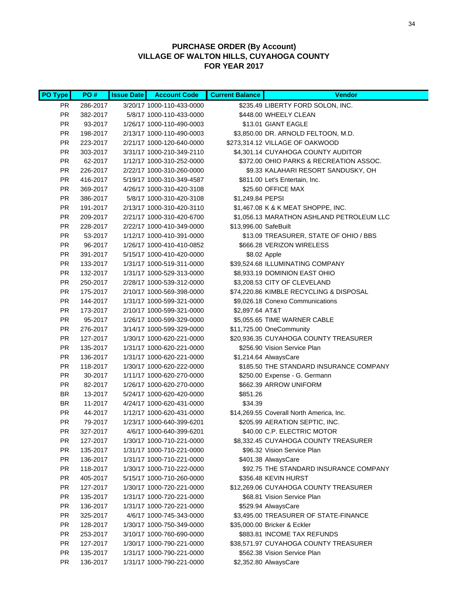### **PURCHASE ORDER (By Account) VILLAGE OF WALTON HILLS, CUYAHOGA COUNTY FOR YEAR 2017**

| PO Type    | PO#                  | <b>Issue Date</b> | <b>Account Code</b>                                    | <b>Current Balance</b> | <b>Vendor</b>                                                    |
|------------|----------------------|-------------------|--------------------------------------------------------|------------------------|------------------------------------------------------------------|
| PR.        | 286-2017             |                   | 3/20/17 1000-110-433-0000                              |                        | \$235.49 LIBERTY FORD SOLON, INC.                                |
| PR.        | 382-2017             |                   | 5/8/17 1000-110-433-0000                               |                        | \$448.00 WHEELY CLEAN                                            |
| PR.        | 93-2017              |                   | 1/26/17 1000-110-490-0003                              |                        | \$13.01 GIANT EAGLE                                              |
| PR         | 198-2017             |                   | 2/13/17 1000-110-490-0003                              |                        | \$3,850.00 DR. ARNOLD FELTOON, M.D.                              |
| PR.        | 223-2017             |                   | 2/21/17 1000-120-640-0000                              |                        | \$273,314.12 VILLAGE OF OAKWOOD                                  |
| PR         | 303-2017             |                   | 3/31/17 1000-210-349-2110                              |                        | \$4,301.14 CUYAHOGA COUNTY AUDITOR                               |
| PR         | 62-2017              |                   | 1/12/17 1000-310-252-0000                              |                        | \$372.00 OHIO PARKS & RECREATION ASSOC.                          |
| PR         | 226-2017             |                   | 2/22/17 1000-310-260-0000                              |                        | \$9.33 KALAHARI RESORT SANDUSKY, OH                              |
| PR         | 416-2017             |                   | 5/19/17 1000-310-349-4587                              |                        | \$811.00 Let's Entertain, Inc.                                   |
| PR         | 369-2017             |                   | 4/26/17 1000-310-420-3108                              |                        | \$25.60 OFFICE MAX                                               |
| PR         | 386-2017             |                   | 5/8/17 1000-310-420-3108                               | \$1,249.84 PEPSI       |                                                                  |
| <b>PR</b>  | 191-2017             |                   | 2/13/17 1000-310-420-3110                              |                        | \$1,467.08 K & K MEAT SHOPPE, INC.                               |
| <b>PR</b>  | 209-2017             |                   | 2/21/17 1000-310-420-6700                              |                        | \$1,056.13 MARATHON ASHLAND PETROLEUM LLC                        |
| PR.        | 228-2017             |                   | 2/22/17 1000-410-349-0000                              | \$13,996.00 SafeBuilt  |                                                                  |
| <b>PR</b>  | 53-2017              |                   | 1/12/17 1000-410-391-0000                              |                        | \$13.09 TREASURER, STATE OF OHIO / BBS                           |
| PR         | 96-2017              |                   | 1/26/17 1000-410-410-0852                              |                        | \$666.28 VERIZON WIRELESS                                        |
| PR         | 391-2017             |                   | 5/15/17 1000-410-420-0000                              |                        | \$8.02 Apple                                                     |
| PR         | 133-2017             |                   | 1/31/17 1000-519-311-0000                              |                        | \$39,524.68 ILLUMINATING COMPANY                                 |
| PR         | 132-2017             |                   | 1/31/17 1000-529-313-0000                              |                        | \$8,933.19 DOMINION EAST OHIO                                    |
| PR         | 250-2017             |                   | 2/28/17 1000-539-312-0000                              |                        | \$3,208.53 CITY OF CLEVELAND                                     |
| PR         | 175-2017             |                   | 2/10/17 1000-569-398-0000                              |                        | \$74,220.86 KIMBLE RECYCLING & DISPOSAL                          |
| PR         | 144-2017             |                   | 1/31/17 1000-599-321-0000                              |                        | \$9,026.18 Conexo Communications                                 |
| PR         | 173-2017             |                   | 2/10/17 1000-599-321-0000                              | \$2,897.64 AT&T        |                                                                  |
| PR         | 95-2017              |                   | 1/26/17 1000-599-329-0000                              |                        | \$5,055.65 TIME WARNER CABLE                                     |
| PR         | 276-2017             |                   | 3/14/17 1000-599-329-0000                              |                        | \$11,725.00 OneCommunity                                         |
| PR.        | 127-2017             |                   | 1/30/17 1000-620-221-0000                              |                        | \$20,936.35 CUYAHOGA COUNTY TREASURER                            |
| PR.        | 135-2017             |                   | 1/31/17 1000-620-221-0000                              |                        | \$256.90 Vision Service Plan                                     |
| PR.<br>PR. | 136-2017<br>118-2017 |                   | 1/31/17 1000-620-221-0000<br>1/30/17 1000-620-222-0000 |                        | \$1,214.64 AlwaysCare<br>\$185.50 THE STANDARD INSURANCE COMPANY |
| <b>PR</b>  | 30-2017              |                   | 1/11/17 1000-620-270-0000                              |                        |                                                                  |
| PR.        | 82-2017              |                   | 1/26/17 1000-620-270-0000                              |                        | \$250.00 Expense - G. Germann<br>\$662.39 ARROW UNIFORM          |
| BR.        | 13-2017              |                   | 5/24/17 1000-620-420-0000                              | \$851.26               |                                                                  |
| BR         | 11-2017              |                   | 4/24/17 1000-620-431-0000                              | \$34.39                |                                                                  |
| PR.        | 44-2017              |                   | 1/12/17 1000-620-431-0000                              |                        | \$14,269.55 Coverall North America, Inc.                         |
| <b>PR</b>  | 79-2017              |                   | 1/23/17 1000-640-399-6201                              |                        | \$205.99 AERATION SEPTIC, INC.                                   |
| PR         | 327-2017             |                   | 4/6/17 1000-640-399-6201                               |                        | \$40.00 C.P. ELECTRIC MOTOR                                      |
| PR.        | 127-2017             |                   | 1/30/17 1000-710-221-0000                              |                        | \$8,332.45 CUYAHOGA COUNTY TREASURER                             |
| PR.        | 135-2017             |                   | 1/31/17 1000-710-221-0000                              |                        | \$96.32 Vision Service Plan                                      |
| PR.        | 136-2017             |                   | 1/31/17 1000-710-221-0000                              |                        | \$401.38 AlwaysCare                                              |
| PR.        | 118-2017             |                   | 1/30/17 1000-710-222-0000                              |                        | \$92.75 THE STANDARD INSURANCE COMPANY                           |
| PR.        | 405-2017             |                   | 5/15/17 1000-710-260-0000                              |                        | \$356.48 KEVIN HURST                                             |
| PR.        | 127-2017             |                   | 1/30/17 1000-720-221-0000                              |                        | \$12,269.06 CUYAHOGA COUNTY TREASURER                            |
| PR.        | 135-2017             |                   | 1/31/17 1000-720-221-0000                              |                        | \$68.81 Vision Service Plan                                      |
| PR.        | 136-2017             |                   | 1/31/17 1000-720-221-0000                              |                        | \$529.94 AlwaysCare                                              |
| PR         | 325-2017             |                   | 4/6/17 1000-745-343-0000                               |                        | \$3,495.00 TREASURER OF STATE-FINANCE                            |
| PR.        | 128-2017             |                   | 1/30/17 1000-750-349-0000                              |                        | \$35,000.00 Bricker & Eckler                                     |
| PR.        | 253-2017             |                   | 3/10/17 1000-760-690-0000                              |                        | \$883.81 INCOME TAX REFUNDS                                      |
| PR.        | 127-2017             |                   | 1/30/17 1000-790-221-0000                              |                        | \$38,571.97 CUYAHOGA COUNTY TREASURER                            |
| PR.        | 135-2017             |                   | 1/31/17 1000-790-221-0000                              |                        | \$562.38 Vision Service Plan                                     |
| PR         | 136-2017             |                   | 1/31/17 1000-790-221-0000                              |                        | \$2,352.80 AlwaysCare                                            |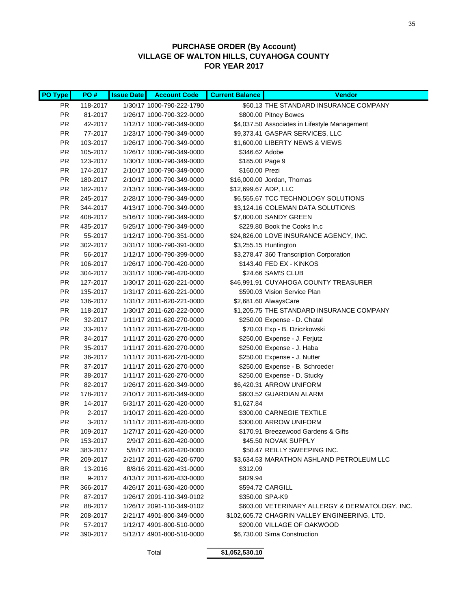### **PURCHASE ORDER (By Account) VILLAGE OF WALTON HILLS, CUYAHOGA COUNTY FOR YEAR 2017**

| PO Type   | PO#      | <b>Issue Date</b> | <b>Account Code</b>       | <b>Current Balance</b> | <b>Vendor</b>                                   |
|-----------|----------|-------------------|---------------------------|------------------------|-------------------------------------------------|
| PR.       | 118-2017 |                   | 1/30/17 1000-790-222-1790 |                        | \$60.13 THE STANDARD INSURANCE COMPANY          |
| <b>PR</b> | 81-2017  |                   | 1/26/17 1000-790-322-0000 |                        | \$800.00 Pitney Bowes                           |
| <b>PR</b> | 42-2017  |                   | 1/12/17 1000-790-349-0000 |                        | \$4,037.50 Associates in Lifestyle Management   |
| <b>PR</b> | 77-2017  |                   | 1/23/17 1000-790-349-0000 |                        | \$9,373.41 GASPAR SERVICES, LLC                 |
| <b>PR</b> | 103-2017 |                   | 1/26/17 1000-790-349-0000 |                        | \$1,600.00 LIBERTY NEWS & VIEWS                 |
| <b>PR</b> | 105-2017 |                   | 1/26/17 1000-790-349-0000 | \$346.62 Adobe         |                                                 |
| <b>PR</b> | 123-2017 |                   | 1/30/17 1000-790-349-0000 | \$185.00 Page 9        |                                                 |
| <b>PR</b> | 174-2017 |                   | 2/10/17 1000-790-349-0000 | \$160.00 Prezi         |                                                 |
| <b>PR</b> | 180-2017 |                   | 2/10/17 1000-790-349-0000 |                        | \$16,000.00 Jordan, Thomas                      |
| <b>PR</b> | 182-2017 |                   | 2/13/17 1000-790-349-0000 | \$12,699.67 ADP, LLC   |                                                 |
| <b>PR</b> | 245-2017 |                   | 2/28/17 1000-790-349-0000 |                        | \$6,555.67 TCC TECHNOLOGY SOLUTIONS             |
| <b>PR</b> | 344-2017 |                   | 4/13/17 1000-790-349-0000 |                        | \$3,124.16 COLEMAN DATA SOLUTIONS               |
| <b>PR</b> | 408-2017 |                   | 5/16/17 1000-790-349-0000 |                        | \$7,800.00 SANDY GREEN                          |
| <b>PR</b> | 435-2017 |                   | 5/25/17 1000-790-349-0000 |                        | \$229.80 Book the Cooks In.c                    |
| <b>PR</b> | 55-2017  |                   | 1/12/17 1000-790-351-0000 |                        | \$24,826.00 LOVE INSURANCE AGENCY, INC.         |
| <b>PR</b> | 302-2017 |                   | 3/31/17 1000-790-391-0000 |                        | \$3,255.15 Huntington                           |
| <b>PR</b> | 56-2017  |                   | 1/12/17 1000-790-399-0000 |                        | \$3,278.47 360 Transcription Corporation        |
| <b>PR</b> | 106-2017 |                   | 1/26/17 1000-790-420-0000 |                        | \$143.40 FED EX - KINKOS                        |
| <b>PR</b> | 304-2017 |                   | 3/31/17 1000-790-420-0000 |                        | \$24.66 SAM'S CLUB                              |
| <b>PR</b> | 127-2017 |                   | 1/30/17 2011-620-221-0000 |                        | \$46,991.91 CUYAHOGA COUNTY TREASURER           |
| <b>PR</b> | 135-2017 |                   | 1/31/17 2011-620-221-0000 |                        | \$590.03 Vision Service Plan                    |
| <b>PR</b> | 136-2017 |                   | 1/31/17 2011-620-221-0000 |                        | \$2,681.60 AlwaysCare                           |
| <b>PR</b> | 118-2017 |                   | 1/30/17 2011-620-222-0000 |                        | \$1,205.75 THE STANDARD INSURANCE COMPANY       |
| <b>PR</b> | 32-2017  |                   | 1/11/17 2011-620-270-0000 |                        | \$250.00 Expense - D. Chatal                    |
| <b>PR</b> | 33-2017  |                   | 1/11/17 2011-620-270-0000 |                        | \$70.03 Exp - B. Dziczkowski                    |
| <b>PR</b> | 34-2017  |                   | 1/11/17 2011-620-270-0000 |                        | \$250.00 Expense - J. Ferjutz                   |
| <b>PR</b> | 35-2017  |                   | 1/11/17 2011-620-270-0000 |                        | \$250.00 Expense - J. Haba                      |
| <b>PR</b> | 36-2017  |                   | 1/11/17 2011-620-270-0000 |                        | \$250.00 Expense - J. Nutter                    |
| <b>PR</b> | 37-2017  |                   | 1/11/17 2011-620-270-0000 |                        | \$250.00 Expense - B. Schroeder                 |
| <b>PR</b> | 38-2017  |                   | 1/11/17 2011-620-270-0000 |                        | \$250.00 Expense - D. Stucky                    |
| <b>PR</b> | 82-2017  |                   | 1/26/17 2011-620-349-0000 |                        | \$6,420.31 ARROW UNIFORM                        |
| <b>PR</b> | 178-2017 |                   | 2/10/17 2011-620-349-0000 |                        | \$603.52 GUARDIAN ALARM                         |
| BR        | 14-2017  |                   | 5/31/17 2011-620-420-0000 | \$1,627.84             |                                                 |
| PR.       | 2-2017   |                   | 1/10/17 2011-620-420-0000 |                        | \$300.00 CARNEGIE TEXTILE                       |
| <b>PR</b> | 3-2017   |                   | 1/11/17 2011-620-420-0000 |                        | \$300.00 ARROW UNIFORM                          |
| <b>PR</b> | 109-2017 |                   | 1/27/17 2011-620-420-0000 |                        | \$170.91 Breezewood Gardens & Gifts             |
| <b>PR</b> | 153-2017 |                   | 2/9/17 2011-620-420-0000  |                        | \$45.50 NOVAK SUPPLY                            |
| <b>PR</b> | 383-2017 |                   | 5/8/17 2011-620-420-0000  |                        | \$50.47 REILLY SWEEPING INC.                    |
| <b>PR</b> | 209-2017 |                   | 2/21/17 2011-620-420-6700 |                        | \$3,634.53 MARATHON ASHLAND PETROLEUM LLC       |
| BR        | 13-2016  |                   | 8/8/16 2011-620-431-0000  | \$312.09               |                                                 |
| <b>BR</b> | 9-2017   |                   | 4/13/17 2011-620-433-0000 | \$829.94               |                                                 |
| <b>PR</b> | 366-2017 |                   | 4/26/17 2011-630-420-0000 |                        | \$594.72 CARGILL                                |
| <b>PR</b> | 87-2017  |                   | 1/26/17 2091-110-349-0102 |                        | \$350.00 SPA-K9                                 |
| <b>PR</b> | 88-2017  |                   | 1/26/17 2091-110-349-0102 |                        | \$603.00 VETERINARY ALLERGY & DERMATOLOGY, INC. |
| PR.       | 208-2017 |                   | 2/21/17 4901-800-349-0000 |                        | \$102,605.72 CHAGRIN VALLEY ENGINEERING, LTD.   |
| PR.       | 57-2017  |                   | 1/12/17 4901-800-510-0000 |                        | \$200.00 VILLAGE OF OAKWOOD                     |
| <b>PR</b> | 390-2017 |                   | 5/12/17 4901-800-510-0000 |                        | \$6,730.00 Sirna Construction                   |

Total **\$1,052,530.10**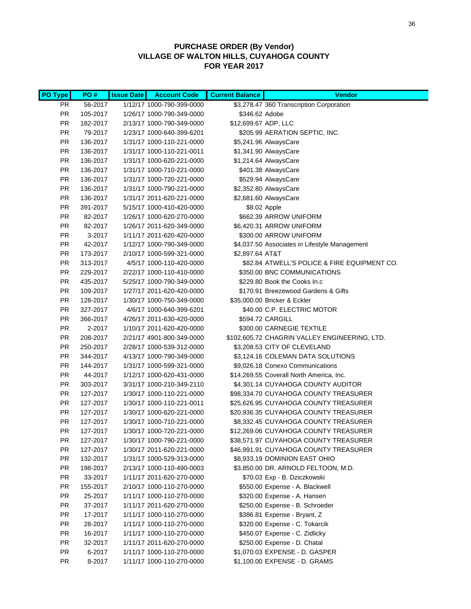### **PURCHASE ORDER (By Vendor) VILLAGE OF WALTON HILLS, CUYAHOGA COUNTY FOR YEAR 2017**

| <b>PO Type</b> | PO#      | <b>Issue Date</b> | <b>Account Code</b>       | <b>Current Balance</b> | <b>Vendor</b>                                 |
|----------------|----------|-------------------|---------------------------|------------------------|-----------------------------------------------|
| PR.            | 56-2017  |                   | 1/12/17 1000-790-399-0000 |                        | \$3,278.47 360 Transcription Corporation      |
| PR.            | 105-2017 |                   | 1/26/17 1000-790-349-0000 | \$346.62 Adobe         |                                               |
| <b>PR</b>      | 182-2017 |                   | 2/13/17 1000-790-349-0000 | \$12,699.67 ADP, LLC   |                                               |
| <b>PR</b>      | 79-2017  |                   | 1/23/17 1000-640-399-6201 |                        | \$205.99 AERATION SEPTIC, INC.                |
| PR             | 136-2017 |                   | 1/31/17 1000-110-221-0000 |                        | \$5,241.96 AlwaysCare                         |
| PR             | 136-2017 |                   | 1/31/17 1000-110-221-0011 |                        | \$1,341.90 AlwaysCare                         |
| PR             | 136-2017 |                   | 1/31/17 1000-620-221-0000 |                        | \$1,214.64 AlwaysCare                         |
| PR             | 136-2017 |                   | 1/31/17 1000-710-221-0000 |                        | \$401.38 AlwaysCare                           |
| PR             | 136-2017 |                   | 1/31/17 1000-720-221-0000 |                        | \$529.94 AlwaysCare                           |
| PR             | 136-2017 |                   | 1/31/17 1000-790-221-0000 |                        | \$2,352.80 AlwaysCare                         |
| PR             | 136-2017 |                   | 1/31/17 2011-620-221-0000 |                        | \$2,681.60 AlwaysCare                         |
| <b>PR</b>      | 391-2017 |                   | 5/15/17 1000-410-420-0000 |                        | \$8.02 Apple                                  |
| <b>PR</b>      | 82-2017  |                   | 1/26/17 1000-620-270-0000 |                        | \$662.39 ARROW UNIFORM                        |
| <b>PR</b>      | 82-2017  |                   | 1/26/17 2011-620-349-0000 |                        | \$6,420.31 ARROW UNIFORM                      |
| PR             | $3-2017$ |                   | 1/11/17 2011-620-420-0000 |                        | \$300.00 ARROW UNIFORM                        |
| PR.            | 42-2017  |                   | 1/12/17 1000-790-349-0000 |                        | \$4,037.50 Associates in Lifestyle Management |
| PR.            | 173-2017 |                   | 2/10/17 1000-599-321-0000 | \$2,897.64 AT&T        |                                               |
| PR             | 313-2017 |                   | 4/5/17 1000-110-420-0000  |                        | \$82.84 ATWELL'S POLICE & FIRE EQUIPMENT CO.  |
| PR             | 229-2017 |                   | 2/22/17 1000-110-410-0000 |                        | \$350.00 BNC COMMUNICATIONS                   |
| PR             | 435-2017 |                   | 5/25/17 1000-790-349-0000 |                        | \$229.80 Book the Cooks In.c                  |
| PR             | 109-2017 |                   | 1/27/17 2011-620-420-0000 |                        | \$170.91 Breezewood Gardens & Gifts           |
| PR             | 128-2017 |                   | 1/30/17 1000-750-349-0000 |                        | \$35,000.00 Bricker & Eckler                  |
| PR             | 327-2017 |                   | 4/6/17 1000-640-399-6201  |                        | \$40.00 C.P. ELECTRIC MOTOR                   |
| <b>PR</b>      | 366-2017 |                   | 4/26/17 2011-630-420-0000 |                        | \$594.72 CARGILL                              |
| PR             | 2-2017   |                   | 1/10/17 2011-620-420-0000 |                        | \$300.00 CARNEGIE TEXTILE                     |
| PR             | 208-2017 |                   | 2/21/17 4901-800-349-0000 |                        | \$102,605.72 CHAGRIN VALLEY ENGINEERING, LTD. |
| PR             | 250-2017 |                   | 2/28/17 1000-539-312-0000 |                        | \$3,208.53 CITY OF CLEVELAND                  |
| PR             | 344-2017 |                   | 4/13/17 1000-790-349-0000 |                        | \$3,124.16 COLEMAN DATA SOLUTIONS             |
| PR.            | 144-2017 |                   | 1/31/17 1000-599-321-0000 |                        | \$9,026.18 Conexo Communications              |
| PR             | 44-2017  |                   | 1/12/17 1000-620-431-0000 |                        | \$14,269.55 Coverall North America, Inc.      |
| PR             | 303-2017 |                   | 3/31/17 1000-210-349-2110 |                        | \$4,301.14 CUYAHOGA COUNTY AUDITOR            |
| PR             | 127-2017 |                   | 1/30/17 1000-110-221-0000 |                        | \$98,334.70 CUYAHOGA COUNTY TREASURER         |
| PR             | 127-2017 |                   | 1/30/17 1000-110-221-0011 |                        | \$25,626.95 CUYAHOGA COUNTY TREASURER         |
| PR             | 127-2017 |                   | 1/30/17 1000-620-221-0000 |                        | \$20,936.35 CUYAHOGA COUNTY TREASURER         |
| PR             | 127-2017 |                   | 1/30/17 1000-710-221-0000 |                        | \$8,332.45 CUYAHOGA COUNTY TREASURER          |
| PR             | 127-2017 |                   | 1/30/17 1000-720-221-0000 |                        | \$12,269.06 CUYAHOGA COUNTY TREASURER         |
| PR.            | 127-2017 |                   | 1/30/17 1000-790-221-0000 |                        | \$38,571.97 CUYAHOGA COUNTY TREASURER         |
| PR.            | 127-2017 |                   | 1/30/17 2011-620-221-0000 |                        | \$46,991.91 CUYAHOGA COUNTY TREASURER         |
| PR.            | 132-2017 |                   | 1/31/17 1000-529-313-0000 |                        | \$8,933.19 DOMINION EAST OHIO                 |
| PR             | 198-2017 |                   | 2/13/17 1000-110-490-0003 |                        | \$3,850.00 DR. ARNOLD FELTOON, M.D.           |
| PR             | 33-2017  |                   | 1/11/17 2011-620-270-0000 |                        | \$70.03 Exp - B. Dziczkowski                  |
| PR             | 155-2017 |                   | 2/10/17 1000-110-270-0000 |                        | \$550.00 Expense - A. Blackwell               |
| <b>PR</b>      | 25-2017  |                   | 1/11/17 1000-110-270-0000 |                        | \$320.00 Expense - A. Hansen                  |
| <b>PR</b>      | 37-2017  |                   | 1/11/17 2011-620-270-0000 |                        | \$250.00 Expense - B. Schroeder               |
| PR             | 17-2017  |                   | 1/11/17 1000-110-270-0000 |                        | \$386.81 Expense - Bryant, Z                  |
| PR             | 28-2017  |                   | 1/11/17 1000-110-270-0000 |                        | \$320.00 Expense - C. Tokarcik                |
| PR             | 16-2017  |                   | 1/11/17 1000-110-270-0000 |                        | \$450.07 Expense - C. Zidlicky                |
| PR             | 32-2017  |                   | 1/11/17 2011-620-270-0000 |                        | \$250.00 Expense - D. Chatal                  |
| PR.            | 6-2017   |                   | 1/11/17 1000-110-270-0000 |                        | \$1,070.03 EXPENSE - D. GASPER                |
| PR             | 8-2017   |                   | 1/11/17 1000-110-270-0000 |                        | \$1,100.00 EXPENSE - D. GRAMS                 |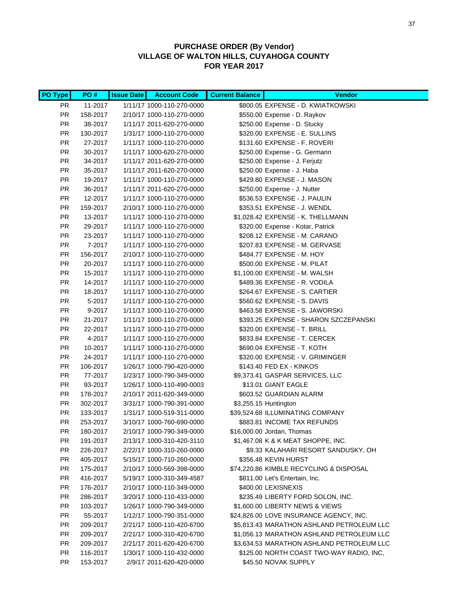### **PURCHASE ORDER (By Vendor) VILLAGE OF WALTON HILLS, CUYAHOGA COUNTY FOR YEAR 2017**

| PO Type                | PO#                 | <b>Issue Date</b> | <b>Account Code</b>                                    | <b>Current Balance</b> | <b>Vendor</b>                                               |
|------------------------|---------------------|-------------------|--------------------------------------------------------|------------------------|-------------------------------------------------------------|
| <b>PR</b>              | 11-2017             |                   | 1/11/17 1000-110-270-0000                              |                        | \$800.05 EXPENSE - D. KWIATKOWSKI                           |
| <b>PR</b>              | 158-2017            |                   | 2/10/17 1000-110-270-0000                              |                        | \$550.00 Expense - D. Raykov                                |
| <b>PR</b>              | 38-2017             |                   | 1/11/17 2011-620-270-0000                              |                        | \$250.00 Expense - D. Stucky                                |
| <b>PR</b>              | 130-2017            |                   | 1/31/17 1000-110-270-0000                              |                        | \$320.00 EXPENSE - E. SULLINS                               |
| <b>PR</b>              | 27-2017             |                   | 1/11/17 1000-110-270-0000                              |                        | \$131.60 EXPENSE - F. ROVERI                                |
| <b>PR</b>              | 30-2017             |                   | 1/11/17 1000-620-270-0000                              |                        | \$250.00 Expense - G. Germann                               |
| <b>PR</b>              | 34-2017             |                   | 1/11/17 2011-620-270-0000                              |                        | \$250.00 Expense - J. Ferjutz                               |
| <b>PR</b>              | 35-2017             |                   | 1/11/17 2011-620-270-0000                              |                        | \$250.00 Expense - J. Haba                                  |
| <b>PR</b>              | 19-2017             |                   | 1/11/17 1000-110-270-0000                              |                        | \$429.80 EXPENSE - J. MASON                                 |
| <b>PR</b>              | 36-2017             |                   | 1/11/17 2011-620-270-0000                              |                        | \$250.00 Expense - J. Nutter                                |
| <b>PR</b>              | 12-2017             |                   | 1/11/17 1000-110-270-0000                              |                        | \$536.53 EXPENSE - J. PAULIN                                |
| <b>PR</b>              | 159-2017            |                   | 2/10/17 1000-110-270-0000                              |                        | \$353.51 EXPENSE - J. WENDL                                 |
| <b>PR</b>              | 13-2017             |                   | 1/11/17 1000-110-270-0000                              |                        | \$1,028.42 EXPENSE - K. THELLMANN                           |
| <b>PR</b>              | 29-2017             |                   | 1/11/17 1000-110-270-0000                              |                        | \$320.00 Expense - Kotar, Patrick                           |
| <b>PR</b>              | 23-2017             |                   | 1/11/17 1000-110-270-0000                              |                        | \$208.12 EXPENSE - M. CARANO                                |
| <b>PR</b>              | 7-2017              |                   | 1/11/17 1000-110-270-0000                              |                        | \$207.83 EXPENSE - M. GERVASE                               |
| <b>PR</b>              | 156-2017            |                   | 2/10/17 1000-110-270-0000                              |                        | \$484.77 EXPENSE - M. HOY                                   |
| <b>PR</b>              | 20-2017             |                   | 1/11/17 1000-110-270-0000                              |                        | \$500.00 EXPENSE - M. PILAT                                 |
| <b>PR</b>              | 15-2017             |                   | 1/11/17 1000-110-270-0000                              |                        | \$1,100.00 EXPENSE - M. WALSH                               |
| <b>PR</b>              | 14-2017             |                   | 1/11/17 1000-110-270-0000                              |                        | \$489.36 EXPENSE - R. VODILA                                |
| <b>PR</b>              | 18-2017             |                   | 1/11/17 1000-110-270-0000                              |                        | \$264.67 EXPENSE - S. CARTIER                               |
| <b>PR</b>              | 5-2017              |                   | 1/11/17 1000-110-270-0000                              |                        | \$560.62 EXPENSE - S. DAVIS                                 |
| <b>PR</b>              | 9-2017              |                   | 1/11/17 1000-110-270-0000                              |                        | \$463.58 EXPENSE - S. JAWORSKI                              |
| <b>PR</b>              | 21-2017             |                   | 1/11/17 1000-110-270-0000                              |                        | \$393.25 EXPENSE - SHARON SZCZEPANSKI                       |
| <b>PR</b>              | 22-2017             |                   | 1/11/17 1000-110-270-0000                              |                        | \$320.00 EXPENSE - T. BRILL                                 |
| <b>PR</b>              | 4-2017              |                   | 1/11/17 1000-110-270-0000                              |                        | \$833.84 EXPENSE - T. CERCEK                                |
| <b>PR</b>              | 10-2017             |                   | 1/11/17 1000-110-270-0000                              |                        | \$690.04 EXPENSE - T. KOTH                                  |
| <b>PR</b><br><b>PR</b> | 24-2017<br>106-2017 |                   | 1/11/17 1000-110-270-0000<br>1/26/17 1000-790-420-0000 |                        | \$320.00 EXPENSE - V. GRIMINGER<br>\$143.40 FED EX - KINKOS |
| <b>PR</b>              | 77-2017             |                   | 1/23/17 1000-790-349-0000                              |                        | \$9,373.41 GASPAR SERVICES, LLC                             |
| <b>PR</b>              | 93-2017             |                   | 1/26/17 1000-110-490-0003                              |                        | \$13.01 GIANT EAGLE                                         |
| <b>PR</b>              | 178-2017            |                   | 2/10/17 2011-620-349-0000                              |                        | \$603.52 GUARDIAN ALARM                                     |
| <b>PR</b>              | 302-2017            |                   | 3/31/17 1000-790-391-0000                              |                        | \$3,255.15 Huntington                                       |
| <b>PR</b>              | 133-2017            |                   | 1/31/17 1000-519-311-0000                              |                        | \$39,524.68 ILLUMINATING COMPANY                            |
| <b>PR</b>              | 253-2017            |                   | 3/10/17 1000-760-690-0000                              |                        | \$883.81 INCOME TAX REFUNDS                                 |
| PR                     | 180-2017            |                   | 2/10/17 1000-790-349-0000                              |                        | \$16,000.00 Jordan, Thomas                                  |
| PR.                    | 191-2017            |                   | 2/13/17 1000-310-420-3110                              |                        | \$1,467.08 K & K MEAT SHOPPE, INC.                          |
| PR.                    | 226-2017            |                   | 2/22/17 1000-310-260-0000                              |                        | \$9.33 KALAHARI RESORT SANDUSKY, OH                         |
| PR.                    | 405-2017            |                   | 5/15/17 1000-710-260-0000                              |                        | \$356.48 KEVIN HURST                                        |
| PR.                    | 175-2017            |                   | 2/10/17 1000-569-398-0000                              |                        | \$74,220.86 KIMBLE RECYCLING & DISPOSAL                     |
| PR.                    | 416-2017            |                   | 5/19/17 1000-310-349-4587                              |                        | \$811.00 Let's Entertain, Inc.                              |
| PR.                    | 176-2017            |                   | 2/10/17 1000-110-349-0000                              |                        | \$400.00 LEXISNEXIS                                         |
| <b>PR</b>              | 286-2017            |                   | 3/20/17 1000-110-433-0000                              |                        | \$235.49 LIBERTY FORD SOLON, INC.                           |
| <b>PR</b>              | 103-2017            |                   | 1/26/17 1000-790-349-0000                              |                        | \$1,600.00 LIBERTY NEWS & VIEWS                             |
| PR.                    | 55-2017             |                   | 1/12/17 1000-790-351-0000                              |                        | \$24,826.00 LOVE INSURANCE AGENCY, INC.                     |
| PR.                    | 209-2017            |                   | 2/21/17 1000-110-420-6700                              |                        | \$5,813.43 MARATHON ASHLAND PETROLEUM LLC                   |
| PR.                    | 209-2017            |                   | 2/21/17 1000-310-420-6700                              |                        | \$1,056.13 MARATHON ASHLAND PETROLEUM LLC                   |
| <b>PR</b>              | 209-2017            |                   | 2/21/17 2011-620-420-6700                              |                        | \$3,634.53 MARATHON ASHLAND PETROLEUM LLC                   |
| <b>PR</b>              | 116-2017            |                   | 1/30/17 1000-110-432-0000                              |                        | \$125.00 NORTH COAST TWO-WAY RADIO, INC,                    |
| <b>PR</b>              | 153-2017            |                   | 2/9/17 2011-620-420-0000                               |                        | \$45.50 NOVAK SUPPLY                                        |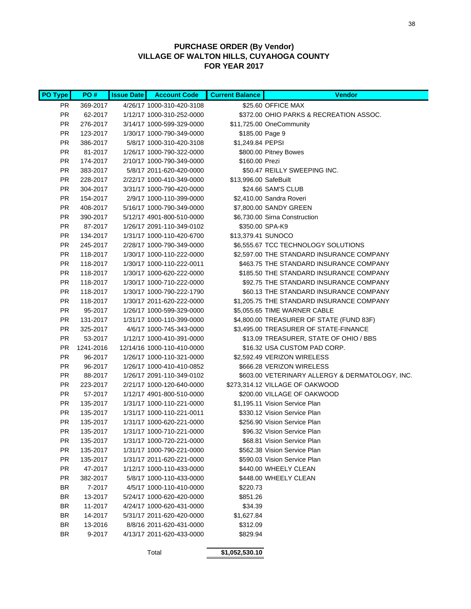### **PURCHASE ORDER (By Vendor) VILLAGE OF WALTON HILLS, CUYAHOGA COUNTY FOR YEAR 2017**

| PO Type   | PO#       | <b>Issue Date</b> | <b>Account Code</b>        | <b>Current Balance</b> | <b>Vendor</b>                                   |
|-----------|-----------|-------------------|----------------------------|------------------------|-------------------------------------------------|
| PR.       | 369-2017  |                   | 4/26/17 1000-310-420-3108  |                        | \$25.60 OFFICE MAX                              |
| <b>PR</b> | 62-2017   |                   | 1/12/17 1000-310-252-0000  |                        | \$372.00 OHIO PARKS & RECREATION ASSOC.         |
| <b>PR</b> | 276-2017  |                   | 3/14/17 1000-599-329-0000  |                        | \$11,725.00 OneCommunity                        |
| <b>PR</b> | 123-2017  |                   | 1/30/17 1000-790-349-0000  | \$185.00 Page 9        |                                                 |
| <b>PR</b> | 386-2017  |                   | 5/8/17 1000-310-420-3108   | \$1,249.84 PEPSI       |                                                 |
| <b>PR</b> | 81-2017   |                   | 1/26/17 1000-790-322-0000  |                        | \$800.00 Pitney Bowes                           |
| <b>PR</b> | 174-2017  |                   | 2/10/17 1000-790-349-0000  | \$160.00 Prezi         |                                                 |
| <b>PR</b> | 383-2017  |                   | 5/8/17 2011-620-420-0000   |                        | \$50.47 REILLY SWEEPING INC.                    |
| <b>PR</b> | 228-2017  |                   | 2/22/17 1000-410-349-0000  | \$13,996.00 SafeBuilt  |                                                 |
| <b>PR</b> | 304-2017  |                   | 3/31/17 1000-790-420-0000  |                        | \$24.66 SAM'S CLUB                              |
| <b>PR</b> | 154-2017  |                   | 2/9/17 1000-110-399-0000   |                        | \$2,410.00 Sandra Roveri                        |
| <b>PR</b> | 408-2017  |                   | 5/16/17 1000-790-349-0000  |                        | \$7,800.00 SANDY GREEN                          |
| <b>PR</b> | 390-2017  |                   | 5/12/17 4901-800-510-0000  |                        | \$6,730.00 Sirna Construction                   |
| <b>PR</b> | 87-2017   |                   | 1/26/17 2091-110-349-0102  |                        | \$350.00 SPA-K9                                 |
| <b>PR</b> | 134-2017  |                   | 1/31/17 1000-110-420-6700  | \$13,379.41 SUNOCO     |                                                 |
| <b>PR</b> | 245-2017  |                   | 2/28/17 1000-790-349-0000  |                        | \$6,555.67 TCC TECHNOLOGY SOLUTIONS             |
| <b>PR</b> | 118-2017  |                   | 1/30/17 1000-110-222-0000  |                        | \$2,597.00 THE STANDARD INSURANCE COMPANY       |
| <b>PR</b> | 118-2017  |                   | 1/30/17 1000-110-222-0011  |                        | \$463.75 THE STANDARD INSURANCE COMPANY         |
| <b>PR</b> | 118-2017  |                   | 1/30/17 1000-620-222-0000  |                        | \$185.50 THE STANDARD INSURANCE COMPANY         |
| <b>PR</b> | 118-2017  |                   | 1/30/17 1000-710-222-0000  |                        | \$92.75 THE STANDARD INSURANCE COMPANY          |
| <b>PR</b> | 118-2017  |                   | 1/30/17 1000-790-222-1790  |                        | \$60.13 THE STANDARD INSURANCE COMPANY          |
| <b>PR</b> | 118-2017  |                   | 1/30/17 2011-620-222-0000  |                        | \$1,205.75 THE STANDARD INSURANCE COMPANY       |
| <b>PR</b> | 95-2017   |                   | 1/26/17 1000-599-329-0000  |                        | \$5,055.65 TIME WARNER CABLE                    |
| <b>PR</b> | 131-2017  |                   | 1/31/17 1000-110-399-0000  |                        | \$4,800.00 TREASURER OF STATE (FUND 83F)        |
| <b>PR</b> | 325-2017  |                   | 4/6/17 1000-745-343-0000   |                        | \$3,495.00 TREASURER OF STATE-FINANCE           |
| <b>PR</b> | 53-2017   |                   | 1/12/17 1000-410-391-0000  |                        | \$13.09 TREASURER, STATE OF OHIO / BBS          |
| <b>PR</b> | 1241-2016 |                   | 12/14/16 1000-110-410-0000 |                        | \$16.32 USA CUSTOM PAD CORP.                    |
| <b>PR</b> | 96-2017   |                   | 1/26/17 1000-110-321-0000  |                        | \$2,592.49 VERIZON WIRELESS                     |
| <b>PR</b> | 96-2017   |                   | 1/26/17 1000-410-410-0852  |                        | \$666.28 VERIZON WIRELESS                       |
| <b>PR</b> | 88-2017   |                   | 1/26/17 2091-110-349-0102  |                        | \$603.00 VETERINARY ALLERGY & DERMATOLOGY, INC. |
| <b>PR</b> | 223-2017  |                   | 2/21/17 1000-120-640-0000  |                        | \$273,314.12 VILLAGE OF OAKWOOD                 |
| <b>PR</b> | 57-2017   |                   | 1/12/17 4901-800-510-0000  |                        | \$200.00 VILLAGE OF OAKWOOD                     |
| <b>PR</b> | 135-2017  |                   | 1/31/17 1000-110-221-0000  |                        | \$1,195.11 Vision Service Plan                  |
| <b>PR</b> | 135-2017  |                   | 1/31/17 1000-110-221-0011  |                        | \$330.12 Vision Service Plan                    |
| <b>PR</b> | 135-2017  |                   | 1/31/17 1000-620-221-0000  |                        | \$256.90 Vision Service Plan                    |
| PR        | 135-2017  |                   | 1/31/17 1000-710-221-0000  |                        | \$96.32 Vision Service Plan                     |
| <b>PR</b> | 135-2017  |                   | 1/31/17 1000-720-221-0000  |                        | \$68.81 Vision Service Plan                     |
| <b>PR</b> | 135-2017  |                   | 1/31/17 1000-790-221-0000  |                        | \$562.38 Vision Service Plan                    |
| PR.       | 135-2017  |                   | 1/31/17 2011-620-221-0000  |                        | \$590.03 Vision Service Plan                    |
| <b>PR</b> | 47-2017   |                   | 1/12/17 1000-110-433-0000  |                        | \$440.00 WHEELY CLEAN                           |
| <b>PR</b> | 382-2017  |                   | 5/8/17 1000-110-433-0000   |                        | \$448.00 WHEELY CLEAN                           |
| BR        | 7-2017    |                   | 4/5/17 1000-110-410-0000   | \$220.73               |                                                 |
| BR        | 13-2017   |                   | 5/24/17 1000-620-420-0000  | \$851.26               |                                                 |
| <b>BR</b> | 11-2017   |                   | 4/24/17 1000-620-431-0000  | \$34.39                |                                                 |
| BR        | 14-2017   |                   | 5/31/17 2011-620-420-0000  | \$1,627.84             |                                                 |
| BR        | 13-2016   |                   | 8/8/16 2011-620-431-0000   | \$312.09               |                                                 |
| BR        | 9-2017    |                   | 4/13/17 2011-620-433-0000  | \$829.94               |                                                 |
|           |           |                   |                            |                        |                                                 |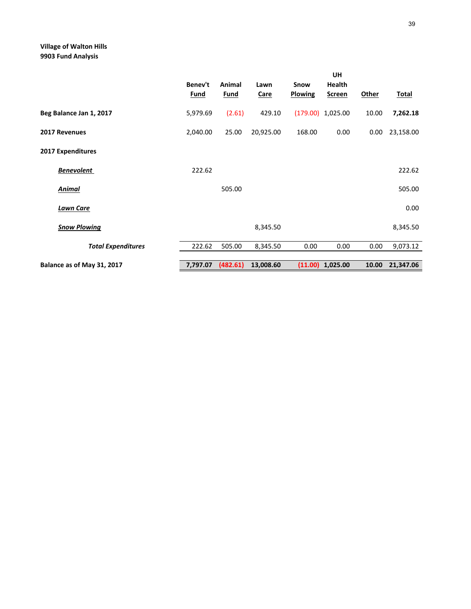### **Village of Walton Hills 9903 Fund Analysis**

|                            | Benev't<br><b>Fund</b> | Animal<br><b>Fund</b> | Lawn<br><b>Care</b> | Snow<br><b>Plowing</b> | UH<br>Health<br><b>Screen</b> | <b>Other</b> | <b>Total</b> |
|----------------------------|------------------------|-----------------------|---------------------|------------------------|-------------------------------|--------------|--------------|
| Beg Balance Jan 1, 2017    | 5,979.69               | (2.61)                | 429.10              |                        | $(179.00)$ 1,025.00           | 10.00        | 7,262.18     |
| 2017 Revenues              | 2,040.00               | 25.00                 | 20,925.00           | 168.00                 | 0.00                          | 0.00         | 23,158.00    |
| <b>2017 Expenditures</b>   |                        |                       |                     |                        |                               |              |              |
| <b>Benevolent</b>          | 222.62                 |                       |                     |                        |                               |              | 222.62       |
| <b>Animal</b>              |                        | 505.00                |                     |                        |                               |              | 505.00       |
| <b>Lawn Care</b>           |                        |                       |                     |                        |                               |              | 0.00         |
| <b>Snow Plowing</b>        |                        |                       | 8,345.50            |                        |                               |              | 8,345.50     |
| <b>Total Expenditures</b>  | 222.62                 | 505.00                | 8,345.50            | 0.00                   | 0.00                          | 0.00         | 9,073.12     |
| Balance as of May 31, 2017 | 7,797.07               | (482.61)              | 13,008.60           |                        | $(11.00)$ 1,025.00            | 10.00        | 21,347.06    |